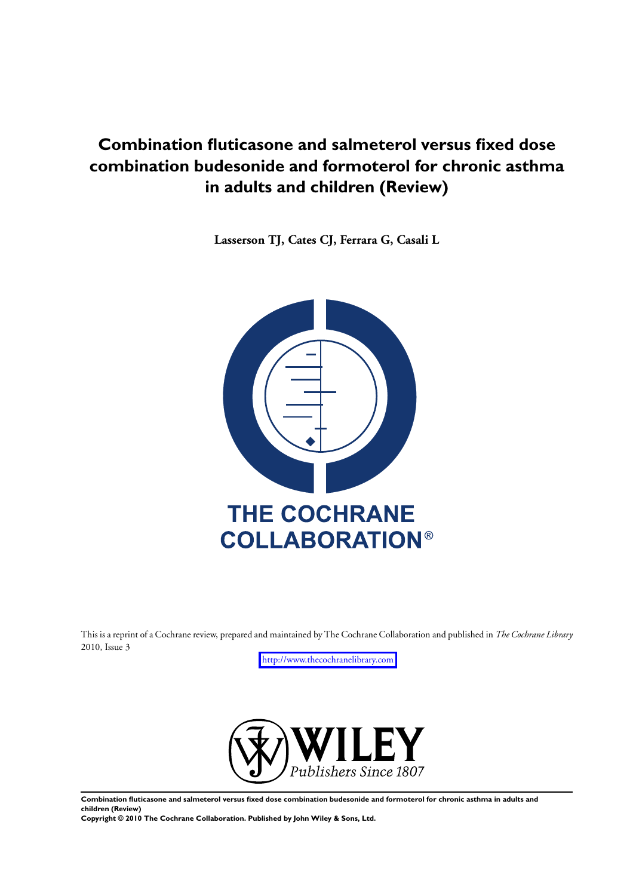# **Combination fluticasone and salmeterol versus fixed dose combination budesonide and formoterol for chronic asthma in adults and children (Review)**

**Lasserson TJ, Cates CJ, Ferrara G, Casali L**



This is a reprint of a Cochrane review, prepared and maintained by The Cochrane Collaboration and published in *The Cochrane Library* 2010, Issue 3

<http://www.thecochranelibrary.com>



**Combination fluticasone and salmeterol versus fixed dose combination budesonide and formoterol for chronic asthma in adults and children (Review)**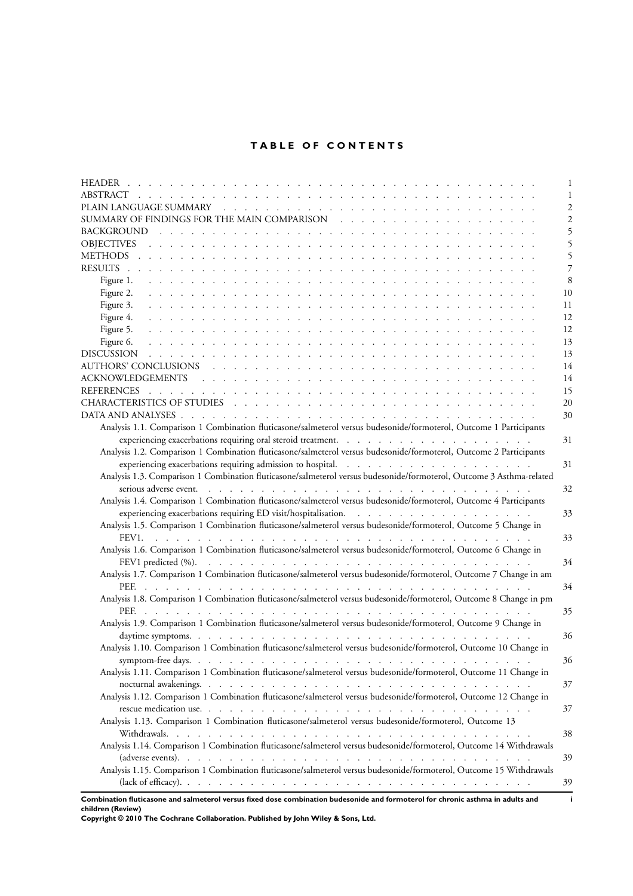# **TABLE OF CONTENTS**

| HEADER<br>the contract of the contract of the contract of the contract of the contract of the contract of the contract of                            | 1              |
|------------------------------------------------------------------------------------------------------------------------------------------------------|----------------|
| ABSTRACT                                                                                                                                             | 1              |
|                                                                                                                                                      | $\overline{2}$ |
|                                                                                                                                                      | $\overline{2}$ |
| والمتعاون والمتعاون والمتعاون والمتعاونة والمتعاونة والمتعاونة والمتعاونة والمتعاونة والمتعاونة والمتعاونة والمتعاون<br>BACKGROUND                   | 5              |
| <b>OBJECTIVES</b>                                                                                                                                    | 5              |
| <b>METHODS</b><br>a constitution de la constitution de la constitution de la constitution de la constitution de la constitution                      | 5              |
|                                                                                                                                                      | 7              |
| Figure 1.                                                                                                                                            | 8              |
| Figure 2.<br><u>. In the second contract of the second contract of the second contract of the second contract of the second con</u>                  | 10             |
| Figure 3.                                                                                                                                            | 11             |
| Figure 4.                                                                                                                                            | 12             |
| Figure 5.                                                                                                                                            | 12             |
| Figure 6.                                                                                                                                            | 13             |
| <b>DISCUSSION</b>                                                                                                                                    | 13             |
|                                                                                                                                                      | 14             |
|                                                                                                                                                      | 14             |
|                                                                                                                                                      | 15             |
|                                                                                                                                                      | 20             |
|                                                                                                                                                      | 30             |
| Analysis 1.1. Comparison 1 Combination fluticasone/salmeterol versus budesonide/formoterol, Outcome 1 Participants                                   |                |
|                                                                                                                                                      | 31             |
| Analysis 1.2. Comparison 1 Combination fluticasone/salmeterol versus budesonide/formoterol, Outcome 2 Participants                                   |                |
|                                                                                                                                                      | 31             |
| Analysis 1.3. Comparison 1 Combination fluticasone/salmeterol versus budesonide/formoterol, Outcome 3 Asthma-related                                 |                |
|                                                                                                                                                      | 32             |
| Analysis 1.4. Comparison 1 Combination fluticasone/salmeterol versus budesonide/formoterol, Outcome 4 Participants                                   |                |
|                                                                                                                                                      | 33             |
| Analysis 1.5. Comparison 1 Combination fluticasone/salmeterol versus budesonide/formoterol, Outcome 5 Change in                                      |                |
|                                                                                                                                                      | 33             |
| Analysis 1.6. Comparison 1 Combination fluticasone/salmeterol versus budesonide/formoterol, Outcome 6 Change in                                      |                |
|                                                                                                                                                      | 34             |
| Analysis 1.7. Comparison 1 Combination fluticasone/salmeterol versus budesonide/formoterol, Outcome 7 Change in am                                   | 34             |
| Analysis 1.8. Comparison 1 Combination fluticasone/salmeterol versus budesonide/formoterol, Outcome 8 Change in pm                                   |                |
|                                                                                                                                                      | 35             |
| Analysis 1.9. Comparison 1 Combination fluticasone/salmeterol versus budesonide/formoterol, Outcome 9 Change in                                      |                |
|                                                                                                                                                      | 36             |
| Analysis 1.10. Comparison 1 Combination fluticasone/salmeterol versus budesonide/formoterol, Outcome 10 Change in                                    |                |
|                                                                                                                                                      | 36             |
| Analysis 1.11. Comparison 1 Combination fluticasone/salmeterol versus budesonide/formoterol, Outcome 11 Change in                                    | 37             |
| Analysis 1.12. Comparison 1 Combination fluticasone/salmeterol versus budesonide/formoterol, Outcome 12 Change in                                    |                |
|                                                                                                                                                      | 37             |
| Analysis 1.13. Comparison 1 Combination fluticasone/salmeterol versus budesonide/formoterol, Outcome 13                                              | 38             |
| Analysis 1.14. Comparison 1 Combination fluticasone/salmeterol versus budesonide/formoterol, Outcome 14 Withdrawals                                  |                |
|                                                                                                                                                      | 39             |
| Analysis 1.15. Comparison 1 Combination fluticasone/salmeterol versus budesonide/formoterol, Outcome 15 Withdrawals                                  |                |
|                                                                                                                                                      | 39             |
| Combination fluticasone and salmeterol versus fixed dose combination budesonide and formoterol for chronic asthma in adults and<br>children (Review) | j.             |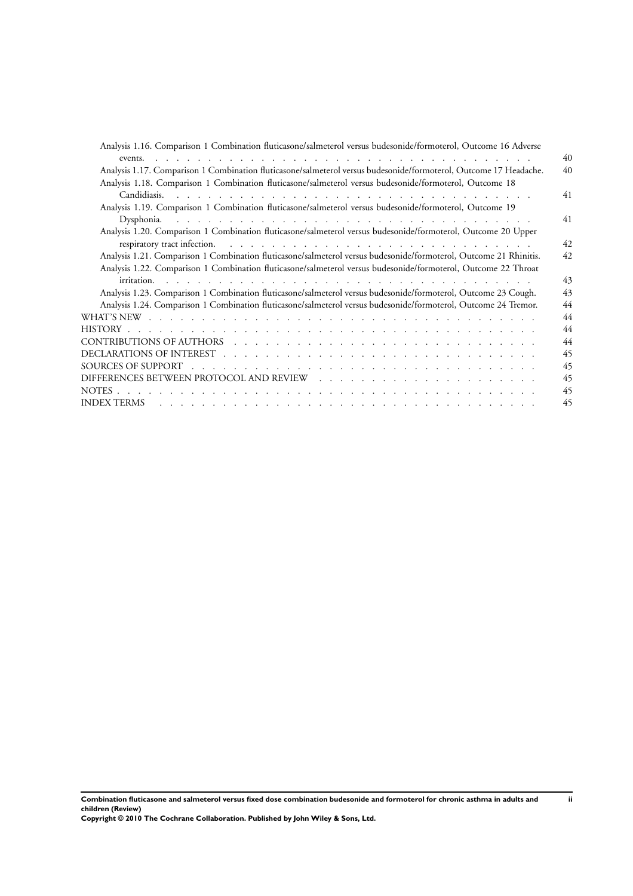| Analysis 1.16. Comparison 1 Combination fluticasone/salmeterol versus budesonide/formoterol, Outcome 16 Adverse                                                                                                                             |    |
|---------------------------------------------------------------------------------------------------------------------------------------------------------------------------------------------------------------------------------------------|----|
| the contract of the contract of the contract of the contract of the contract of the contract of the contract of<br>events.                                                                                                                  | 40 |
| Analysis 1.17. Comparison 1 Combination fluticasone/salmeterol versus budesonide/formoterol, Outcome 17 Headache.                                                                                                                           | 40 |
| Analysis 1.18. Comparison 1 Combination fluticasone/salmeterol versus budesonide/formoterol, Outcome 18                                                                                                                                     |    |
| Candidiasis.                                                                                                                                                                                                                                | 41 |
| Analysis 1.19. Comparison 1 Combination fluticasone/salmeterol versus budesonide/formoterol, Outcome 19                                                                                                                                     |    |
| and a constitution of the constitution of the constitution of the constitution of the constitution of the constitution of the constitution of the constitution of the constitution of the constitution of the constitution of<br>Dysphonia. | 41 |
| Analysis 1.20. Comparison 1 Combination fluticasone/salmeterol versus budesonide/formoterol, Outcome 20 Upper                                                                                                                               |    |
|                                                                                                                                                                                                                                             | 42 |
| Analysis 1.21. Comparison 1 Combination fluticasone/salmeterol versus budesonide/formoterol, Outcome 21 Rhinitis.                                                                                                                           | 42 |
| Analysis 1.22. Comparison 1 Combination fluticasone/salmeterol versus budesonide/formoterol, Outcome 22 Throat                                                                                                                              |    |
|                                                                                                                                                                                                                                             | 43 |
| Analysis 1.23. Comparison 1 Combination fluticasone/salmeterol versus budesonide/formoterol, Outcome 23 Cough.                                                                                                                              | 43 |
| Analysis 1.24. Comparison 1 Combination fluticasone/salmeterol versus budesonide/formoterol, Outcome 24 Tremor.                                                                                                                             | 44 |
|                                                                                                                                                                                                                                             | 44 |
|                                                                                                                                                                                                                                             | 44 |
|                                                                                                                                                                                                                                             | 44 |
|                                                                                                                                                                                                                                             | 45 |
| SOURCES OF SUPPORT in the state of the state of the state of the state of the state of the state of the state o                                                                                                                             | 45 |
|                                                                                                                                                                                                                                             | 45 |
|                                                                                                                                                                                                                                             | 45 |
|                                                                                                                                                                                                                                             | 45 |
|                                                                                                                                                                                                                                             |    |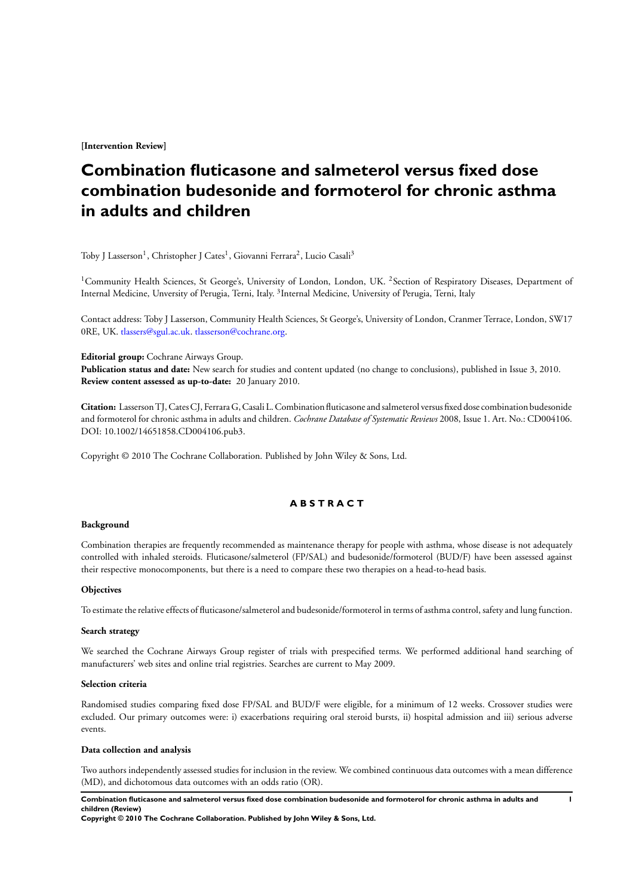**[Intervention Review]**

# **Combination fluticasone and salmeterol versus fixed dose combination budesonide and formoterol for chronic asthma in adults and children**

Toby J Lasserson<sup>1</sup>, Christopher J Cates<sup>1</sup>, Giovanni Ferrara<sup>2</sup>, Lucio Casali<sup>3</sup>

<sup>1</sup>Community Health Sciences, St George's, University of London, London, UK. <sup>2</sup>Section of Respiratory Diseases, Department of Internal Medicine, Unversity of Perugia, Terni, Italy. <sup>3</sup>Internal Medicine, University of Perugia, Terni, Italy

Contact address: Toby J Lasserson, Community Health Sciences, St George's, University of London, Cranmer Terrace, London, SW17 0RE, UK. [tlassers@sgul.ac.uk.](mailto:tlassers@sgul.ac.uk) [tlasserson@cochrane.org.](mailto:tlasserson@cochrane.org)

**Editorial group:** Cochrane Airways Group.

**Publication status and date:** New search for studies and content updated (no change to conclusions), published in Issue 3, 2010. **Review content assessed as up-to-date:** 20 January 2010.

**Citation:** Lasserson TJ, Cates CJ, Ferrara G, Casali L. Combination fluticasone and salmeterol versus fixed dose combination budesonide and formoterol for chronic asthma in adults and children. *Cochrane Database of Systematic Reviews* 2008, Issue 1. Art. No.: CD004106. DOI: 10.1002/14651858.CD004106.pub3.

Copyright © 2010 The Cochrane Collaboration. Published by John Wiley & Sons, Ltd.

# **A B S T R A C T**

#### **Background**

Combination therapies are frequently recommended as maintenance therapy for people with asthma, whose disease is not adequately controlled with inhaled steroids. Fluticasone/salmeterol (FP/SAL) and budesonide/formoterol (BUD/F) have been assessed against their respective monocomponents, but there is a need to compare these two therapies on a head-to-head basis.

#### **Objectives**

To estimate the relative effects of fluticasone/salmeterol and budesonide/formoterol in terms of asthma control, safety and lung function.

#### **Search strategy**

We searched the Cochrane Airways Group register of trials with prespecified terms. We performed additional hand searching of manufacturers' web sites and online trial registries. Searches are current to May 2009.

#### **Selection criteria**

Randomised studies comparing fixed dose FP/SAL and BUD/F were eligible, for a minimum of 12 weeks. Crossover studies were excluded. Our primary outcomes were: i) exacerbations requiring oral steroid bursts, ii) hospital admission and iii) serious adverse events.

#### **Data collection and analysis**

Two authors independently assessed studies for inclusion in the review. We combined continuous data outcomes with a mean difference (MD), and dichotomous data outcomes with an odds ratio (OR).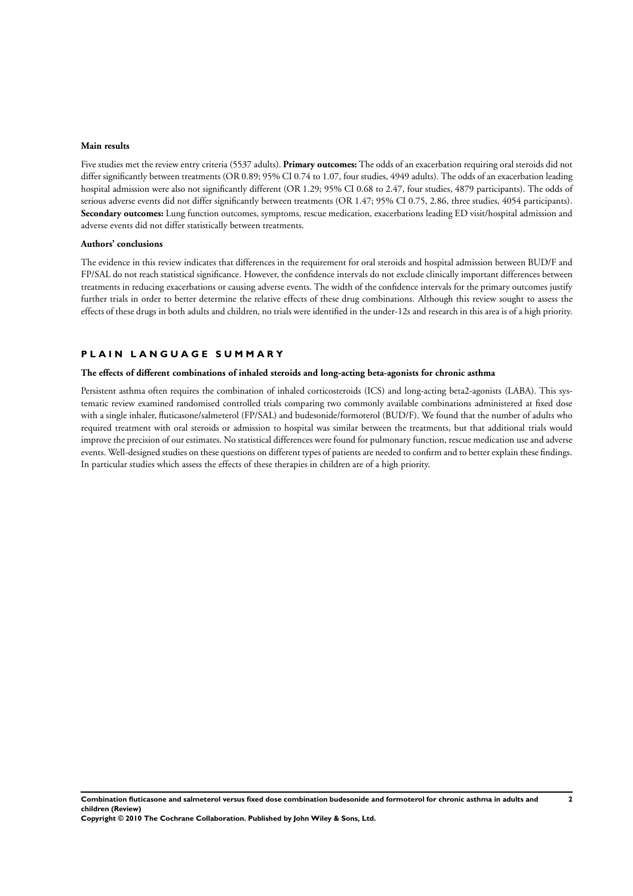#### **Main results**

Five studies met the review entry criteria (5537 adults). **Primary outcomes:** The odds of an exacerbation requiring oral steroids did not differ significantly between treatments (OR 0.89; 95% CI 0.74 to 1.07, four studies, 4949 adults). The odds of an exacerbation leading hospital admission were also not significantly different (OR 1.29; 95% CI 0.68 to 2.47, four studies, 4879 participants). The odds of serious adverse events did not differ significantly between treatments (OR 1.47; 95% CI 0.75, 2.86, three studies, 4054 participants). **Secondary outcomes:** Lung function outcomes, symptoms, rescue medication, exacerbations leading ED visit/hospital admission and adverse events did not differ statistically between treatments.

#### **Authors' conclusions**

The evidence in this review indicates that differences in the requirement for oral steroids and hospital admission between BUD/F and FP/SAL do not reach statistical significance. However, the confidence intervals do not exclude clinically important differences between treatments in reducing exacerbations or causing adverse events. The width of the confidence intervals for the primary outcomes justify further trials in order to better determine the relative effects of these drug combinations. Although this review sought to assess the effects of these drugs in both adults and children, no trials were identified in the under-12s and research in this area is of a high priority.

# **P L A I N L A N G U A G E S U M M A R Y**

#### **The effects of different combinations of inhaled steroids and long-acting beta-agonists for chronic asthma**

Persistent asthma often requires the combination of inhaled corticosteroids (ICS) and long-acting beta2-agonists (LABA). This systematic review examined randomised controlled trials comparing two commonly available combinations administered at fixed dose with a single inhaler, fluticasone/salmeterol (FP/SAL) and budesonide/formoterol (BUD/F). We found that the number of adults who required treatment with oral steroids or admission to hospital was similar between the treatments, but that additional trials would improve the precision of our estimates. No statistical differences were found for pulmonary function, rescue medication use and adverse events. Well-designed studies on these questions on different types of patients are needed to confirm and to better explain these findings. In particular studies which assess the effects of these therapies in children are of a high priority.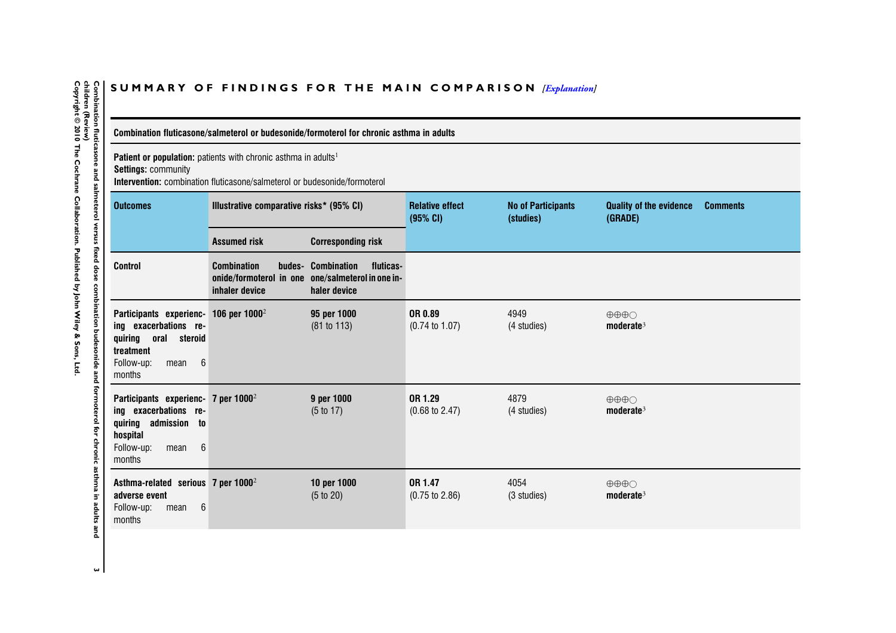# Combination flu<br>Combination flu SUMMARY OF FINDINGS FOR THE MAIN COMPARISON *[\[Explanation\]](http://www.thecochranelibrary.com/view/0/SummaryFindings.html)*

<span id="page-5-0"></span>

| <b>Jopyright © 2010 The Cochrane Collaboration. Published by John Wiley &amp; Sons, Ltd.</b> | :hildren (Review |
|----------------------------------------------------------------------------------------------|------------------|
|                                                                                              |                  |
|                                                                                              |                  |
|                                                                                              |                  |
|                                                                                              |                  |
|                                                                                              |                  |
|                                                                                              |                  |
|                                                                                              |                  |
|                                                                                              |                  |

|                                                                                                                                                         |                                                                                                                                                         | Combination fluticasone/salmeterol or budesonide/formoterol for chronic asthma in adults |                                      |                                        |                                                      |                 |
|---------------------------------------------------------------------------------------------------------------------------------------------------------|---------------------------------------------------------------------------------------------------------------------------------------------------------|------------------------------------------------------------------------------------------|--------------------------------------|----------------------------------------|------------------------------------------------------|-----------------|
| <b>Settings: community</b>                                                                                                                              | Patient or population: patients with chronic asthma in adults <sup>1</sup><br>Intervention: combination fluticasone/salmeterol or budesonide/formoterol |                                                                                          |                                      |                                        |                                                      |                 |
| <b>Outcomes</b>                                                                                                                                         | Illustrative comparative risks* (95% CI)                                                                                                                |                                                                                          | <b>Relative effect</b><br>(95% CI)   | <b>No of Participants</b><br>(studies) | <b>Quality of the evidence</b><br>(GRADE)            | <b>Comments</b> |
|                                                                                                                                                         | <b>Assumed risk</b>                                                                                                                                     | <b>Corresponding risk</b>                                                                |                                      |                                        |                                                      |                 |
| <b>Control</b>                                                                                                                                          | <b>Combination</b><br>onide/formoterol in one one/salmeterol in one in-<br>inhaler device                                                               | budes- Combination<br>fluticas-<br>haler device                                          |                                      |                                        |                                                      |                 |
| Participants experienc- 106 per 1000 <sup>2</sup><br>ing exacerbations re-<br>oral steroid<br>quiring<br>treatment<br>6<br>Follow-up:<br>mean<br>months |                                                                                                                                                         | 95 per 1000<br>(81 to 113)                                                               | OR 0.89<br>$(0.74 \text{ to } 1.07)$ | 4949<br>(4 studies)                    | $\oplus \oplus \oplus \cap$<br>moderate <sup>3</sup> |                 |
| Participants experienc- 7 per 1000 <sup>2</sup><br>ing exacerbations re-<br>quiring<br>admission to<br>hospital<br>Follow-up:<br>6<br>mean<br>months    |                                                                                                                                                         | 9 per 1000<br>(5 to 17)                                                                  | OR 1.29<br>$(0.68 \text{ to } 2.47)$ | 4879<br>(4 studies)                    | $\oplus \oplus \oplus \cap$<br>moderate $3$          |                 |
| Asthma-related serious 7 per 1000 <sup>2</sup><br>adverse event<br>Follow-up:<br>6<br>mean<br>months                                                    |                                                                                                                                                         | 10 per 1000<br>(5 to 20)                                                                 | OR 1.47<br>$(0.75 \text{ to } 2.86)$ | 4054<br>(3 studies)                    | $\oplus \oplus \oplus \bigcirc$<br>moderate $3$      |                 |

 $\overline{\mathbf{u}}$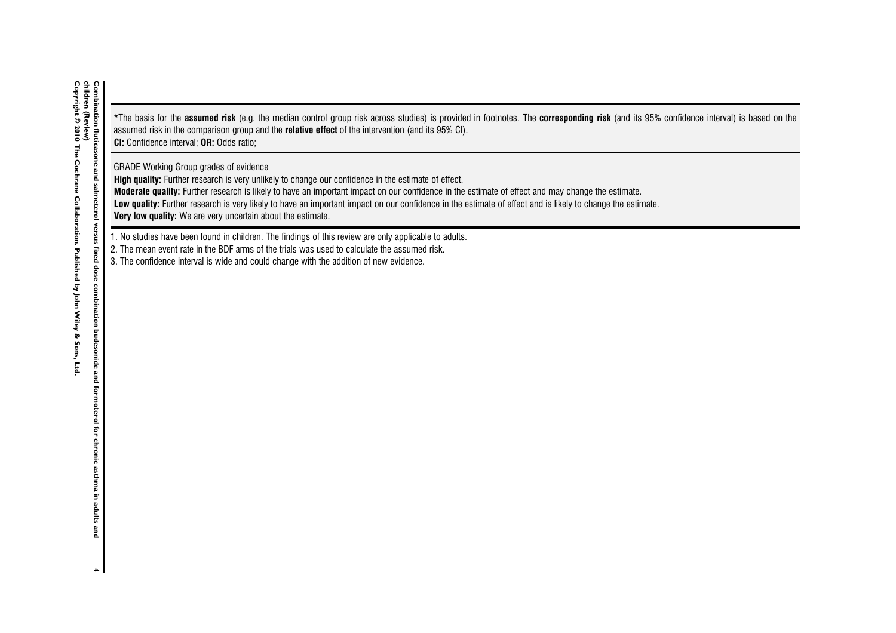\*The basis for the **assumed risk** (e.g. the median control group risk across studies) is provided in footnotes. The **corresponding risk** (and its 95% confidence interval) is based on the assumed risk in the comparison group and the **relative effect** of the intervention (and its 95% CI). **CI:** Confidence interval; **OR:** Odds ratio;

GRADE Working Group grades of evidence

**High quality:** Further research is very unlikely to change our confidence in the estimate of effect.

**Moderate quality:** Further research is likely to have an important impact on our confidence in the estimate of effect and may change the estimate.

Low quality: Further research is very likely to have an important impact on our confidence in the estimate of effect and is likely to change the estimate.

**Very low quality:** We are very uncertain about the estimate.

1. No studies have been found in children. The findings of this review are only applicable to adults.

2. The mean event rate in the BDF arms of the trials was used to calculate the assumed risk.

3. The confidence interval is wide and could change with the addition of new evidence.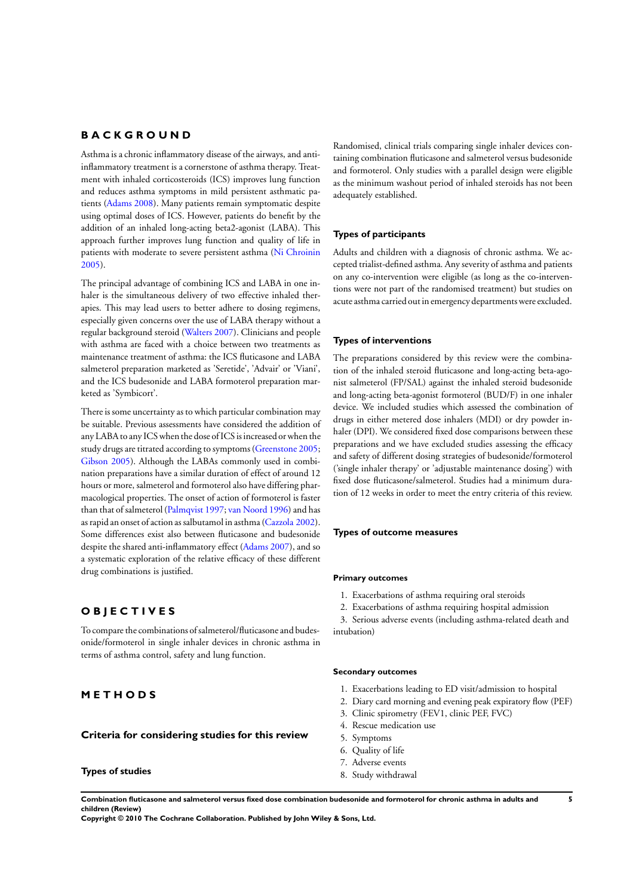# **B A C K G R O U N D**

Asthma is a chronic inflammatory disease of the airways, and antiinflammatory treatment is a cornerstone of asthma therapy. Treatment with inhaled corticosteroids (ICS) improves lung function and reduces asthma symptoms in mild persistent asthmatic patients [\(Adams 2008](#page-17-0)). Many patients remain symptomatic despite using optimal doses of ICS. However, patients do benefit by the addition of an inhaled long-acting beta2-agonist (LABA). This approach further improves lung function and quality of life in patients with moderate to severe persistent asthma [\(Ni Chroinin](#page-17-0) [2005](#page-17-0)).

The principal advantage of combining ICS and LABA in one inhaler is the simultaneous delivery of two effective inhaled therapies. This may lead users to better adhere to dosing regimens, especially given concerns over the use of LABA therapy without a regular background steroid ([Walters 2007](#page-17-0)). Clinicians and people with asthma are faced with a choice between two treatments as maintenance treatment of asthma: the ICS fluticasone and LABA salmeterol preparation marketed as 'Seretide', 'Advair' or 'Viani', and the ICS budesonide and LABA formoterol preparation marketed as 'Symbicort'.

There is some uncertainty as to which particular combination may be suitable. Previous assessments have considered the addition of any LABA to any ICS when the dose of ICS is increased or when the study drugs are titrated according to symptoms ([Greenstone 2005;](#page-17-0) [Gibson 2005\)](#page-17-0). Although the LABAs commonly used in combination preparations have a similar duration of effect of around 12 hours or more, salmeterol and formoterol also have differing pharmacological properties. The onset of action of formoterol is faster than that of salmeterol [\(Palmqvist 1997;](#page-17-0) [van Noord 1996\)](#page-17-0) and has as rapid an onset of action as salbutamol in asthma ([Cazzola 2002](#page-17-0)). Some differences exist also between fluticasone and budesonide despite the shared anti-inflammatory effect [\(Adams 2007](#page-17-0)), and so a systematic exploration of the relative efficacy of these different drug combinations is justified.

# **O B J E C T I V E S**

To compare the combinations of salmeterol/fluticasone and budesonide/formoterol in single inhaler devices in chronic asthma in terms of asthma control, safety and lung function.

# **M E T H O D S**

#### **Criteria for considering studies for this review**

#### **Types of studies**

Randomised, clinical trials comparing single inhaler devices containing combination fluticasone and salmeterol versus budesonide and formoterol. Only studies with a parallel design were eligible as the minimum washout period of inhaled steroids has not been adequately established.

#### **Types of participants**

Adults and children with a diagnosis of chronic asthma. We accepted trialist-defined asthma. Any severity of asthma and patients on any co-intervention were eligible (as long as the co-interventions were not part of the randomised treatment) but studies on acute asthma carried out in emergency departments were excluded.

#### **Types of interventions**

The preparations considered by this review were the combination of the inhaled steroid fluticasone and long-acting beta-agonist salmeterol (FP/SAL) against the inhaled steroid budesonide and long-acting beta-agonist formoterol (BUD/F) in one inhaler device. We included studies which assessed the combination of drugs in either metered dose inhalers (MDI) or dry powder inhaler (DPI). We considered fixed dose comparisons between these preparations and we have excluded studies assessing the efficacy and safety of different dosing strategies of budesonide/formoterol ('single inhaler therapy' or 'adjustable maintenance dosing') with fixed dose fluticasone/salmeterol. Studies had a minimum duration of 12 weeks in order to meet the entry criteria of this review.

#### **Types of outcome measures**

#### **Primary outcomes**

- 1. Exacerbations of asthma requiring oral steroids
- 2. Exacerbations of asthma requiring hospital admission

3. Serious adverse events (including asthma-related death and intubation)

#### **Secondary outcomes**

- 1. Exacerbations leading to ED visit/admission to hospital
- 2. Diary card morning and evening peak expiratory flow (PEF)
- 3. Clinic spirometry (FEV1, clinic PEF, FVC)
- 4. Rescue medication use
- 5. Symptoms
- 6. Quality of life
- 7. Adverse events
- 8. Study withdrawal

**Combination fluticasone and salmeterol versus fixed dose combination budesonide and formoterol for chronic asthma in adults and 5 children (Review)**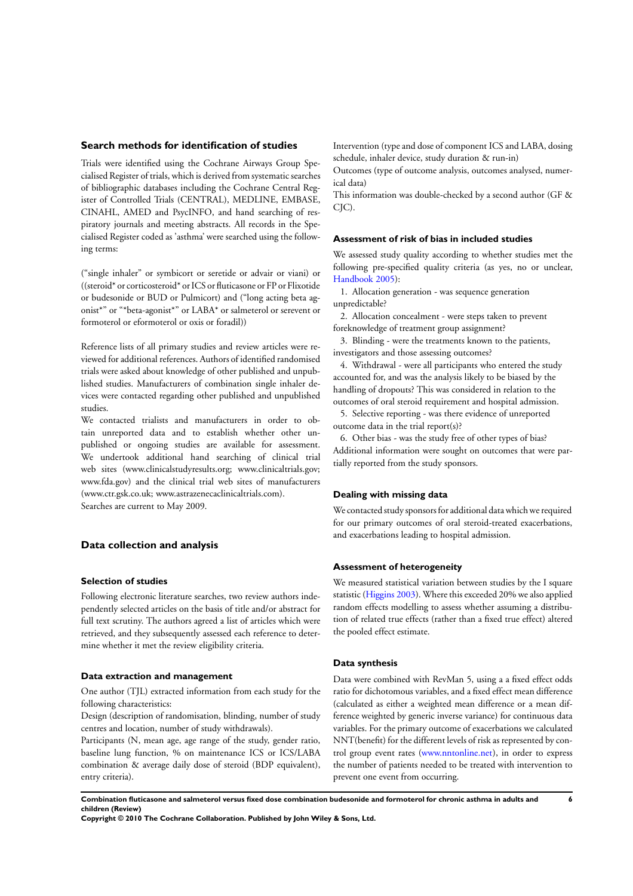#### **Search methods for identification of studies**

Trials were identified using the Cochrane Airways Group Specialised Register of trials, which is derived from systematic searches of bibliographic databases including the Cochrane Central Register of Controlled Trials (CENTRAL), MEDLINE, EMBASE, CINAHL, AMED and PsycINFO, and hand searching of respiratory journals and meeting abstracts. All records in the Specialised Register coded as 'asthma' were searched using the following terms:

("single inhaler" or symbicort or seretide or advair or viani) or ((steroid\* or corticosteroid\* or ICS or fluticasone or FP or Flixotide or budesonide or BUD or Pulmicort) and ("long acting beta agonist\*" or "\*beta-agonist\*" or LABA\* or salmeterol or serevent or formoterol or eformoterol or oxis or foradil))

Reference lists of all primary studies and review articles were reviewed for additional references. Authors of identified randomised trials were asked about knowledge of other published and unpublished studies. Manufacturers of combination single inhaler devices were contacted regarding other published and unpublished studies.

We contacted trialists and manufacturers in order to obtain unreported data and to establish whether other unpublished or ongoing studies are available for assessment. We undertook additional hand searching of clinical trial web sites (www.clinicalstudyresults.org; www.clinicaltrials.gov; www.fda.gov) and the clinical trial web sites of manufacturers (www.ctr.gsk.co.uk; www.astrazenecaclinicaltrials.com). Searches are current to May 2009.

#### **Data collection and analysis**

#### **Selection of studies**

Following electronic literature searches, two review authors independently selected articles on the basis of title and/or abstract for full text scrutiny. The authors agreed a list of articles which were retrieved, and they subsequently assessed each reference to determine whether it met the review eligibility criteria.

#### **Data extraction and management**

One author (TJL) extracted information from each study for the following characteristics:

Design (description of randomisation, blinding, number of study centres and location, number of study withdrawals).

Participants (N, mean age, age range of the study, gender ratio, baseline lung function, % on maintenance ICS or ICS/LABA combination & average daily dose of steroid (BDP equivalent), entry criteria).

Intervention (type and dose of component ICS and LABA, dosing schedule, inhaler device, study duration & run-in)

Outcomes (type of outcome analysis, outcomes analysed, numerical data)

This information was double-checked by a second author (GF & CJC).

#### **Assessment of risk of bias in included studies**

We assessed study quality according to whether studies met the following pre-specified quality criteria (as yes, no or unclear, [Handbook 2005](#page-17-0)):

1. Allocation generation - was sequence generation unpredictable?

2. Allocation concealment - were steps taken to prevent foreknowledge of treatment group assignment?

3. Blinding - were the treatments known to the patients, investigators and those assessing outcomes?

4. Withdrawal - were all participants who entered the study accounted for, and was the analysis likely to be biased by the handling of dropouts? This was considered in relation to the outcomes of oral steroid requirement and hospital admission.

5. Selective reporting - was there evidence of unreported outcome data in the trial report(s)?

6. Other bias - was the study free of other types of bias? Additional information were sought on outcomes that were partially reported from the study sponsors.

#### **Dealing with missing data**

We contacted study sponsors for additional data which we required for our primary outcomes of oral steroid-treated exacerbations, and exacerbations leading to hospital admission.

#### **Assessment of heterogeneity**

We measured statistical variation between studies by the I square statistic ([Higgins 2003\)](#page-17-0). Where this exceeded 20% we also applied random effects modelling to assess whether assuming a distribution of related true effects (rather than a fixed true effect) altered the pooled effect estimate.

#### **Data synthesis**

Data were combined with RevMan 5, using a a fixed effect odds ratio for dichotomous variables, and a fixed effect mean difference (calculated as either a weighted mean difference or a mean difference weighted by generic inverse variance) for continuous data variables. For the primary outcome of exacerbations we calculated NNT(benefit) for the different levels of risk as represented by control group event rates [\(www.nntonline.net](#page-17-0)), in order to express the number of patients needed to be treated with intervention to prevent one event from occurring.

**Combination fluticasone and salmeterol versus fixed dose combination budesonide and formoterol for chronic asthma in adults and 6 children (Review)**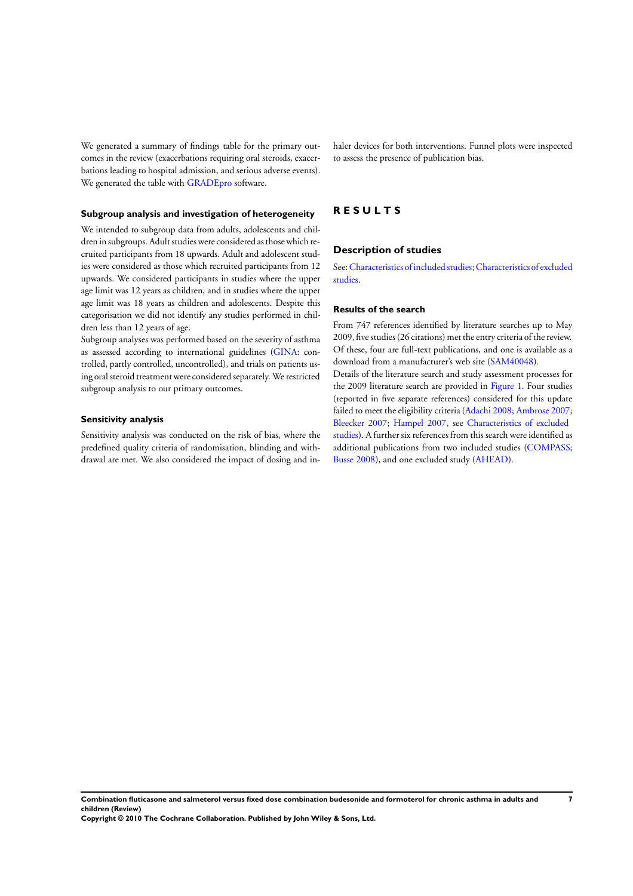We generated a summary of findings table for the primary outcomes in the review (exacerbations requiring oral steroids, exacerbations leading to hospital admission, and serious adverse events). We generated the table with **[GRADEpro](http://www.gradeworkinggroup.org/)** software.

# **Subgroup analysis and investigation of heterogeneity**

We intended to subgroup data from adults, adolescents and children in subgroups. Adult studies were considered as those which recruited participants from 18 upwards. Adult and adolescent studies were considered as those which recruited participants from 12 upwards. We considered participants in studies where the upper age limit was 12 years as children, and in studies where the upper age limit was 18 years as children and adolescents. Despite this categorisation we did not identify any studies performed in children less than 12 years of age.

Subgroup analyses was performed based on the severity of asthma as assessed according to international guidelines ([GINA](#page-17-0): controlled, partly controlled, uncontrolled), and trials on patients using oral steroid treatment were considered separately. We restricted subgroup analysis to our primary outcomes.

#### **Sensitivity analysis**

Sensitivity analysis was conducted on the risk of bias, where the predefined quality criteria of randomisation, blinding and withdrawal are met. We also considered the impact of dosing and inhaler devices for both interventions. Funnel plots were inspected to assess the presence of publication bias.

# **R E S U L T S**

#### **Description of studies**

See:[Characteristics of included studies;](#page-23-0)[Characteristics of excluded](#page-30-0) [studies.](#page-30-0)

#### **Results of the search**

From 747 references identified by literature searches up to May 2009, five studies (26 citations) met the entry criteria of the review. Of these, four are full-text publications, and one is available as a download from a manufacturer's web site ([SAM40048\)](#page-17-0).

Details of the literature search and study assessment processes for the 2009 literature search are provided in [Figure 1](#page-10-0). Four studies (reported in five separate references) considered for this update failed to meet the eligibility criteria [\(Adachi 2008](#page-17-0); [Ambrose 2007;](#page-17-0) [Bleecker 2007;](#page-17-0) [Hampel 2007,](#page-17-0) see [Characteristics of excluded](#page-30-0) [studies\)](#page-30-0). A further six references from this search were identified as additional publications from two included studies [\(COMPASS;](#page-17-0) [Busse 2008\)](#page-17-0), and one excluded study ([AHEAD\)](#page-17-0).

**Copyright © 2010 The Cochrane Collaboration. Published by John Wiley & Sons, Ltd.**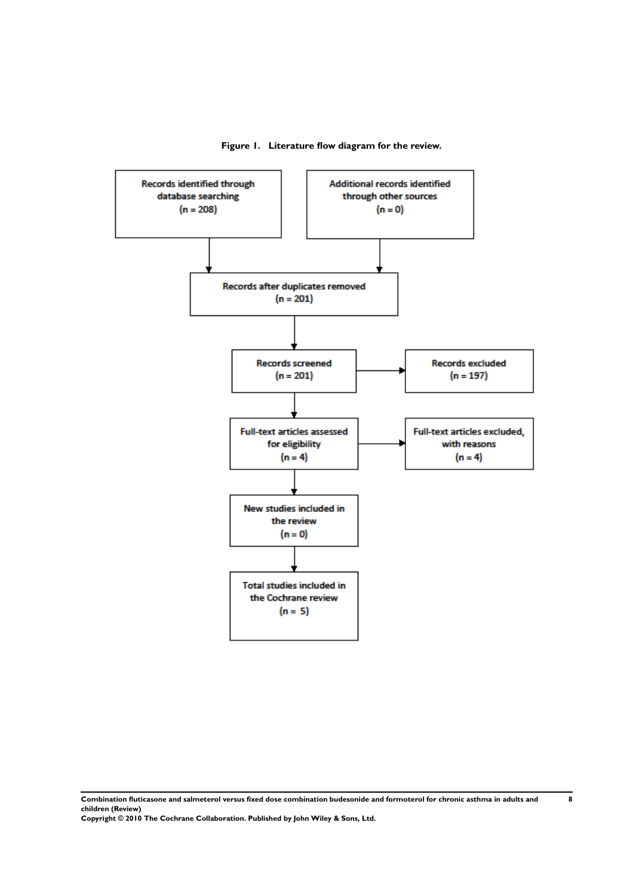<span id="page-10-0"></span>

**Figure 1. Literature flow diagram for the review.**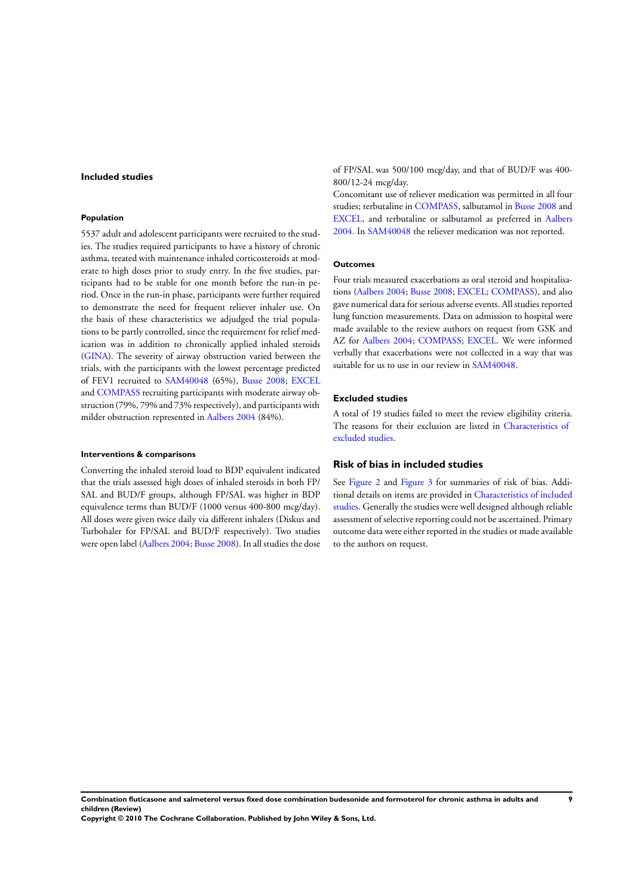# **Included studies**

#### **Population**

5537 adult and adolescent participants were recruited to the studies. The studies required participants to have a history of chronic asthma, treated with maintenance inhaled corticosteroids at moderate to high doses prior to study entry. In the five studies, participants had to be stable for one month before the run-in period. Once in the run-in phase, participants were further required to demonstrate the need for frequent reliever inhaler use. On the basis of these characteristics we adjudged the trial populations to be partly controlled, since the requirement for relief medication was in addition to chronically applied inhaled steroids [\(GINA](#page-17-0)). The severity of airway obstruction varied between the trials, with the participants with the lowest percentage predicted of FEV1 recruited to [SAM40048](#page-17-0) (65%), [Busse 2008](#page-17-0); [EXCEL](#page-17-0) and [COMPASS](#page-17-0) recruiting participants with moderate airway obstruction (79%, 79% and 73% respectively), and participants with milder obstruction represented in [Aalbers 2004](#page-17-0) (84%).

#### **Interventions & comparisons**

Converting the inhaled steroid load to BDP equivalent indicated that the trials assessed high doses of inhaled steroids in both FP/ SAL and BUD/F groups, although FP/SAL was higher in BDP equivalence terms than BUD/F (1000 versus 400-800 mcg/day). All doses were given twice daily via different inhalers (Diskus and Turbohaler for FP/SAL and BUD/F respectively). Two studies were open label ([Aalbers 2004;](#page-17-0) [Busse 2008\)](#page-17-0). In all studies the dose of FP/SAL was 500/100 mcg/day, and that of BUD/F was 400- 800/12-24 mcg/day.

Concomitant use of reliever medication was permitted in all four studies; terbutaline in [COMPASS](#page-17-0), salbutamol in [Busse 2008](#page-17-0) and [EXCEL,](#page-17-0) and terbutaline or salbutamol as preferred in [Aalbers](#page-17-0) [2004](#page-17-0). In [SAM40048](#page-17-0) the reliever medication was not reported.

#### **Outcomes**

Four trials measured exacerbations as oral steroid and hospitalisations [\(Aalbers 2004](#page-17-0); [Busse 2008](#page-17-0); [EXCEL](#page-17-0); [COMPASS](#page-17-0)), and also gave numerical data for serious adverse events. All studies reported lung function measurements. Data on admission to hospital were made available to the review authors on request from GSK and AZ for [Aalbers 2004;](#page-17-0) [COMPASS;](#page-17-0) [EXCEL.](#page-17-0) We were informed verbally that exacerbations were not collected in a way that was suitable for us to use in our review in [SAM40048.](#page-17-0)

#### **Excluded studies**

A total of 19 studies failed to meet the review eligibility criteria. The reasons for their exclusion are listed in [Characteristics of](#page-30-0) [excluded studies.](#page-30-0)

#### **Risk of bias in included studies**

See [Figure 2](#page-12-0) and [Figure 3](#page-13-0) for summaries of risk of bias. Additional details on items are provided in [Characteristics of included](#page-23-0) [studies.](#page-23-0) Generally the studies were well designed although reliable assessment of selective reporting could not be ascertained. Primary outcome data were either reported in the studies or made available to the authors on request.

**Combination fluticasone and salmeterol versus fixed dose combination budesonide and formoterol for chronic asthma in adults and 9 children (Review)**

**Copyright © 2010 The Cochrane Collaboration. Published by John Wiley & Sons, Ltd.**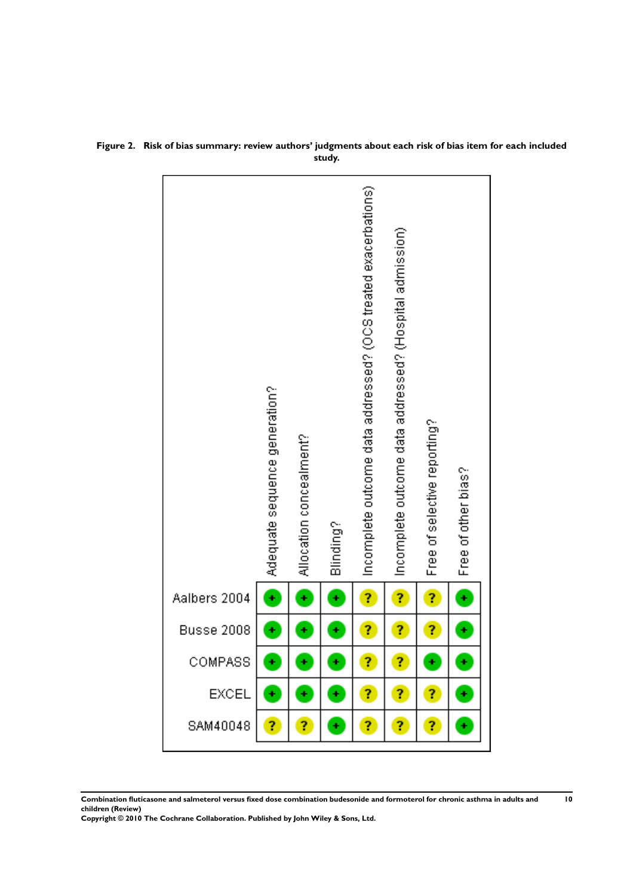

# <span id="page-12-0"></span>**Figure 2. Risk of bias summary: review authors' judgments about each risk of bias item for each included study.**

**Combination fluticasone and salmeterol versus fixed dose combination budesonide and formoterol for chronic asthma in adults and 10 children (Review)**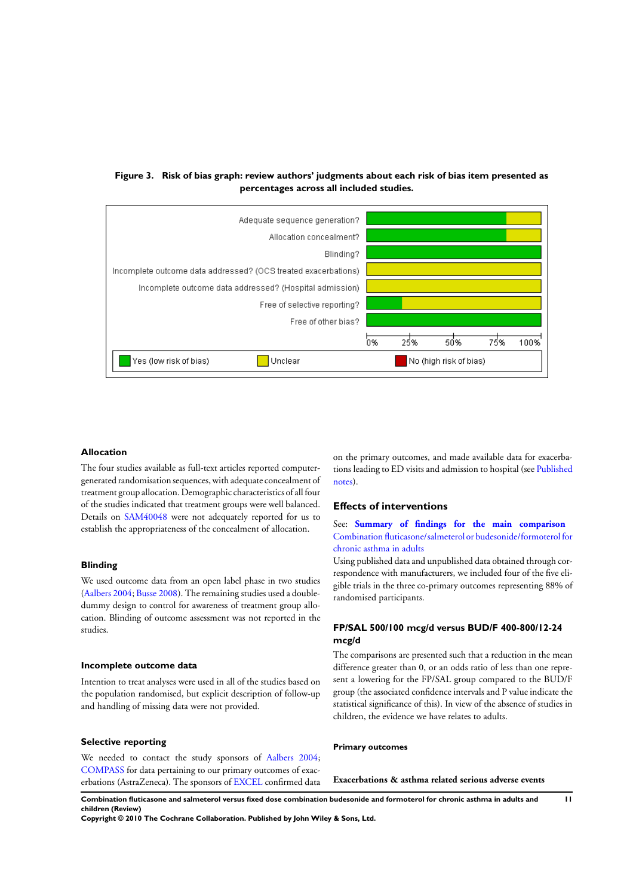<span id="page-13-0"></span>



### **Allocation**

The four studies available as full-text articles reported computergenerated randomisation sequences, with adequate concealment of treatment group allocation. Demographic characteristics of all four of the studies indicated that treatment groups were well balanced. Details on [SAM40048](#page-17-0) were not adequately reported for us to establish the appropriateness of the concealment of allocation.

#### **Blinding**

We used outcome data from an open label phase in two studies [\(Aalbers 2004](#page-17-0); [Busse 2008](#page-17-0)). The remaining studies used a doubledummy design to control for awareness of treatment group allocation. Blinding of outcome assessment was not reported in the studies.

#### **Incomplete outcome data**

Intention to treat analyses were used in all of the studies based on the population randomised, but explicit description of follow-up and handling of missing data were not provided.

#### **Selective reporting**

We needed to contact the study sponsors of [Aalbers 2004;](#page-17-0) [COMPASS](#page-17-0) for data pertaining to our primary outcomes of exacerbations (AstraZeneca). The sponsors of [EXCEL](#page-17-0) confirmed data on the primary outcomes, and made available data for exacerbations leading to ED visits and admission to hospital (see [Published](#page-47-0) [notes\)](#page-47-0).

#### **Effects of interventions**

# See: **[Summary of findings for the main comparison](#page-5-0)** [Combination fluticasone/salmeterol or budesonide/formoterol for](#page-5-0) [chronic asthma in adults](#page-5-0)

Using published data and unpublished data obtained through correspondence with manufacturers, we included four of the five eligible trials in the three co-primary outcomes representing 88% of randomised participants.

# **FP/SAL 500/100 mcg/d versus BUD/F 400-800/12-24 mcg/d**

The comparisons are presented such that a reduction in the mean difference greater than 0, or an odds ratio of less than one represent a lowering for the FP/SAL group compared to the BUD/F group (the associated confidence intervals and P value indicate the statistical significance of this). In view of the absence of studies in children, the evidence we have relates to adults.

#### **Primary outcomes**

**Exacerbations & asthma related serious adverse events**

**Combination fluticasone and salmeterol versus fixed dose combination budesonide and formoterol for chronic asthma in adults and 11 children (Review)**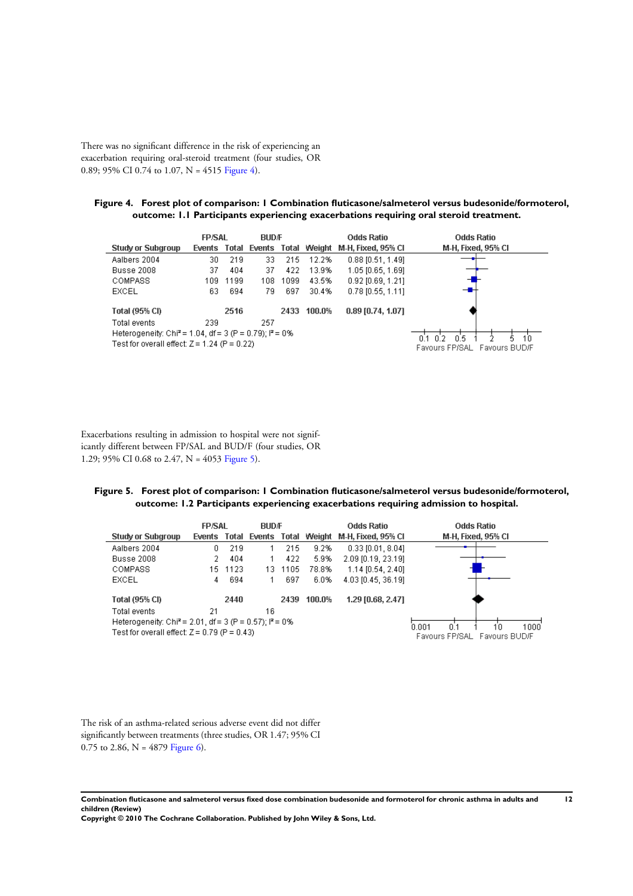There was no significant difference in the risk of experiencing an exacerbation requiring oral-steroid treatment (four studies, OR 0.89; 95% CI 0.74 to 1.07, N = 4515 Figure 4).

# **Figure 4. Forest plot of comparison: 1 Combination fluticasone/salmeterol versus budesonide/formoterol, outcome: 1.1 Participants experiencing exacerbations requiring oral steroid treatment.**

|                                                                      | <b>FP/SAL</b> |      | <b>BUD</b> F |      |                                  | <b>Odds Ratio</b>         | <b>Odds Ratio</b>            |
|----------------------------------------------------------------------|---------------|------|--------------|------|----------------------------------|---------------------------|------------------------------|
| Study or Subgroup                                                    | Events        |      |              |      | <b>Total Events Total Weight</b> | <b>M-H, Fixed, 95% CI</b> | <b>M-H, Fixed, 95% CI</b>    |
| Aalbers 2004                                                         | 30.           | 219  | 33           | 215  | 12.2%                            | $0.88$ [0.51, 1.49]       |                              |
| Busse 2008                                                           | 37            | 404  | 37           | 422  | 13.9%                            | 1.05 [0.65, 1.69]         |                              |
| <b>COMPASS</b>                                                       | 109           | 1199 | 108          | 1099 | 43.5%                            | 0.92 [0.69, 1.21]         |                              |
| <b>EXCEL</b>                                                         | 63            | 694  | 79           | 697  | 30.4%                            | $0.78$ [0.55, 1.11]       |                              |
| Total (95% CI)                                                       |               | 2516 |              | 2433 | 100.0%                           | 0.89 [0.74, 1.07]         |                              |
| Total events                                                         | 239           |      | 257          |      |                                  |                           |                              |
| Heterogeneity: Chi <sup>2</sup> = 1.04, df = 3 (P = 0.79); $P = 0\%$ |               |      |              |      |                                  |                           | 0.5<br>10<br>በ 1             |
| Test for overall effect: $Z = 1.24$ (P = 0.22)                       |               |      |              |      |                                  |                           | Favours FP/SAL Favours BUD/F |

Exacerbations resulting in admission to hospital were not significantly different between FP/SAL and BUD/F (four studies, OR 1.29; 95% CI 0.68 to 2.47, N = 4053 Figure 5).

# **Figure 5. Forest plot of comparison: 1 Combination fluticasone/salmeterol versus budesonide/formoterol, outcome: 1.2 Participants experiencing exacerbations requiring admission to hospital.**

|                                                                      | <b>FP/SAL</b> | <b>BUD</b> <sup>F</sup> |      |        | <b>Odds Ratio</b>   | <b>Odds Ratio</b>               |
|----------------------------------------------------------------------|---------------|-------------------------|------|--------|---------------------|---------------------------------|
| <b>Study or Subgroup</b>                                             | Events        | Events Total<br>Total   |      | Weight | M-H, Fixed, 95% CI  | M-H, Fixed, 95% CI              |
| Aalbers 2004                                                         | 0             | 219                     | 215  | 9.2%   | $0.33$ [0.01, 8.04] |                                 |
| Busse 2008                                                           | 2             | 404                     | 422  | 5.9%   | 2.09 [0.19, 23.19]  |                                 |
| <b>COMPASS</b>                                                       | 15.           | 1123<br>13.             | 1105 | 78.8%  | 1.14 [0.54, 2.40]   |                                 |
| <b>EXCEL</b>                                                         | 4             | 694                     | 697  | 6.0%   | 4.03 [0.45, 36.19]  |                                 |
| Total (95% CI)                                                       |               | 2440                    | 2439 | 100.0% | 1.29 [0.68, 2.47]   |                                 |
| Total events                                                         | 21            | 16                      |      |        |                     |                                 |
| Heterogeneity: Chi <sup>2</sup> = 2.01, df = 3 (P = 0.57); $P = 0\%$ |               |                         |      |        |                     | 1000<br>0.001<br>n 1<br>10      |
| Test for overall effect: $Z = 0.79$ (P = 0.43)                       |               |                         |      |        |                     | Favours FP/SAL<br>Favours BUD/F |

The risk of an asthma-related serious adverse event did not differ significantly between treatments (three studies, OR 1.47; 95% CI 0.75 to 2.86,  $N = 4879$  [Figure 6\)](#page-15-0).

**Copyright © 2010 The Cochrane Collaboration. Published by John Wiley & Sons, Ltd.**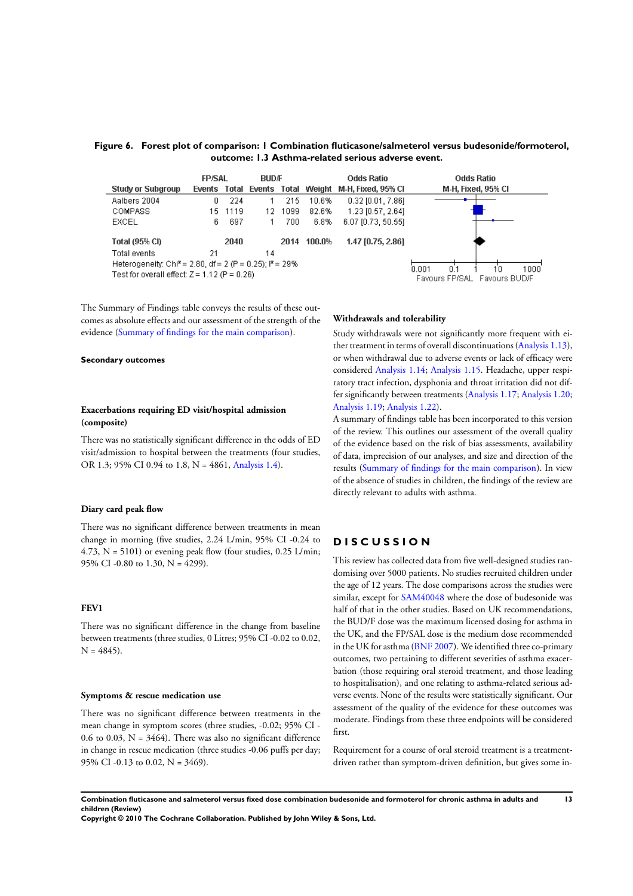<span id="page-15-0"></span>

|                                                                       | <b>FP/SAL</b> |      | <b>BUD</b> F |      |        | <b>Odds Ratio</b>                                   | <b>Odds Ratio</b>               |
|-----------------------------------------------------------------------|---------------|------|--------------|------|--------|-----------------------------------------------------|---------------------------------|
| <b>Study or Subgroup</b>                                              |               |      |              |      |        | Events Total Events Total Weight M-H, Fixed, 95% CI | <b>M-H, Fixed, 95% CI</b>       |
| Aalbers 2004                                                          | 0.            | 224  |              | 215  | 10.6%  | $0.32$ [0.01, 7.86]                                 |                                 |
| <b>COMPASS</b>                                                        | 15.           | 1119 | 12           | 1099 | 82.6%  | 1.23 [0.57, 2.64]                                   |                                 |
| <b>EXCEL</b>                                                          | 6.            | 697  |              | 700  | 6.8%   | 6.07 [0.73, 50.55]                                  |                                 |
| Total (95% CI)                                                        |               | 2040 |              | 2014 | 100.0% | 1.47 [0.75, 2.86]                                   |                                 |
| Total events                                                          | 21            |      | 14           |      |        |                                                     |                                 |
| Heterogeneity: Chi <sup>2</sup> = 2.80, df = 2 (P = 0.25); $P = 29\%$ |               |      |              |      |        |                                                     | 1000<br>0.001<br>0.1<br>10      |
| Test for overall effect: $Z = 1.12$ (P = 0.26)                        |               |      |              |      |        |                                                     | Favours FP/SAL<br>Favours BUD/F |

The Summary of Findings table conveys the results of these outcomes as absolute effects and our assessment of the strength of the evidence [\(Summary of findings for the main comparison\)](#page-5-0).

#### **Secondary outcomes**

# **Exacerbations requiring ED visit/hospital admission (composite)**

There was no statistically significant difference in the odds of ED visit/admission to hospital between the treatments (four studies, OR 1.3; 95% CI 0.94 to 1.8, N = 4861, [Analysis 1.4](#page-35-0)).

#### **Diary card peak flow**

There was no significant difference between treatments in mean change in morning (five studies, 2.24 L/min, 95% CI -0.24 to 4.73,  $N = 5101$ ) or evening peak flow (four studies, 0.25 L/min; 95% CI -0.80 to 1.30, N = 4299).

#### **FEV1**

There was no significant difference in the change from baseline between treatments (three studies, 0 Litres; 95% CI -0.02 to 0.02,  $N = 4845$ .

#### **Symptoms & rescue medication use**

There was no significant difference between treatments in the mean change in symptom scores (three studies, -0.02; 95% CI - 0.6 to 0.03,  $N = 3464$ ). There was also no significant difference in change in rescue medication (three studies -0.06 puffs per day; 95% CI -0.13 to 0.02, N = 3469).

#### **Withdrawals and tolerability**

Study withdrawals were not significantly more frequent with either treatment in terms of overall discontinuations [\(Analysis 1.13](#page-40-0)), or when withdrawal due to adverse events or lack of efficacy were considered [Analysis 1.14;](#page-41-0) [Analysis 1.15.](#page-41-0) Headache, upper respiratory tract infection, dysphonia and throat irritation did not differ significantly between treatments ([Analysis 1.17;](#page-42-0) [Analysis 1.20;](#page-44-0) [Analysis 1.19](#page-43-0); [Analysis 1.22](#page-45-0)).

A summary of findings table has been incorporated to this version of the review. This outlines our assessment of the overall quality of the evidence based on the risk of bias assessments, availability of data, imprecision of our analyses, and size and direction of the results ([Summary of findings for the main comparison](#page-5-0)). In view of the absence of studies in children, the findings of the review are directly relevant to adults with asthma.

# **D I S C U S S I O N**

This review has collected data from five well-designed studies randomising over 5000 patients. No studies recruited children under the age of 12 years. The dose comparisons across the studies were similar, except for [SAM40048](#page-17-0) where the dose of budesonide was half of that in the other studies. Based on UK recommendations, the BUD/F dose was the maximum licensed dosing for asthma in the UK, and the FP/SAL dose is the medium dose recommended in the UK for asthma [\(BNF 2007](#page-17-0)). We identified three co-primary outcomes, two pertaining to different severities of asthma exacerbation (those requiring oral steroid treatment, and those leading to hospitalisation), and one relating to asthma-related serious adverse events. None of the results were statistically significant. Our assessment of the quality of the evidence for these outcomes was moderate. Findings from these three endpoints will be considered first.

Requirement for a course of oral steroid treatment is a treatmentdriven rather than symptom-driven definition, but gives some in-

**Combination fluticasone and salmeterol versus fixed dose combination budesonide and formoterol for chronic asthma in adults and 13 children (Review)**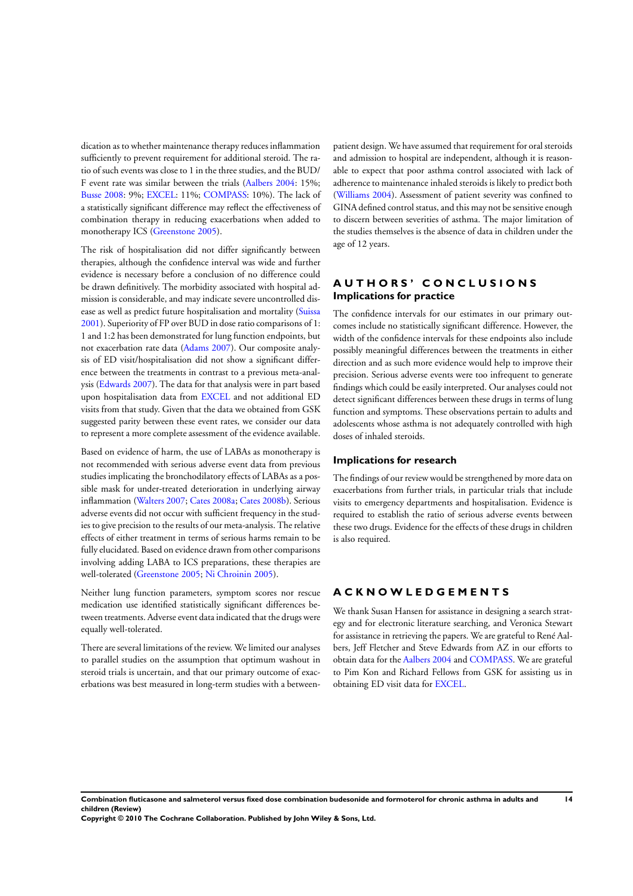dication as to whether maintenance therapy reduces inflammation sufficiently to prevent requirement for additional steroid. The ratio of such events was close to 1 in the three studies, and the BUD/ F event rate was similar between the trials ([Aalbers 2004](#page-17-0): 15%; [Busse 2008](#page-17-0): 9%; [EXCEL](#page-17-0): 11%; [COMPASS:](#page-17-0) 10%). The lack of a statistically significant difference may reflect the effectiveness of combination therapy in reducing exacerbations when added to monotherapy ICS ([Greenstone 2005\)](#page-17-0).

The risk of hospitalisation did not differ significantly between therapies, although the confidence interval was wide and further evidence is necessary before a conclusion of no difference could be drawn definitively. The morbidity associated with hospital admission is considerable, and may indicate severe uncontrolled disease as well as predict future hospitalisation and mortality ([Suissa](#page-17-0) [2001](#page-17-0)). Superiority of FP over BUD in dose ratio comparisons of 1: 1 and 1:2 has been demonstrated for lung function endpoints, but not exacerbation rate data ([Adams 2007\)](#page-17-0). Our composite analysis of ED visit/hospitalisation did not show a significant difference between the treatments in contrast to a previous meta-analysis [\(Edwards 2007\)](#page-17-0). The data for that analysis were in part based upon hospitalisation data from [EXCEL](#page-17-0) and not additional ED visits from that study. Given that the data we obtained from GSK suggested parity between these event rates, we consider our data to represent a more complete assessment of the evidence available.

Based on evidence of harm, the use of LABAs as monotherapy is not recommended with serious adverse event data from previous studies implicating the bronchodilatory effects of LABAs as a possible mask for under-treated deterioration in underlying airway inflammation [\(Walters 2007](#page-17-0); [Cates 2008a](#page-17-0); [Cates 2008b](#page-17-0)). Serious adverse events did not occur with sufficient frequency in the studies to give precision to the results of our meta-analysis. The relative effects of either treatment in terms of serious harms remain to be fully elucidated. Based on evidence drawn from other comparisons involving adding LABA to ICS preparations, these therapies are well-tolerated ([Greenstone 2005](#page-17-0); [Ni Chroinin 2005\)](#page-17-0).

Neither lung function parameters, symptom scores nor rescue medication use identified statistically significant differences between treatments. Adverse event data indicated that the drugs were equally well-tolerated.

There are several limitations of the review. We limited our analyses to parallel studies on the assumption that optimum washout in steroid trials is uncertain, and that our primary outcome of exacerbations was best measured in long-term studies with a betweenpatient design. We have assumed that requirement for oral steroids and admission to hospital are independent, although it is reasonable to expect that poor asthma control associated with lack of adherence to maintenance inhaled steroids is likely to predict both [\(Williams 2004](#page-17-0)). Assessment of patient severity was confined to GINA defined control status, and this may not be sensitive enough to discern between severities of asthma. The major limitation of the studies themselves is the absence of data in children under the age of 12 years.

# **A U T H O R S ' C O N C L U S I O N S Implications for practice**

The confidence intervals for our estimates in our primary outcomes include no statistically significant difference. However, the width of the confidence intervals for these endpoints also include possibly meaningful differences between the treatments in either direction and as such more evidence would help to improve their precision. Serious adverse events were too infrequent to generate findings which could be easily interpreted. Our analyses could not detect significant differences between these drugs in terms of lung function and symptoms. These observations pertain to adults and adolescents whose asthma is not adequately controlled with high doses of inhaled steroids.

#### **Implications for research**

The findings of our review would be strengthened by more data on exacerbations from further trials, in particular trials that include visits to emergency departments and hospitalisation. Evidence is required to establish the ratio of serious adverse events between these two drugs. Evidence for the effects of these drugs in children is also required.

# **A C K N O W L E D G E M E N T S**

We thank Susan Hansen for assistance in designing a search strategy and for electronic literature searching, and Veronica Stewart for assistance in retrieving the papers. We are grateful to René Aalbers, Jeff Fletcher and Steve Edwards from AZ in our efforts to obtain data for the [Aalbers 2004](#page-17-0) and [COMPASS.](#page-17-0) We are grateful to Pim Kon and Richard Fellows from GSK for assisting us in obtaining ED visit data for [EXCEL](#page-17-0).

**Combination fluticasone and salmeterol versus fixed dose combination budesonide and formoterol for chronic asthma in adults and 14 children (Review)**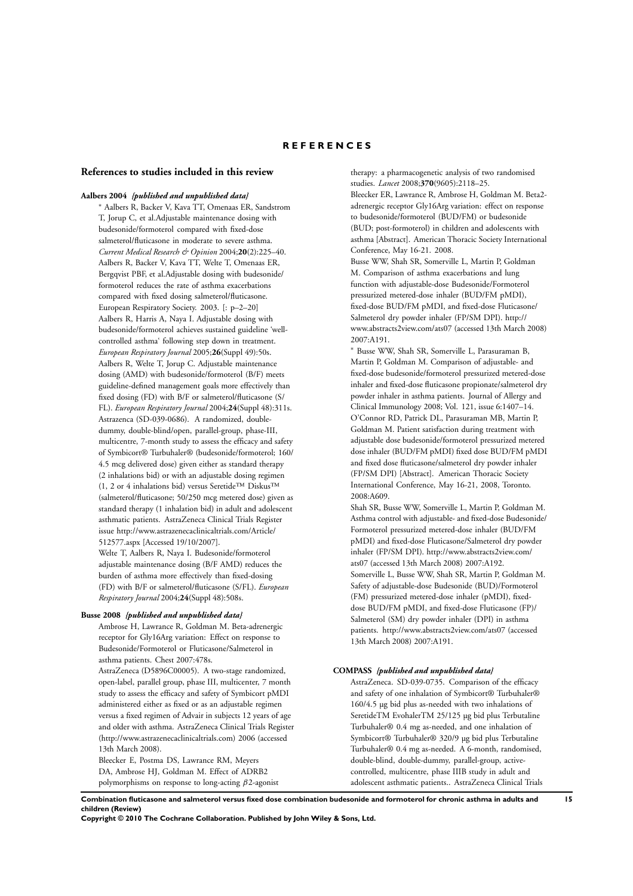#### **R E F E R E N C E S**

#### <span id="page-17-0"></span>**References to studies included in this review**

#### **Aalbers 2004** *{published and unpublished data}*

<sup>∗</sup> Aalbers R, Backer V, Kava TT, Omenaas ER, Sandstrom T, Jorup C, et al.Adjustable maintenance dosing with budesonide/formoterol compared with fixed-dose salmeterol/fluticasone in moderate to severe asthma. *Current Medical Research & Opinion* 2004;**20**(2):225–40. Aalbers R, Backer V, Kava TT, Welte T, Omenaas ER, Bergqvist PBF, et al.Adjustable dosing with budesonide/ formoterol reduces the rate of asthma exacerbations compared with fixed dosing salmeterol/fluticasone. European Respiratory Society. 2003. [: p–2–20] Aalbers R, Harris A, Naya I. Adjustable dosing with budesonide/formoterol achieves sustained guideline 'wellcontrolled asthma' following step down in treatment. *European Respiratory Journal* 2005;**26**(Suppl 49):50s. Aalbers R, Welte T, Jorup C. Adjustable maintenance dosing (AMD) with budesonide/formoterol (B/F) meets guideline-defined management goals more effectively than fixed dosing (FD) with B/F or salmeterol/fluticasone (S/ FL). *European Respiratory Journal* 2004;**24**(Suppl 48):311s. Astrazenca (SD-039-0686). A randomized, doubledummy, double-blind/open, parallel-group, phase-III, multicentre, 7-month study to assess the efficacy and safety of Symbicort® Turbuhaler® (budesonide/formoterol; 160/ 4.5 mcg delivered dose) given either as standard therapy (2 inhalations bid) or with an adjustable dosing regimen (1, 2 or 4 inhalations bid) versus Seretide™ Diskus™ (salmeterol/fluticasone; 50/250 mcg metered dose) given as standard therapy (1 inhalation bid) in adult and adolescent asthmatic patients. AstraZeneca Clinical Trials Register issue http://www.astrazenecaclinicaltrials.com/Article/ 512577.aspx [Accessed 19/10/2007]. Welte T, Aalbers R, Naya I. Budesonide/formoterol adjustable maintenance dosing (B/F AMD) reduces the burden of asthma more effectively than fixed-dosing (FD) with B/F or salmeterol/fluticasone (S/FL). *European Respiratory Journal* 2004;**24**(Suppl 48):508s.

#### **Busse 2008** *{published and unpublished data}*

Ambrose H, Lawrance R, Goldman M. Beta-adrenergic receptor for Gly16Arg variation: Effect on response to Budesonide/Formoterol or Fluticasone/Salmeterol in asthma patients. Chest 2007:478s.

AstraZeneca (D5896C00005). A two-stage randomized, open-label, parallel group, phase III, multicenter, 7 month study to assess the efficacy and safety of Symbicort pMDI administered either as fixed or as an adjustable regimen versus a fixed regimen of Advair in subjects 12 years of age and older with asthma. AstraZeneca Clinical Trials Register (http://www.astrazenecaclinicaltrials.com) 2006 (accessed 13th March 2008).

Bleecker E, Postma DS, Lawrance RM, Meyers DA, Ambrose HJ, Goldman M. Effect of ADRB2 polymorphisms on response to long-acting  $\beta$ 2-agonist therapy: a pharmacogenetic analysis of two randomised studies. *Lancet* 2008;**370**(9605):2118–25.

Bleecker ER, Lawrance R, Ambrose H, Goldman M. Beta2 adrenergic receptor Gly16Arg variation: effect on response to budesonide/formoterol (BUD/FM) or budesonide (BUD; post-formoterol) in children and adolescents with asthma [Abstract]. American Thoracic Society International Conference, May 16-21. 2008.

Busse WW, Shah SR, Somerville L, Martin P, Goldman M. Comparison of asthma exacerbations and lung function with adjustable-dose Budesonide/Formoterol pressurized metered-dose inhaler (BUD/FM pMDI), fixed-dose BUD/FM pMDI, and fixed-dose Fluticasone/ Salmeterol dry powder inhaler (FP/SM DPI). http:// www.abstracts2view.com/ats07 (accessed 13th March 2008) 2007:A191.

Busse WW, Shah SR, Somerville L, Parasuraman B, Martin P, Goldman M. Comparison of adjustable- and fixed-dose budesonide/formoterol pressurized metered-dose inhaler and fixed-dose fluticasone propionate/salmeterol dry powder inhaler in asthma patients. Journal of Allergy and Clinical Immunology 2008; Vol. 121, issue 6:1407–14. O'Connor RD, Patrick DL, Parasuraman MB, Martin P, Goldman M. Patient satisfaction during treatment with adjustable dose budesonide/formoterol pressurized metered dose inhaler (BUD/FM pMDI) fixed dose BUD/FM pMDI and fixed dose fluticasone/salmeterol dry powder inhaler (FP/SM DPI) [Abstract]. American Thoracic Society International Conference, May 16-21, 2008, Toronto. 2008:A609.

Shah SR, Busse WW, Somerville L, Martin P, Goldman M. Asthma control with adjustable- and fixed-dose Budesonide/ Formoterol pressurized metered-dose inhaler (BUD/FM pMDI) and fixed-dose Fluticasone/Salmeterol dry powder inhaler (FP/SM DPI). http://www.abstracts2view.com/ ats07 (accessed 13th March 2008) 2007:A192. Somerville L, Busse WW, Shah SR, Martin P, Goldman M. Safety of adjustable-dose Budesonide (BUD)/Formoterol (FM) pressurized metered-dose inhaler (pMDI), fixeddose BUD/FM pMDI, and fixed-dose Fluticasone (FP)/ Salmeterol (SM) dry powder inhaler (DPI) in asthma patients. http://www.abstracts2view.com/ats07 (accessed 13th March 2008) 2007:A191.

#### **COMPASS** *{published and unpublished data}*

AstraZeneca. SD-039-0735. Comparison of the efficacy and safety of one inhalation of Symbicort® Turbuhaler® 160/4.5 µg bid plus as-needed with two inhalations of SeretideTM EvohalerTM 25/125 µg bid plus Terbutaline Turbuhaler® 0.4 mg as-needed, and one inhalation of Symbicort® Turbuhaler® 320/9 µg bid plus Terbutaline Turbuhaler® 0.4 mg as-needed. A 6-month, randomised, double-blind, double-dummy, parallel-group, activecontrolled, multicentre, phase IIIB study in adult and adolescent asthmatic patients.. AstraZeneca Clinical Trials

**Combination fluticasone and salmeterol versus fixed dose combination budesonide and formoterol for chronic asthma in adults and 15 children (Review)**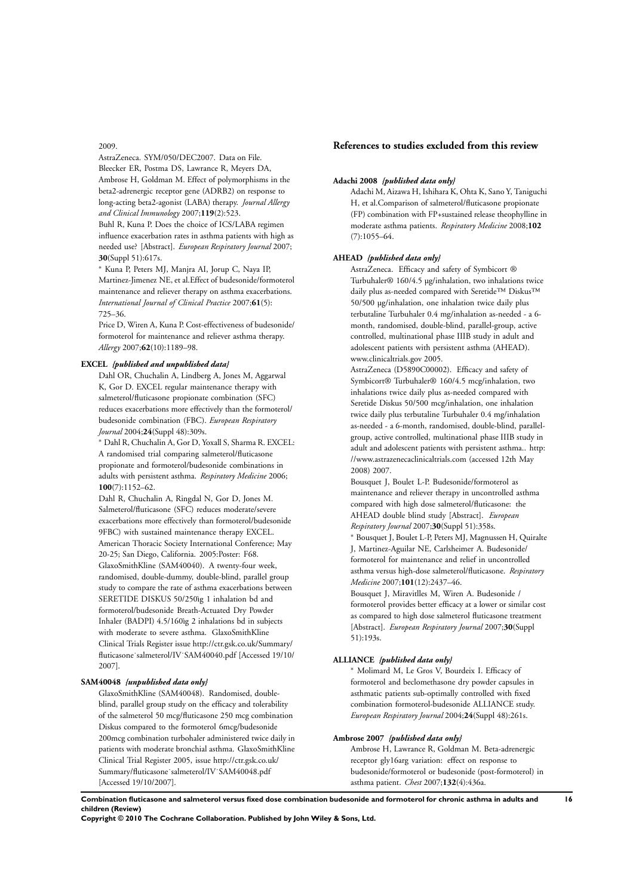# **References to studies excluded from this review**

#### 2009.

AstraZeneca. SYM/050/DEC2007. Data on File. Bleecker ER, Postma DS, Lawrance R, Meyers DA, Ambrose H, Goldman M. Effect of polymorphisms in the beta2-adrenergic receptor gene (ADRB2) on response to long-acting beta2-agonist (LABA) therapy. *Journal Allergy and Clinical Immunology* 2007;**119**(2):523. Buhl R, Kuna P. Does the choice of ICS/LABA regimen

influence exacerbation rates in asthma patients with high as needed use? [Abstract]. *European Respiratory Journal* 2007; **30**(Suppl 51):617s.

Kuna P, Peters MJ, Manjra AI, Jorup C, Naya IP, Martinez-Jimenez NE, et al.Effect of budesonide/formoterol maintenance and reliever therapy on asthma exacerbations. *International Journal of Clinical Practice* 2007;**61**(5): 725–36.

Price D, Wiren A, Kuna P. Cost-effectiveness of budesonide/ formoterol for maintenance and reliever asthma therapy. *Allergy* 2007;**62**(10):1189–98.

#### **EXCEL** *{published and unpublished data}*

Dahl OR, Chuchalin A, Lindberg A, Jones M, Aggarwal K, Gor D. EXCEL regular maintenance therapy with salmeterol/fluticasone propionate combination (SFC) reduces exacerbations more effectively than the formoterol/ budesonide combination (FBC). *European Respiratory Journal* 2004;**24**(Suppl 48):309s.

<sup>∗</sup> Dahl R, Chuchalin A, Gor D, Yoxall S, Sharma R. EXCEL: A randomised trial comparing salmeterol/fluticasone propionate and formoterol/budesonide combinations in adults with persistent asthma. *Respiratory Medicine* 2006; **100**(7):1152–62.

Dahl R, Chuchalin A, Ringdal N, Gor D, Jones M. Salmeterol/fluticasone (SFC) reduces moderate/severe exacerbations more effectively than formoterol/budesonide 9FBC) with sustained maintenance therapy EXCEL. American Thoracic Society International Conference; May 20-25; San Diego, California. 2005:Poster: F68. GlaxoSmithKline (SAM40040). A twenty-four week, randomised, double-dummy, double-blind, parallel group study to compare the rate of asthma exacerbations between SERETIDE DISKUS 50/250ìg 1 inhalation bd and formoterol/budesonide Breath-Actuated Dry Powder Inhaler (BADPI) 4.5/160ìg 2 inhalations bd in subjects with moderate to severe asthma. GlaxoSmithKline Clinical Trials Register issue http://ctr.gsk.co.uk/Summary/ fluticasone˙salmeterol/IV˙SAM40040.pdf [Accessed 19/10/ 2007].

# **SAM40048** *{unpublished data only}*

GlaxoSmithKline (SAM40048). Randomised, doubleblind, parallel group study on the efficacy and tolerability of the salmeterol 50 mcg/fluticasone 250 mcg combination Diskus compared to the formoterol 6mcg/budesonide 200mcg combination turbohaler administered twice daily in patients with moderate bronchial asthma. GlaxoSmithKline Clinical Trial Register 2005, issue http://ctr.gsk.co.uk/ Summary/fluticasone˙salmeterol/IV˙SAM40048.pdf [Accessed 19/10/2007].

# **Adachi 2008** *{published data only}*

Adachi M, Aizawa H, Ishihara K, Ohta K, Sano Y, Taniguchi H, et al.Comparison of salmeterol/fluticasone propionate (FP) combination with FP+sustained release theophylline in moderate asthma patients. *Respiratory Medicine* 2008;**102**  $(7):1055-64.$ 

#### **AHEAD** *{published data only}*

AstraZeneca. Efficacy and safety of Symbicort ® Turbuhaler® 160/4.5 µg/inhalation, two inhalations twice daily plus as-needed compared with Seretide™ Diskus™ 50/500 µg/inhalation, one inhalation twice daily plus terbutaline Turbuhaler 0.4 mg/inhalation as-needed - a 6 month, randomised, double-blind, parallel-group, active controlled, multinational phase IIIB study in adult and adolescent patients with persistent asthma (AHEAD). www.clinicaltrials.gov 2005.

AstraZeneca (D5890C00002). Efficacy and safety of Symbicort® Turbuhaler® 160/4.5 mcg/inhalation, two inhalations twice daily plus as-needed compared with Seretide Diskus 50/500 mcg/inhalation, one inhalation twice daily plus terbutaline Turbuhaler 0.4 mg/inhalation as-needed - a 6-month, randomised, double-blind, parallelgroup, active controlled, multinational phase IIIB study in adult and adolescent patients with persistent asthma.. http: //www.astrazenecaclinicaltrials.com (accessed 12th May 2008) 2007.

Bousquet J, Boulet L-P. Budesonide/formoterol as maintenance and reliever therapy in uncontrolled asthma compared with high dose salmeterol/fluticasone: the AHEAD double blind study [Abstract]. *European Respiratory Journal* 2007;**30**(Suppl 51):358s.

<sup>∗</sup> Bousquet J, Boulet L-P, Peters MJ, Magnussen H, Quiralte J, Martinez-Aguilar NE, Carlsheimer A. Budesonide/ formoterol for maintenance and relief in uncontrolled asthma versus high-dose salmeterol/fluticasone. *Respiratory Medicine* 2007;**101**(12):2437–46.

Bousquet J, Miravitlles M, Wiren A. Budesonide / formoterol provides better efficacy at a lower or similar cost as compared to high dose salmeterol fluticasone treatment [Abstract]. *European Respiratory Journal* 2007;**30**(Suppl 51):193s.

#### **ALLIANCE** *{published data only}*

<sup>∗</sup> Molimard M, Le Gros V, Bourdeix I. Efficacy of formoterol and beclomethasone dry powder capsules in asthmatic patients sub-optimally controlled with fixed combination formoterol-budesonide ALLIANCE study. *European Respiratory Journal* 2004;**24**(Suppl 48):261s.

### **Ambrose 2007** *{published data only}*

Ambrose H, Lawrance R, Goldman M. Beta-adrenergic receptor gly16arg variation: effect on response to budesonide/formoterol or budesonide (post-formoterol) in asthma patient. *Chest* 2007;**132**(4):436a.

**Combination fluticasone and salmeterol versus fixed dose combination budesonide and formoterol for chronic asthma in adults and 16 children (Review)**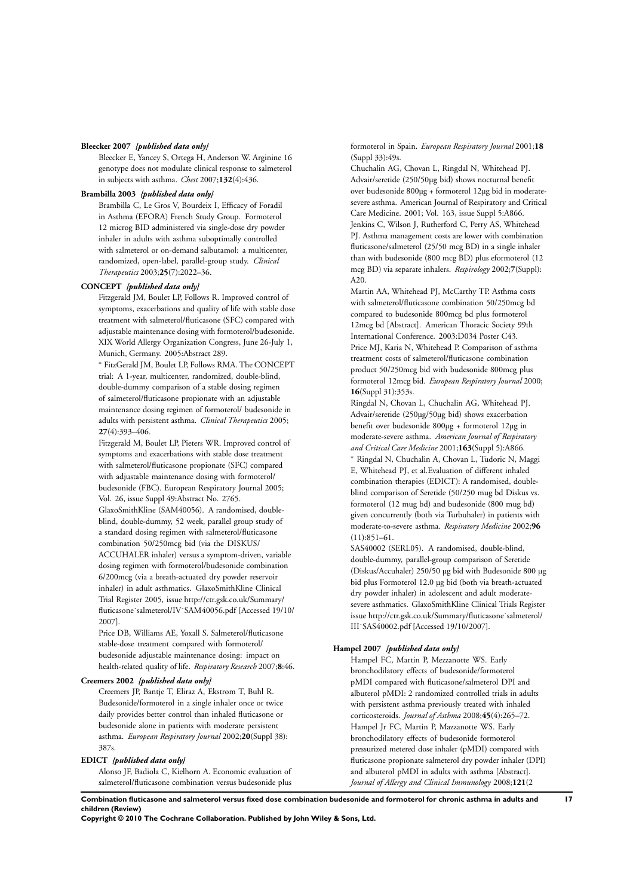#### **Bleecker 2007** *{published data only}*

Bleecker E, Yancey S, Ortega H, Anderson W. Arginine 16 genotype does not modulate clinical response to salmeterol in subjects with asthma. *Chest* 2007;**132**(4):436.

#### **Brambilla 2003** *{published data only}*

Brambilla C, Le Gros V, Bourdeix I, Efficacy of Foradil in Asthma (EFORA) French Study Group. Formoterol 12 microg BID administered via single-dose dry powder inhaler in adults with asthma suboptimally controlled with salmeterol or on-demand salbutamol: a multicenter, randomized, open-label, parallel-group study. *Clinical Therapeutics* 2003;**25**(7):2022–36.

#### **CONCEPT** *{published data only}*

Fitzgerald JM, Boulet LP, Follows R. Improved control of symptoms, exacerbations and quality of life with stable dose treatment with salmeterol/fluticasone (SFC) compared with adjustable maintenance dosing with formoterol/budesonide. XIX World Allergy Organization Congress, June 26-July 1, Munich, Germany. 2005:Abstract 289.

<sup>∗</sup> FitzGerald JM, Boulet LP, Follows RMA. The CONCEPT trial: A 1-year, multicenter, randomized, double-blind, double-dummy comparison of a stable dosing regimen of salmeterol/fluticasone propionate with an adjustable maintenance dosing regimen of formoterol/ budesonide in adults with persistent asthma. *Clinical Therapeutics* 2005; **27**(4):393–406.

Fitzgerald M, Boulet LP, Pieters WR. Improved control of symptoms and exacerbations with stable dose treatment with salmeterol/fluticasone propionate (SFC) compared with adjustable maintenance dosing with formoterol/ budesonide (FBC). European Respiratory Journal 2005; Vol. 26, issue Suppl 49:Abstract No. 2765.

GlaxoSmithKline (SAM40056). A randomised, doubleblind, double-dummy, 52 week, parallel group study of a standard dosing regimen with salmeterol/fluticasone combination 50/250mcg bid (via the DISKUS/ ACCUHALER inhaler) versus a symptom-driven, variable dosing regimen with formoterol/budesonide combination 6/200mcg (via a breath-actuated dry powder reservoir inhaler) in adult asthmatics. GlaxoSmithKline Clinical Trial Register 2005, issue http://ctr.gsk.co.uk/Summary/ fluticasone˙salmeterol/IV˙SAM40056.pdf [Accessed 19/10/ 2007].

Price DB, Williams AE, Yoxall S. Salmeterol/fluticasone stable-dose treatment compared with formoterol/ budesonide adjustable maintenance dosing: impact on health-related quality of life. *Respiratory Research* 2007;**8**:46.

#### **Creemers 2002** *{published data only}*

Creemers JP, Bantje T, Eliraz A, Ekstrom T, Buhl R. Budesonide/formoterol in a single inhaler once or twice daily provides better control than inhaled fluticasone or budesonide alone in patients with moderate persistent asthma. *European Respiratory Journal* 2002;**20**(Suppl 38): 387s.

#### **EDICT** *{published data only}*

Alonso JF, Badiola C, Kielhorn A. Economic evaluation of salmeterol/fluticasone combination versus budesonide plus

formoterol in Spain. *European Respiratory Journal* 2001;**18** (Suppl 33):49s.

Chuchalin AG, Chovan L, Ringdal N, Whitehead PJ. Advair/seretide (250/50µg bid) shows nocturnal benefit over budesonide 800µg + formoterol 12µg bid in moderatesevere asthma. American Journal of Respiratory and Critical Care Medicine. 2001; Vol. 163, issue Suppl 5:A866. Jenkins C, Wilson J, Rutherford C, Perry AS, Whitehead PJ. Asthma management costs are lower with combination fluticasone/salmeterol (25/50 mcg BD) in a single inhaler than with budesonide (800 mcg BD) plus eformoterol (12 mcg BD) via separate inhalers. *Respirology* 2002;**7**(Suppl): A20.

Martin AA, Whitehead PJ, McCarthy TP. Asthma costs with salmeterol/fluticasone combination 50/250mcg bd compared to budesonide 800mcg bd plus formoterol 12mcg bd [Abstract]. American Thoracic Society 99th International Conference. 2003:D034 Poster C43. Price MJ, Karia N, Whitehead P. Comparison of asthma treatment costs of salmeterol/fluticasone combination product 50/250mcg bid with budesonide 800mcg plus formoterol 12mcg bid. *European Respiratory Journal* 2000; **16**(Suppl 31):353s.

Ringdal N, Chovan L, Chuchalin AG, Whitehead PJ. Advair/seretide (250µg/50µg bid) shows exacerbation benefit over budesonide 800µg + formoterol 12µg in moderate-severe asthma. *American Journal of Respiratory and Critical Care Medicine* 2001;**163**(Suppl 5):A866.

<sup>∗</sup> Ringdal N, Chuchalin A, Chovan L, Tudoric N, Maggi E, Whitehead PJ, et al.Evaluation of different inhaled combination therapies (EDICT): A randomised, doubleblind comparison of Seretide (50/250 mug bd Diskus vs. formoterol (12 mug bd) and budesonide (800 mug bd) given concurrently (both via Turbuhaler) in patients with moderate-to-severe asthma. *Respiratory Medicine* 2002;**96** (11):851–61.

SAS40002 (SERL05). A randomised, double-blind, double-dummy, parallel-group comparison of Seretide (Diskus/Accuhaler) 250/50 µg bid with Budesonide 800 µg bid plus Formoterol 12.0 µg bid (both via breath-actuated dry powder inhaler) in adolescent and adult moderatesevere asthmatics. GlaxoSmithKline Clinical Trials Register issue http://ctr.gsk.co.uk/Summary/fluticasone˙salmeterol/ III˙SAS40002.pdf [Accessed 19/10/2007].

#### **Hampel 2007** *{published data only}*

Hampel FC, Martin P, Mezzanotte WS. Early bronchodilatory effects of budesonide/formoterol pMDI compared with fluticasone/salmeterol DPI and albuterol pMDI: 2 randomized controlled trials in adults with persistent asthma previously treated with inhaled corticosteroids. *Journal of Asthma* 2008;**45**(4):265–72. Hampel Jr FC, Martin P, Mazzanotte WS. Early bronchodilatory effects of budesonide formoterol pressurized metered dose inhaler (pMDI) compared with fluticasone propionate salmeterol dry powder inhaler (DPI) and albuterol pMDI in adults with asthma [Abstract]. *Journal of Allergy and Clinical Immunology* 2008;**121**(2

**Combination fluticasone and salmeterol versus fixed dose combination budesonide and formoterol for chronic asthma in adults and 17 children (Review)**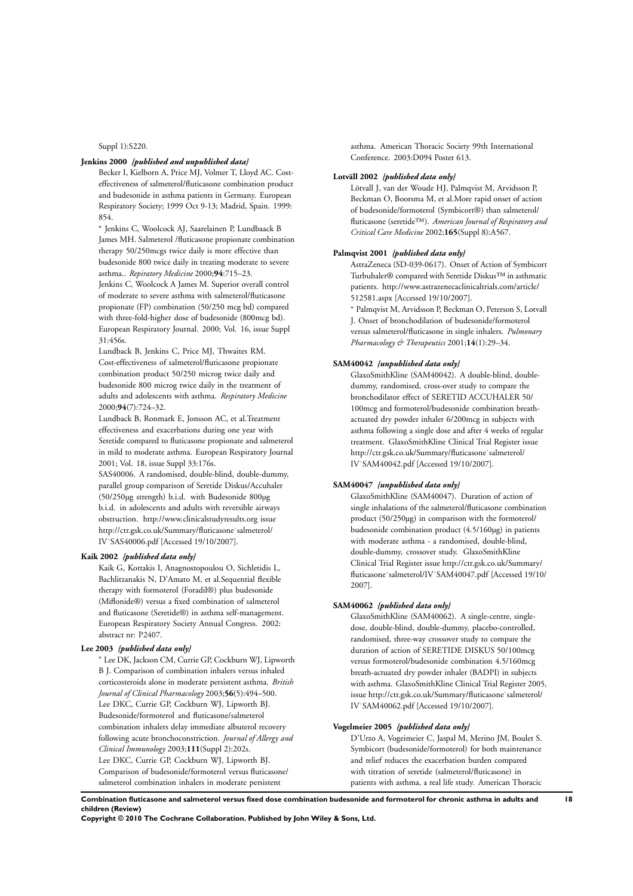Suppl 1):S220.

#### **Jenkins 2000** *{published and unpublished data}*

Becker I, Kielborn A, Price MJ, Volmer T, Lloyd AC. Costeffectiveness of salmeterol/fluticasone combination product and budesonide in asthma patients in Germany. European Respiratory Society; 1999 Oct 9-13; Madrid, Spain. 1999: 854.

∗ Jenkins C, Woolcock AJ, Saarelainen P, Lundbaack B James MH. Salmeterol /fluticasone propionate combination therapy 50/250mcgs twice daily is more effective than budesonide 800 twice daily in treating moderate to severe asthma.. *Repiratory Medicine* 2000;**94**:715–23. Jenkins C, Woolcock A James M. Superior overall control of moderate to severe asthma with salmeterol/fluticasone propionate (FP) combination (50/250 mcg bd) compared with three-fold-higher dose of budesonide (800mcg bd). European Respiratory Journal. 2000; Vol. 16, issue Suppl

31:456s. Lundback B, Jenkins C, Price MJ, Thwaites RM. Cost-effectiveness of salmeterol/fluticasone propionate combination product 50/250 microg twice daily and budesonide 800 microg twice daily in the treatment of adults and adolescents with asthma. *Respiratory Medicine* 2000;**94**(7):724–32.

Lundback B, Ronmark E, Jonsson AC, et al.Treatment effectiveness and exacerbations during one year with Seretide compared to fluticasone propionate and salmeterol in mild to moderate asthma. European Respiratory Journal 2001; Vol. 18, issue Suppl 33:176s.

SAS40006. A randomised, double-blind, double-dummy, parallel group comparison of Seretide Diskus/Accuhaler (50/250µg strength) b.i.d. with Budesonide 800µg b.i.d. in adolescents and adults with reversible airways obstruction. http://www.clinicalstudyresults.org issue http://ctr.gsk.co.uk/Summary/fluticasone˙salmeterol/ IV˙SAS40006.pdf [Accessed 19/10/2007].

#### **Kaik 2002** *{published data only}*

Kaik G, Kottakis I, Anagnostopoulou O, Sichletidis L, Bachlitzanakis N, D'Amato M, et al.Sequential flexible therapy with formoterol (Foradil®) plus budesonide (Miflonide®) versus a fixed combination of salmeterol and fluticasone (Seretide®) in asthma self-management. European Respiratory Society Annual Congress. 2002: abstract nr: P2407.

#### **Lee 2003** *{published data only}*

<sup>∗</sup> Lee DK, Jackson CM, Currie GP, Cockburn WJ, Lipworth B J. Comparison of combination inhalers versus inhaled corticosteroids alone in moderate persistent asthma. *British Journal of Clinical Pharmacology* 2003;**56**(5):494–500. Lee DKC, Currie GP, Cockburn WJ, Lipworth BJ. Budesonide/formoterol and fluticasone/salmeterol combination inhalers delay immediate albuterol recovery following acute bronchoconstriction. *Journal of Allergy and Clinical Immunology* 2003;**111**(Suppl 2):202s. Lee DKC, Currie GP, Cockburn WJ, Lipworth BJ.

Comparison of budesonide/formoterol versus fluticasone/ salmeterol combination inhalers in moderate persistent

asthma. American Thoracic Society 99th International Conference. 2003:D094 Poster 613.

#### **Lotväll 2002** *{published data only}*

Lötvall J, van der Woude HJ, Palmqvist M, Arvidsson P, Beckman O, Boorsma M, et al.More rapid onset of action of budesonide/formoterol (Symbicort®) than salmeterol/ fluticasone (seretide™). *American Journal of Respiratory and Critical Care Medicine* 2002;**165**(Suppl 8):A567.

#### **Palmqvist 2001** *{published data only}*

AstraZeneca (SD-039-0617). Onset of Action of Symbicort Turbuhaler® compared with Seretide Diskus™ in asthmatic patients. http://www.astrazenecaclinicaltrials.com/article/ 512581.aspx [Accessed 19/10/2007].

<sup>∗</sup> Palmqvist M, Arvidsson P, Beckman O, Peterson S, Lotvall J. Onset of bronchodilation of budesonide/formoterol versus salmeterol/fluticasone in single inhalers. *Pulmonary Pharmacology & Therapeutics* 2001;**14**(1):29–34.

#### **SAM40042** *{unpublished data only}*

GlaxoSmithKline (SAM40042). A double-blind, doubledummy, randomised, cross-over study to compare the bronchodilator effect of SERETID ACCUHALER 50/ 100mcg and formoterol/budesonide combination breathactuated dry powder inhaler 6/200mcg in subjects with asthma following a single dose and after 4 weeks of regular treatment. GlaxoSmithKline Clinical Trial Register issue http://ctr.gsk.co.uk/Summary/fluticasone˙salmeterol/ IV˙SAM40042.pdf [Accessed 19/10/2007].

#### **SAM40047** *{unpublished data only}*

GlaxoSmithKline (SAM40047). Duration of action of single inhalations of the salmeterol/fluticasone combination product (50/250µg) in comparison with the formoterol/ budesonide combination product (4.5/160µg) in patients with moderate asthma - a randomised, double-blind, double-dummy, crossover study. GlaxoSmithKline Clinical Trial Register issue http://ctr.gsk.co.uk/Summary/ fluticasone˙salmeterol/IV˙SAM40047.pdf [Accessed 19/10/ 2007].

#### **SAM40062** *{published data only}*

GlaxoSmithKline (SAM40062). A single-centre, singledose, double-blind, double-dummy, placebo-controlled, randomised, three-way crossover study to compare the duration of action of SERETIDE DISKUS 50/100mcg versus formoterol/budesonide combination 4.5/160mcg breath-actuated dry powder inhaler (BADPI) in subjects with asthma. GlaxoSmithKline Clinical Trial Register 2005, issue http://ctr.gsk.co.uk/Summary/fluticasone˙salmeterol/ IV˙SAM40062.pdf [Accessed 19/10/2007].

#### **Vogelmeier 2005** *{published data only}*

D'Urzo A, Vogeimeier C, Jaspal M, Merino JM, Boulet S. Symbicort (budesonide/formoterol) for both maintenance and relief reduces the exacerbation burden compared with titration of seretide (salmeterol/fluticasone) in patients with asthma, a real life study. American Thoracic

**Combination fluticasone and salmeterol versus fixed dose combination budesonide and formoterol for chronic asthma in adults and 18 children (Review)**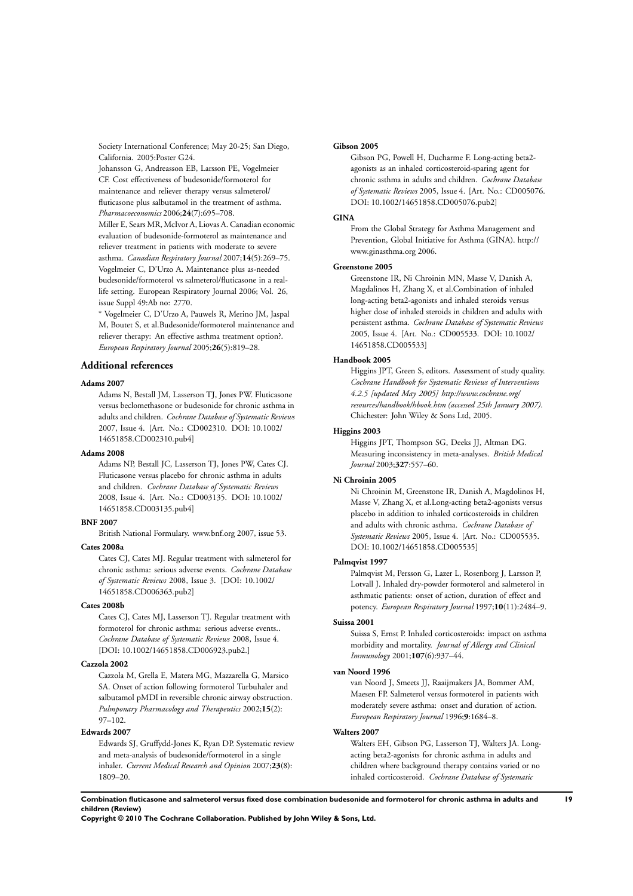Society International Conference; May 20-25; San Diego, California. 2005:Poster G24.

Johansson G, Andreasson EB, Larsson PE, Vogelmeier CF. Cost effectiveness of budesonide/formoterol for maintenance and reliever therapy versus salmeterol/ fluticasone plus salbutamol in the treatment of asthma. *Pharmacoeconomics* 2006;**24**(7):695–708. Miller E, Sears MR, McIvor A, Liovas A. Canadian economic evaluation of budesonide-formoterol as maintenance and reliever treatment in patients with moderate to severe asthma. *Canadian Respiratory Journal* 2007;**14**(5):269–75. Vogelmeier C, D'Urzo A. Maintenance plus as-needed budesonide/formoterol vs salmeterol/fluticasone in a reallife setting. European Respiratory Journal 2006; Vol. 26, issue Suppl 49:Ab no: 2770.

<sup>∗</sup> Vogelmeier C, D'Urzo A, Pauwels R, Merino JM, Jaspal M, Boutet S, et al.Budesonide/formoterol maintenance and reliever therapy: An effective asthma treatment option?. *European Respiratory Journal* 2005;**26**(5):819–28.

# **Additional references**

#### **Adams 2007**

Adams N, Bestall JM, Lasserson TJ, Jones PW. Fluticasone versus beclomethasone or budesonide for chronic asthma in adults and children. *Cochrane Database of Systematic Reviews* 2007, Issue 4. [Art. No.: CD002310. DOI: 10.1002/ 14651858.CD002310.pub4]

#### **Adams 2008**

Adams NP, Bestall JC, Lasserson TJ, Jones PW, Cates CJ. Fluticasone versus placebo for chronic asthma in adults and children. *Cochrane Database of Systematic Reviews* 2008, Issue 4. [Art. No.: CD003135. DOI: 10.1002/ 14651858.CD003135.pub4]

#### **BNF 2007**

British National Formulary. www.bnf.org 2007, issue 53.

#### **Cates 2008a**

Cates CJ, Cates MJ. Regular treatment with salmeterol for chronic asthma: serious adverse events. *Cochrane Database of Systematic Reviews* 2008, Issue 3. [DOI: 10.1002/ 14651858.CD006363.pub2]

#### **Cates 2008b**

Cates CJ, Cates MJ, Lasserson TJ. Regular treatment with formoterol for chronic asthma: serious adverse events.. *Cochrane Database of Systematic Reviews* 2008, Issue 4. [DOI: 10.1002/14651858.CD006923.pub2.]

#### **Cazzola 2002**

Cazzola M, Grella E, Matera MG, Mazzarella G, Marsico SA. Onset of action following formoterol Turbuhaler and salbutamol pMDI in reversible chronic airway obstruction. *Pulmponary Pharmacology and Therapeutics* 2002;**15**(2): 97–102.

#### **Edwards 2007**

Edwards SJ, Gruffydd-Jones K, Ryan DP. Systematic review and meta-analysis of budesonide/formoterol in a single inhaler. *Current Medical Research and Opinion* 2007;**23**(8): 1809–20.

#### **Gibson 2005**

Gibson PG, Powell H, Ducharme F. Long-acting beta2 agonists as an inhaled corticosteroid-sparing agent for chronic asthma in adults and children. *Cochrane Database of Systematic Reviews* 2005, Issue 4. [Art. No.: CD005076. DOI: 10.1002/14651858.CD005076.pub2]

#### **GINA**

From the Global Strategy for Asthma Management and Prevention, Global Initiative for Asthma (GINA). http:// www.ginasthma.org 2006.

#### **Greenstone 2005**

Greenstone IR, Ni Chroinin MN, Masse V, Danish A, Magdalinos H, Zhang X, et al.Combination of inhaled long-acting beta2-agonists and inhaled steroids versus higher dose of inhaled steroids in children and adults with persistent asthma. *Cochrane Database of Systematic Reviews* 2005, Issue 4. [Art. No.: CD005533. DOI: 10.1002/ 14651858.CD005533]

# **Handbook 2005**

Higgins JPT, Green S, editors. Assessment of study quality. *Cochrane Handbook for Systematic Reviews of Interventions 4.2.5 [updated May 2005] http://www.cochrane.org/ resources/handbook/hbook.htm (accessed 25th January 2007)*. Chichester: John Wiley & Sons Ltd, 2005.

# **Higgins 2003**

Higgins JPT, Thompson SG, Deeks JJ, Altman DG. Measuring inconsistency in meta-analyses. *British Medical Journal* 2003;**327**:557–60.

#### **Ni Chroinin 2005**

Ni Chroinin M, Greenstone IR, Danish A, Magdolinos H, Masse V, Zhang X, et al.Long-acting beta2-agonists versus placebo in addition to inhaled corticosteroids in children and adults with chronic asthma. *Cochrane Database of Systematic Reviews* 2005, Issue 4. [Art. No.: CD005535. DOI: 10.1002/14651858.CD005535]

#### **Palmqvist 1997**

Palmqvist M, Persson G, Lazer L, Rosenborg J, Larsson P, Lotvall J. Inhaled dry-powder formoterol and salmeterol in asthmatic patients: onset of action, duration of effect and potency. *European Respiratory Journal* 1997;**10**(11):2484–9.

#### **Suissa 2001**

Suissa S, Ernst P. Inhaled corticosteroids: impact on asthma morbidity and mortality. *Journal of Allergy and Clinical Immunology* 2001;**107**(6):937–44.

#### **van Noord 1996**

van Noord J, Smeets JJ, Raaijmakers JA, Bommer AM, Maesen FP. Salmeterol versus formoterol in patients with moderately severe asthma: onset and duration of action. *European Respiratory Journal* 1996;**9**:1684–8.

#### **Walters 2007**

Walters EH, Gibson PG, Lasserson TJ, Walters JA. Longacting beta2-agonists for chronic asthma in adults and children where background therapy contains varied or no inhaled corticosteroid. *Cochrane Database of Systematic*

**Combination fluticasone and salmeterol versus fixed dose combination budesonide and formoterol for chronic asthma in adults and 19 children (Review)**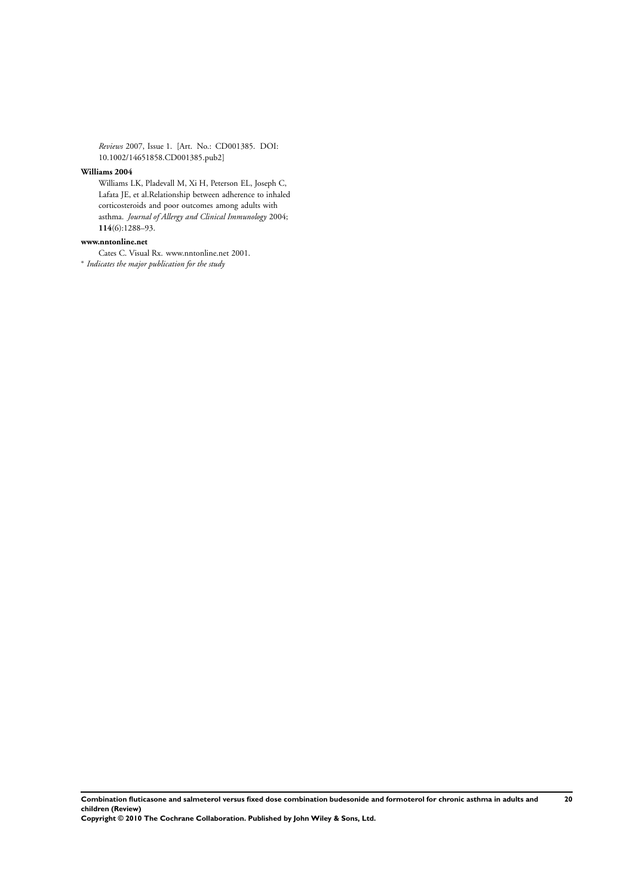*Reviews* 2007, Issue 1. [Art. No.: CD001385. DOI: 10.1002/14651858.CD001385.pub2]

# **Williams 2004**

Williams LK, Pladevall M, Xi H, Peterson EL, Joseph C, Lafata JE, et al.Relationship between adherence to inhaled corticosteroids and poor outcomes among adults with asthma. *Journal of Allergy and Clinical Immunology* 2004; **114**(6):1288–93.

### **www.nntonline.net**

Cates C. Visual Rx. www.nntonline.net 2001. ∗ *Indicates the major publication for the study*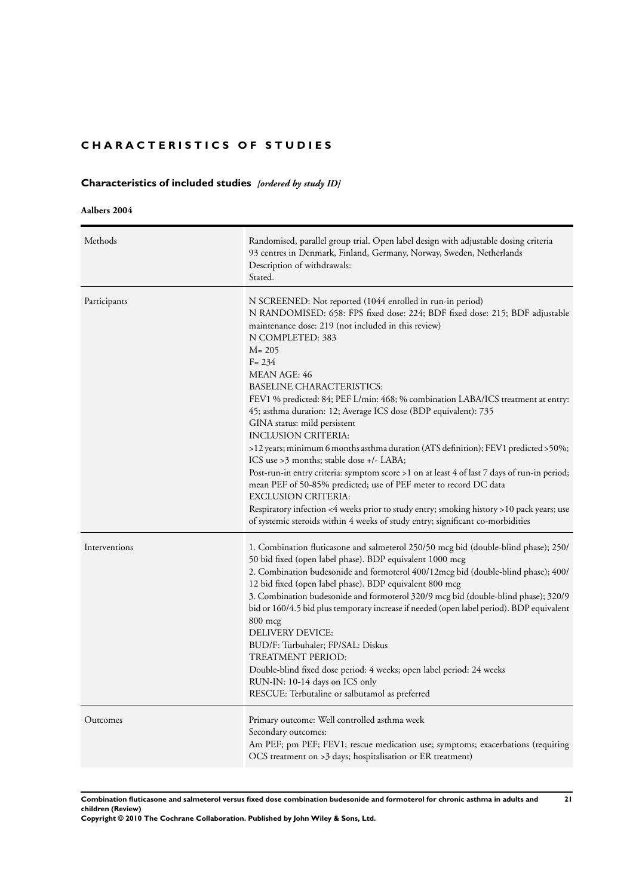# <span id="page-23-0"></span>**CHARACTERISTICS OF STUDIES**

# **Characteristics of included studies** *[ordered by study ID]*

# **Aalbers 2004**

| Methods       | Randomised, parallel group trial. Open label design with adjustable dosing criteria<br>93 centres in Denmark, Finland, Germany, Norway, Sweden, Netherlands<br>Description of withdrawals:<br>Stated.                                                                                                                                                                                                                                                                                                                                                                                                                                                                                                                                                                                                                                                                                                                                                                                                                                           |
|---------------|-------------------------------------------------------------------------------------------------------------------------------------------------------------------------------------------------------------------------------------------------------------------------------------------------------------------------------------------------------------------------------------------------------------------------------------------------------------------------------------------------------------------------------------------------------------------------------------------------------------------------------------------------------------------------------------------------------------------------------------------------------------------------------------------------------------------------------------------------------------------------------------------------------------------------------------------------------------------------------------------------------------------------------------------------|
| Participants  | N SCREENED: Not reported (1044 enrolled in run-in period)<br>N RANDOMISED: 658: FPS fixed dose: 224; BDF fixed dose: 215; BDF adjustable<br>maintenance dose: 219 (not included in this review)<br>N COMPLETED: 383<br>$M = 205$<br>$F = 234$<br><b>MEAN AGE: 46</b><br><b>BASELINE CHARACTERISTICS:</b><br>FEV1 % predicted: 84; PEF L/min: 468; % combination LABA/ICS treatment at entry:<br>45; asthma duration: 12; Average ICS dose (BDP equivalent): 735<br>GINA status: mild persistent<br><b>INCLUSION CRITERIA:</b><br>>12 years; minimum 6 months asthma duration (ATS definition); FEV1 predicted >50%;<br>ICS use > 3 months; stable dose +/- LABA;<br>Post-run-in entry criteria: symptom score >1 on at least 4 of last 7 days of run-in period;<br>mean PEF of 50-85% predicted; use of PEF meter to record DC data<br><b>EXCLUSION CRITERIA:</b><br>Respiratory infection <4 weeks prior to study entry; smoking history >10 pack years; use<br>of systemic steroids within 4 weeks of study entry; significant co-morbidities |
| Interventions | 1. Combination fluticasone and salmeterol 250/50 mcg bid (double-blind phase); 250/<br>50 bid fixed (open label phase). BDP equivalent 1000 mcg<br>2. Combination budesonide and formoterol 400/12mcg bid (double-blind phase); 400/<br>12 bid fixed (open label phase). BDP equivalent 800 mcg<br>3. Combination budesonide and formoterol 320/9 mcg bid (double-blind phase); 320/9<br>bid or 160/4.5 bid plus temporary increase if needed (open label period). BDP equivalent<br>800 mcg<br>DELIVERY DEVICE:<br>BUD/F: Turbuhaler; FP/SAL: Diskus<br>TREATMENT PERIOD:<br>Double-blind fixed dose period: 4 weeks; open label period: 24 weeks<br>RUN-IN: 10-14 days on ICS only<br>RESCUE: Terbutaline or salbutamol as preferred                                                                                                                                                                                                                                                                                                          |
| Outcomes      | Primary outcome: Well controlled asthma week<br>Secondary outcomes:<br>Am PEF; pm PEF; FEV1; rescue medication use; symptoms; exacerbations (requiring<br>OCS treatment on >3 days; hospitalisation or ER treatment)                                                                                                                                                                                                                                                                                                                                                                                                                                                                                                                                                                                                                                                                                                                                                                                                                            |

**Combination fluticasone and salmeterol versus fixed dose combination budesonide and formoterol for chronic asthma in adults and 21 children (Review)**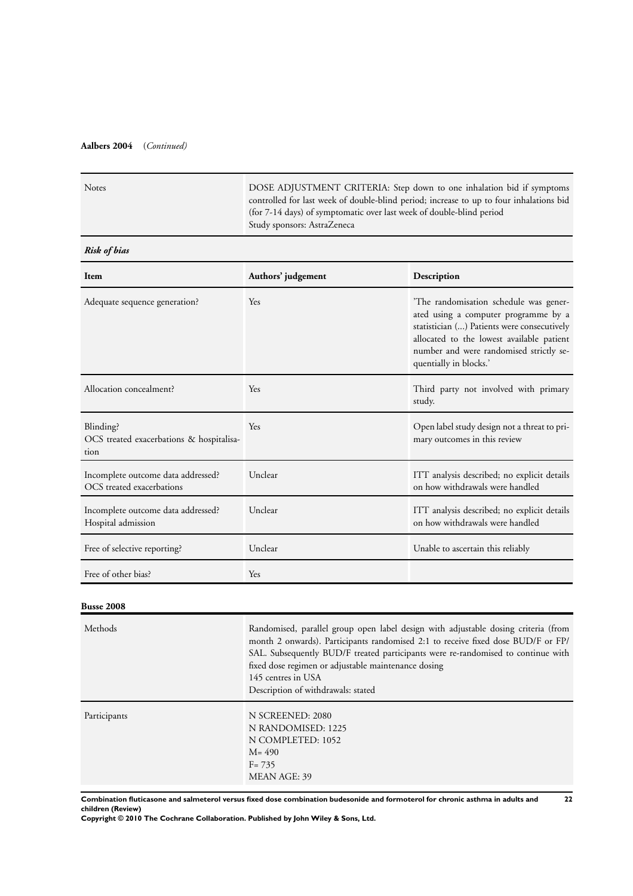# **Aalbers 2004** (*Continued)*

| <b>Notes</b> | DOSE ADJUSTMENT CRITERIA: Step down to one inhalation bid if symptoms<br>controlled for last week of double-blind period; increase to up to four inhalations bid<br>(for 7-14 days) of symptomatic over last week of double-blind period |
|--------------|------------------------------------------------------------------------------------------------------------------------------------------------------------------------------------------------------------------------------------------|
|              | Study sponsors: AstraZeneca                                                                                                                                                                                                              |

# *Risk of bias*

| Item                                                            | Authors' judgement | Description                                                                                                                                                                                                                                    |
|-----------------------------------------------------------------|--------------------|------------------------------------------------------------------------------------------------------------------------------------------------------------------------------------------------------------------------------------------------|
| Adequate sequence generation?                                   | Yes                | The randomisation schedule was gener-<br>ated using a computer programme by a<br>statistician () Patients were consecutively<br>allocated to the lowest available patient<br>number and were randomised strictly se-<br>quentially in blocks.' |
| Allocation concealment?                                         | Yes                | Third party not involved with primary<br>study.                                                                                                                                                                                                |
| Blinding?<br>OCS treated exacerbations & hospitalisa-<br>tion   | Yes                | Open label study design not a threat to pri-<br>mary outcomes in this review                                                                                                                                                                   |
| Incomplete outcome data addressed?<br>OCS treated exacerbations | Unclear            | ITT analysis described; no explicit details<br>on how withdrawals were handled                                                                                                                                                                 |
| Incomplete outcome data addressed?<br>Hospital admission        | Unclear            | ITT analysis described; no explicit details<br>on how withdrawals were handled                                                                                                                                                                 |
| Free of selective reporting?                                    | Unclear            | Unable to ascertain this reliably                                                                                                                                                                                                              |
| Free of other bias?                                             | Yes                |                                                                                                                                                                                                                                                |

#### **Busse 2008**

| Methods      | Randomised, parallel group open label design with adjustable dosing criteria (from<br>month 2 onwards). Participants randomised 2:1 to receive fixed dose BUD/F or FP/<br>SAL. Subsequently BUD/F treated participants were re-randomised to continue with<br>fixed dose regimen or adjustable maintenance dosing<br>145 centres in USA<br>Description of withdrawals: stated |
|--------------|-------------------------------------------------------------------------------------------------------------------------------------------------------------------------------------------------------------------------------------------------------------------------------------------------------------------------------------------------------------------------------|
| Participants | N SCREENED: 2080<br>N RANDOMISED: 1225<br>N COMPLETED: 1052<br>$M = 490$<br>$F = 735$<br>MEAN AGE: 39                                                                                                                                                                                                                                                                         |

**Combination fluticasone and salmeterol versus fixed dose combination budesonide and formoterol for chronic asthma in adults and 22 children (Review)**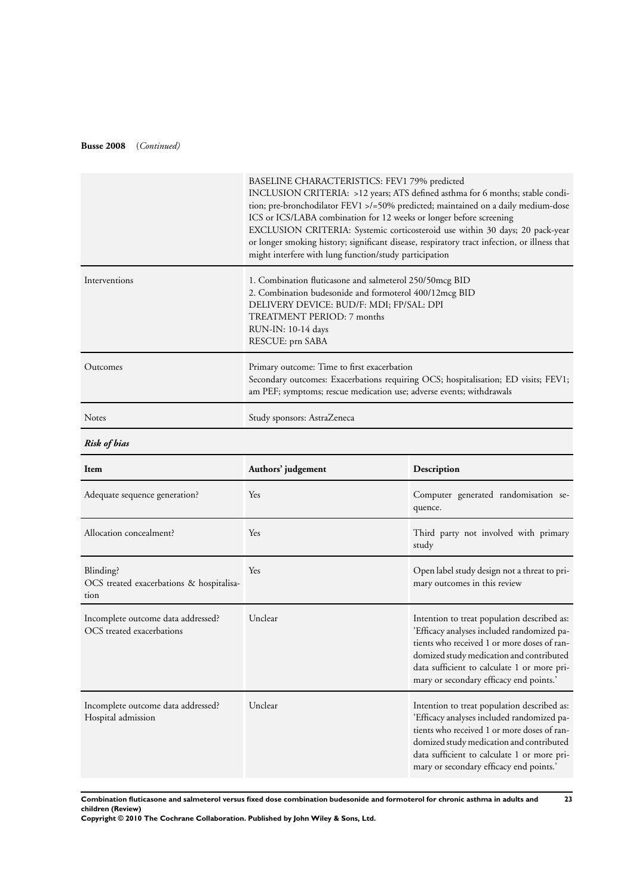# **Busse 2008** (*Continued)*

|               | BASELINE CHARACTERISTICS: FEV1 79% predicted<br>INCLUSION CRITERIA: >12 years; ATS defined asthma for 6 months; stable condi-<br>tion; pre-bronchodilator FEV1 $\ge$ /=50% predicted; maintained on a daily medium-dose<br>ICS or ICS/LABA combination for 12 weeks or longer before screening<br>EXCLUSION CRITERIA: Systemic corticosteroid use within 30 days; 20 pack-year<br>or longer smoking history; significant disease, respiratory tract infection, or illness that<br>might interfere with lung function/study participation |
|---------------|------------------------------------------------------------------------------------------------------------------------------------------------------------------------------------------------------------------------------------------------------------------------------------------------------------------------------------------------------------------------------------------------------------------------------------------------------------------------------------------------------------------------------------------|
| Interventions | 1. Combination fluticasone and salmeterol 250/50 mcg BID<br>2. Combination budesonide and formoterol 400/12mcg BID<br>DELIVERY DEVICE: BUD/F: MDI; FP/SAL: DPI<br>TREATMENT PERIOD: 7 months<br>RUN-IN: 10-14 days<br>RESCUE: prn SABA                                                                                                                                                                                                                                                                                                   |
| Outcomes      | Primary outcome: Time to first exacerbation<br>Secondary outcomes: Exacerbations requiring OCS; hospitalisation; ED visits; FEV1;<br>am PEF; symptoms; rescue medication use; adverse events; withdrawals                                                                                                                                                                                                                                                                                                                                |
| <b>Notes</b>  | Study sponsors: AstraZeneca                                                                                                                                                                                                                                                                                                                                                                                                                                                                                                              |

*Risk of bias*

| Item                                                            | Authors' judgement | Description                                                                                                                                                                                                                                                                    |
|-----------------------------------------------------------------|--------------------|--------------------------------------------------------------------------------------------------------------------------------------------------------------------------------------------------------------------------------------------------------------------------------|
| Adequate sequence generation?                                   | Yes                | Computer generated randomisation se-<br>quence.                                                                                                                                                                                                                                |
| Allocation concealment?                                         | Yes                | Third party not involved with primary<br>study                                                                                                                                                                                                                                 |
| Blinding?<br>OCS treated exacerbations & hospitalisa-<br>tion   | Yes                | Open label study design not a threat to pri-<br>mary outcomes in this review                                                                                                                                                                                                   |
| Incomplete outcome data addressed?<br>OCS treated exacerbations | Unclear            | Intention to treat population described as:<br>'Efficacy analyses included randomized pa-<br>tients who received 1 or more doses of ran-<br>domized study medication and contributed<br>data sufficient to calculate 1 or more pri-<br>mary or secondary efficacy end points.' |
| Incomplete outcome data addressed?<br>Hospital admission        | Unclear            | Intention to treat population described as:<br>'Efficacy analyses included randomized pa-<br>tients who received 1 or more doses of ran-<br>domized study medication and contributed<br>data sufficient to calculate 1 or more pri-<br>mary or secondary efficacy end points.' |

**Combination fluticasone and salmeterol versus fixed dose combination budesonide and formoterol for chronic asthma in adults and 23 children (Review)**

**Copyright © 2010 The Cochrane Collaboration. Published by John Wiley & Sons, Ltd.**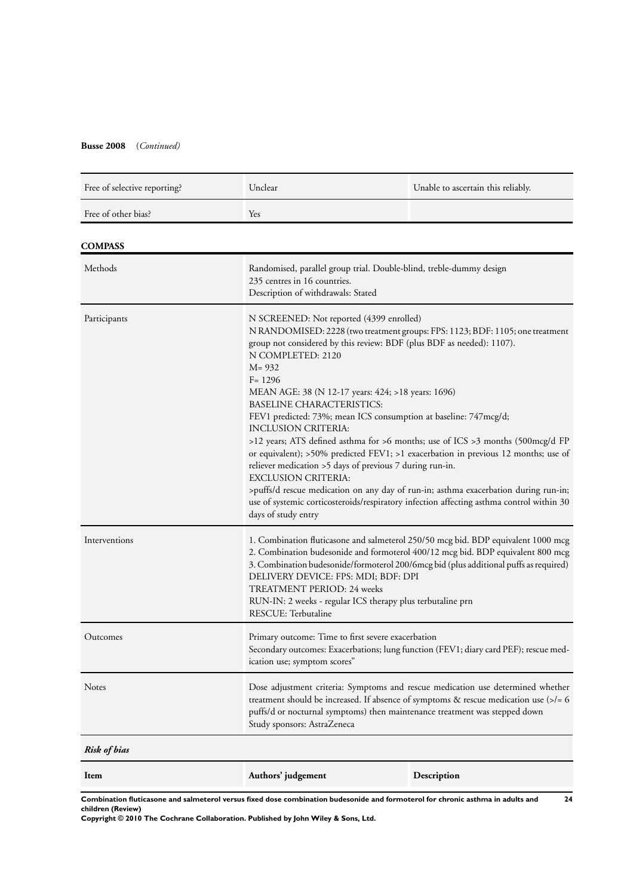# **Busse 2008** (*Continued)*

| Free of selective reporting? | Unclear                                                                                                                                                                                                                                                                                                                                                                                                                                                                                                                                                                                                                                                                                                                                                                                                                                                                                                                    | Unable to ascertain this reliably.                                                                                                                                                                                                                            |  |
|------------------------------|----------------------------------------------------------------------------------------------------------------------------------------------------------------------------------------------------------------------------------------------------------------------------------------------------------------------------------------------------------------------------------------------------------------------------------------------------------------------------------------------------------------------------------------------------------------------------------------------------------------------------------------------------------------------------------------------------------------------------------------------------------------------------------------------------------------------------------------------------------------------------------------------------------------------------|---------------------------------------------------------------------------------------------------------------------------------------------------------------------------------------------------------------------------------------------------------------|--|
| Free of other bias?          | Yes                                                                                                                                                                                                                                                                                                                                                                                                                                                                                                                                                                                                                                                                                                                                                                                                                                                                                                                        |                                                                                                                                                                                                                                                               |  |
| <b>COMPASS</b>               |                                                                                                                                                                                                                                                                                                                                                                                                                                                                                                                                                                                                                                                                                                                                                                                                                                                                                                                            |                                                                                                                                                                                                                                                               |  |
| Methods                      | 235 centres in 16 countries.<br>Description of withdrawals: Stated                                                                                                                                                                                                                                                                                                                                                                                                                                                                                                                                                                                                                                                                                                                                                                                                                                                         | Randomised, parallel group trial. Double-blind, treble-dummy design                                                                                                                                                                                           |  |
| Participants                 | N SCREENED: Not reported (4399 enrolled)<br>N RANDOMISED: 2228 (two treatment groups: FPS: 1123; BDF: 1105; one treatment<br>group not considered by this review: BDF (plus BDF as needed): 1107).<br>N COMPLETED: 2120<br>$M = 932$<br>$F = 1296$<br>MEAN AGE: 38 (N 12-17 years: 424; >18 years: 1696)<br><b>BASELINE CHARACTERISTICS:</b><br>FEV1 predicted: 73%; mean ICS consumption at baseline: 747mcg/d;<br><b>INCLUSION CRITERIA:</b><br>>12 years; ATS defined asthma for >6 months; use of ICS >3 months (500mcg/d FP<br>or equivalent); >50% predicted FEV1; >1 exacerbation in previous 12 months; use of<br>reliever medication >5 days of previous 7 during run-in.<br><b>EXCLUSION CRITERIA:</b><br>>puffs/d rescue medication on any day of run-in; asthma exacerbation during run-in;<br>use of systemic corticosteroids/respiratory infection affecting asthma control within 30<br>days of study entry |                                                                                                                                                                                                                                                               |  |
| Interventions                | DELIVERY DEVICE: FPS: MDI; BDF: DPI<br>TREATMENT PERIOD: 24 weeks<br>RUN-IN: 2 weeks - regular ICS therapy plus terbutaline prn<br>RESCUE: Terbutaline                                                                                                                                                                                                                                                                                                                                                                                                                                                                                                                                                                                                                                                                                                                                                                     | 1. Combination fluticasone and salmeterol 250/50 mcg bid. BDP equivalent 1000 mcg<br>2. Combination budesonide and formoterol 400/12 mcg bid. BDP equivalent 800 mcg<br>3. Combination budesonide/formoterol 200/6mcg bid (plus additional puffs as required) |  |
| Outcomes                     | Primary outcome: Time to first severe exacerbation<br>ication use; symptom scores"                                                                                                                                                                                                                                                                                                                                                                                                                                                                                                                                                                                                                                                                                                                                                                                                                                         | Secondary outcomes: Exacerbations; lung function (FEV1; diary card PEF); rescue med-                                                                                                                                                                          |  |
| <b>Notes</b>                 | Dose adjustment criteria: Symptoms and rescue medication use determined whether<br>treatment should be increased. If absence of symptoms & rescue medication use (>/= 6<br>puffs/d or nocturnal symptoms) then maintenance treatment was stepped down<br>Study sponsors: AstraZeneca                                                                                                                                                                                                                                                                                                                                                                                                                                                                                                                                                                                                                                       |                                                                                                                                                                                                                                                               |  |
| <b>Risk of bias</b>          |                                                                                                                                                                                                                                                                                                                                                                                                                                                                                                                                                                                                                                                                                                                                                                                                                                                                                                                            |                                                                                                                                                                                                                                                               |  |
| Item                         | Authors' judgement                                                                                                                                                                                                                                                                                                                                                                                                                                                                                                                                                                                                                                                                                                                                                                                                                                                                                                         | Description                                                                                                                                                                                                                                                   |  |

**Combination fluticasone and salmeterol versus fixed dose combination budesonide and formoterol for chronic asthma in adults and 24 children (Review)**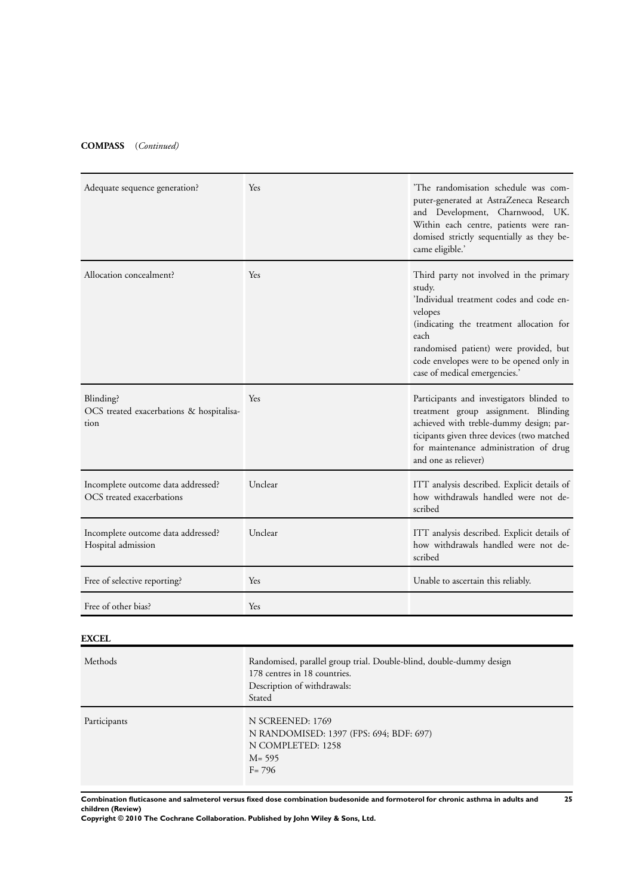# **COMPASS** (*Continued)*

| Adequate sequence generation?                                   | Yes     | 'The randomisation schedule was com-<br>puter-generated at AstraZeneca Research<br>and Development, Charnwood, UK.<br>Within each centre, patients were ran-<br>domised strictly sequentially as they be-<br>came eligible.'                                                        |
|-----------------------------------------------------------------|---------|-------------------------------------------------------------------------------------------------------------------------------------------------------------------------------------------------------------------------------------------------------------------------------------|
| Allocation concealment?                                         | Yes     | Third party not involved in the primary<br>study.<br>'Individual treatment codes and code en-<br>velopes<br>(indicating the treatment allocation for<br>each<br>randomised patient) were provided, but<br>code envelopes were to be opened only in<br>case of medical emergencies.' |
| Blinding?<br>OCS treated exacerbations & hospitalisa-<br>tion   | Yes     | Participants and investigators blinded to<br>treatment group assignment. Blinding<br>achieved with treble-dummy design; par-<br>ticipants given three devices (two matched<br>for maintenance administration of drug<br>and one as reliever)                                        |
| Incomplete outcome data addressed?<br>OCS treated exacerbations | Unclear | ITT analysis described. Explicit details of<br>how withdrawals handled were not de-<br>scribed                                                                                                                                                                                      |
| Incomplete outcome data addressed?<br>Hospital admission        | Unclear | ITT analysis described. Explicit details of<br>how withdrawals handled were not de-<br>scribed                                                                                                                                                                                      |
| Free of selective reporting?                                    | Yes     | Unable to ascertain this reliably.                                                                                                                                                                                                                                                  |
| Free of other bias?                                             | Yes     |                                                                                                                                                                                                                                                                                     |
|                                                                 |         |                                                                                                                                                                                                                                                                                     |

**EXCEL**

| Methods      | Randomised, parallel group trial. Double-blind, double-dummy design<br>178 centres in 18 countries.<br>Description of withdrawals:<br>Stated |
|--------------|----------------------------------------------------------------------------------------------------------------------------------------------|
| Participants | N SCREENED: 1769<br>N RANDOMISED: 1397 (FPS: 694; BDF: 697)<br>N COMPLETED: 1258<br>$M = 595$<br>$F = 796$                                   |

**Combination fluticasone and salmeterol versus fixed dose combination budesonide and formoterol for chronic asthma in adults and 25 children (Review)**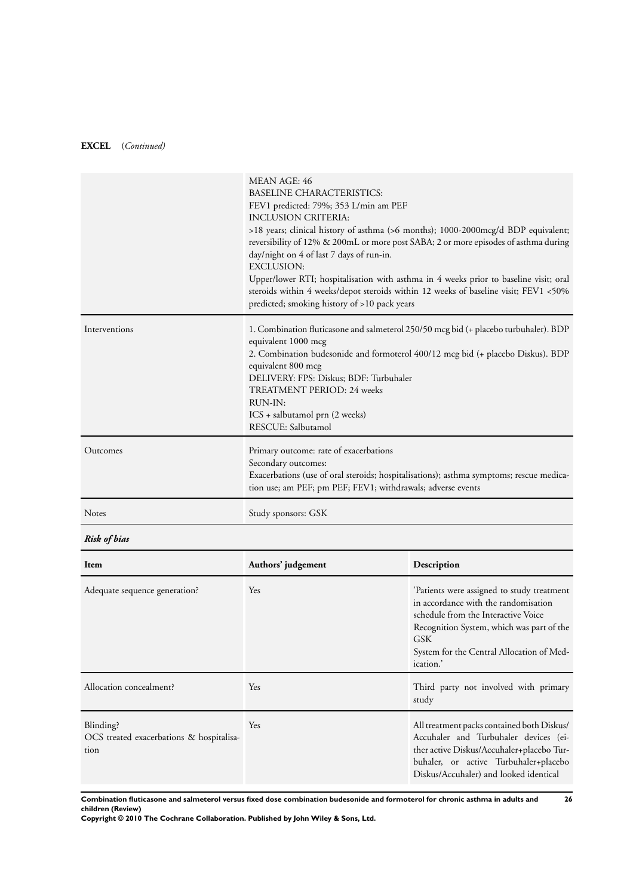# **EXCEL** (*Continued)*

|               | MEAN AGE: 46<br><b>BASELINE CHARACTERISTICS:</b><br>FEV1 predicted: 79%; 353 L/min am PEF<br><b>INCLUSION CRITERIA:</b><br>>18 years; clinical history of asthma (>6 months); 1000-2000mcg/d BDP equivalent;<br>reversibility of 12% & 200mL or more post SABA; 2 or more episodes of asthma during<br>day/night on 4 of last 7 days of run-in.<br><b>EXCLUSION:</b><br>Upper/lower RTI; hospitalisation with asthma in 4 weeks prior to baseline visit; oral<br>steroids within 4 weeks/depot steroids within 12 weeks of baseline visit; FEV1 <50%<br>predicted; smoking history of >10 pack years |
|---------------|------------------------------------------------------------------------------------------------------------------------------------------------------------------------------------------------------------------------------------------------------------------------------------------------------------------------------------------------------------------------------------------------------------------------------------------------------------------------------------------------------------------------------------------------------------------------------------------------------|
| Interventions | 1. Combination fluticasone and salmeterol 250/50 mcg bid (+ placebo turbuhaler). BDP<br>equivalent 1000 mcg<br>2. Combination budesonide and formoterol 400/12 mcg bid (+ placebo Diskus). BDP<br>equivalent 800 mcg<br>DELIVERY: FPS: Diskus; BDF: Turbuhaler<br><b>TREATMENT PERIOD: 24 weeks</b><br>RUN-IN:<br>ICS + salbutamol prn (2 weeks)<br>RESCUE: Salbutamol                                                                                                                                                                                                                               |
| Outcomes      | Primary outcome: rate of exacerbations<br>Secondary outcomes:<br>Exacerbations (use of oral steroids; hospitalisations); asthma symptoms; rescue medica-<br>tion use; am PEF; pm PEF; FEV1; withdrawals; adverse events                                                                                                                                                                                                                                                                                                                                                                              |
| <b>Notes</b>  | Study sponsors: GSK                                                                                                                                                                                                                                                                                                                                                                                                                                                                                                                                                                                  |

# *Risk of bias*

| Item                                                          | Authors' judgement | Description                                                                                                                                                                                                                                    |
|---------------------------------------------------------------|--------------------|------------------------------------------------------------------------------------------------------------------------------------------------------------------------------------------------------------------------------------------------|
| Adequate sequence generation?                                 | Yes                | 'Patients were assigned to study treatment<br>in accordance with the randomisation<br>schedule from the Interactive Voice<br>Recognition System, which was part of the<br><b>GSK</b><br>System for the Central Allocation of Med-<br>ication.' |
| Allocation concealment?                                       | Yes                | Third party not involved with primary<br>study                                                                                                                                                                                                 |
| Blinding?<br>OCS treated exacerbations & hospitalisa-<br>tion | Yes                | All treatment packs contained both Diskus/<br>Accuhaler and Turbuhaler devices (ei-<br>ther active Diskus/Accuhaler+placebo Tur-<br>buhaler, or active Turbuhaler+placebo<br>Diskus/Accuhaler) and looked identical                            |

**Combination fluticasone and salmeterol versus fixed dose combination budesonide and formoterol for chronic asthma in adults and 26 children (Review)**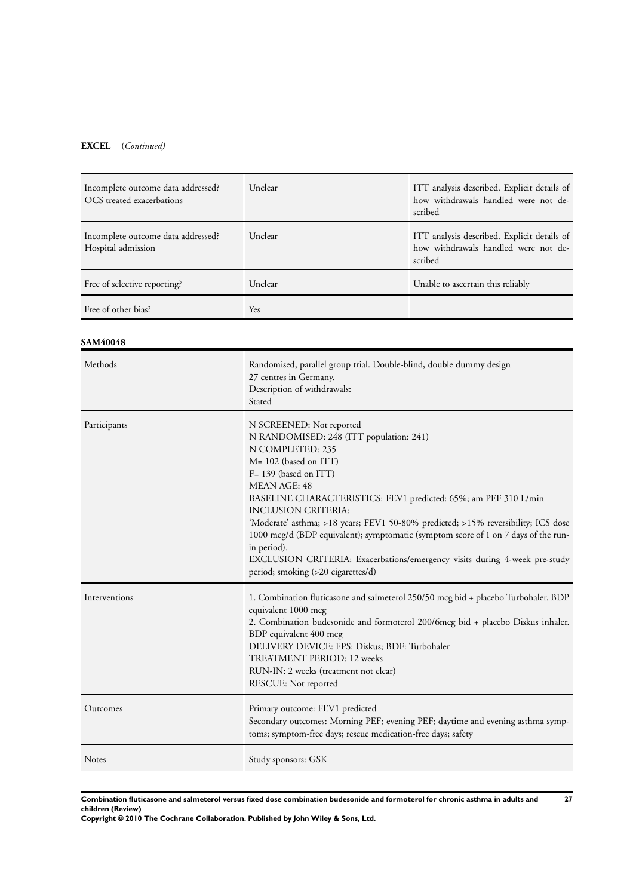# **EXCEL** (*Continued)*

| Incomplete outcome data addressed?<br>OCS treated exacerbations | Unclear                                                                                                                                                         | ITT analysis described. Explicit details of<br>how withdrawals handled were not de-<br>scribed |
|-----------------------------------------------------------------|-----------------------------------------------------------------------------------------------------------------------------------------------------------------|------------------------------------------------------------------------------------------------|
| Incomplete outcome data addressed?<br>Hospital admission        | Unclear                                                                                                                                                         | ITT analysis described. Explicit details of<br>how withdrawals handled were not de-<br>scribed |
| Free of selective reporting?                                    | Unclear                                                                                                                                                         | Unable to ascertain this reliably                                                              |
| Free of other bias?                                             | Yes                                                                                                                                                             |                                                                                                |
| <b>SAM40048</b>                                                 |                                                                                                                                                                 |                                                                                                |
| Methods                                                         | Randomised, parallel group trial. Double-blind, double dummy design<br>27 centres in Germany.<br>Description of withdrawals:<br>Stated                          |                                                                                                |
| Participants                                                    | N SCREENED: Not reported<br>N RANDOMISED: 248 (ITT population: 241)<br>N COMPLETED: 235<br>$M = 102$ (based on ITT)<br>$F = 139$ (based on ITT)<br>MEAN AGE: 48 |                                                                                                |

| BASELINE CHARACTERISTICS: FEV1 predicted: 65%; am PEF 310 L/min                   |
|-----------------------------------------------------------------------------------|
| <b>INCLUSION CRITERIA:</b>                                                        |
| 'Moderate' asthma; >18 years; FEV1 50-80% predicted; >15% reversibility; ICS dose |
|                                                                                   |

| 1000 mcg/d (BDP equivalent); symptomatic (symptom score of 1 on 7 days of the run- |
|------------------------------------------------------------------------------------|
| in period).                                                                        |
| EXCLUSION CRITERIA: Exacerbations/emergency visits during 4-week pre-study         |
| period; smoking (>20 cigarettes/d)                                                 |
|                                                                                    |

| Interventions | 1. Combination fluticasone and salmeterol 250/50 mcg bid + placebo Turbohaler. BDP<br>equivalent 1000 mcg<br>2. Combination budesonide and formoterol 200/6mcg bid + placebo Diskus inhaler.<br>BDP equivalent 400 mcg<br>DELIVERY DEVICE: FPS: Diskus; BDF: Turbohaler<br><b>TREATMENT PERIOD: 12 weeks</b><br>RUN-IN: 2 weeks (treatment not clear)<br>RESCUE: Not reported |
|---------------|-------------------------------------------------------------------------------------------------------------------------------------------------------------------------------------------------------------------------------------------------------------------------------------------------------------------------------------------------------------------------------|
| Outcomes      | Primary outcome: FEV1 predicted<br>Secondary outcomes: Morning PEF; evening PEF; daytime and evening asthma symp-<br>toms; symptom-free days; rescue medication-free days; safety                                                                                                                                                                                             |
| <b>Notes</b>  | Study sponsors: GSK                                                                                                                                                                                                                                                                                                                                                           |

**Combination fluticasone and salmeterol versus fixed dose combination budesonide and formoterol for chronic asthma in adults and 27 children (Review)**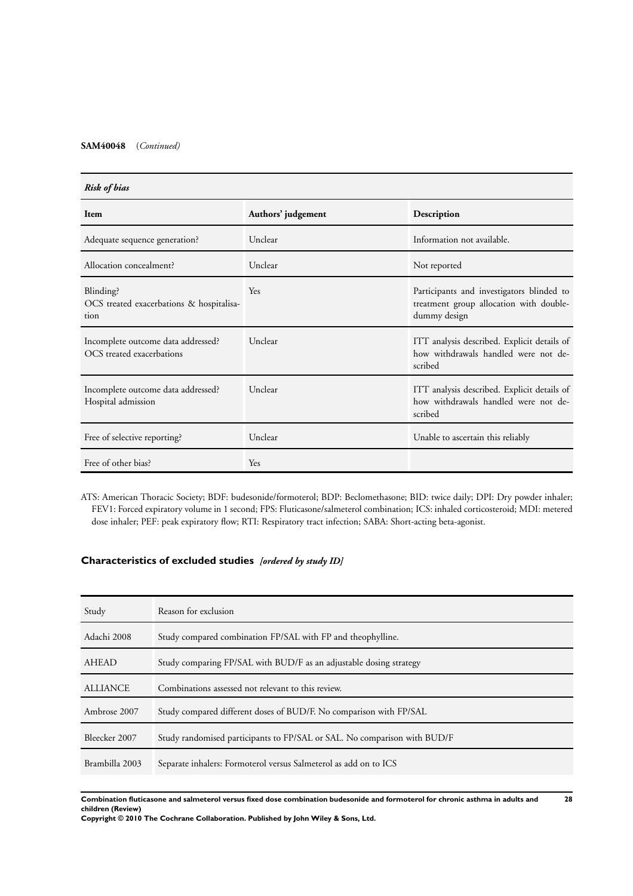# <span id="page-30-0"></span>**SAM40048** (*Continued)*

| <b>Risk of bias</b>                                             |                    |                                                                                                      |
|-----------------------------------------------------------------|--------------------|------------------------------------------------------------------------------------------------------|
| Item                                                            | Authors' judgement | Description                                                                                          |
| Adequate sequence generation?                                   | Unclear            | Information not available.                                                                           |
| Allocation concealment?                                         | Unclear            | Not reported                                                                                         |
| Blinding?<br>OCS treated exacerbations & hospitalisa-<br>tion   | Yes                | Participants and investigators blinded to<br>treatment group allocation with double-<br>dummy design |
| Incomplete outcome data addressed?<br>OCS treated exacerbations | Unclear            | ITT analysis described. Explicit details of<br>how withdrawals handled were not de-<br>scribed       |
| Incomplete outcome data addressed?<br>Hospital admission        | Unclear            | ITT analysis described. Explicit details of<br>how withdrawals handled were not de-<br>scribed       |
| Free of selective reporting?                                    | Unclear            | Unable to ascertain this reliably                                                                    |
| Free of other bias?                                             | Yes                |                                                                                                      |

ATS: American Thoracic Society; BDF: budesonide/formoterol; BDP: Beclomethasone; BID: twice daily; DPI: Dry powder inhaler; FEV1: Forced expiratory volume in 1 second; FPS: Fluticasone/salmeterol combination; ICS: inhaled corticosteroid; MDI: metered dose inhaler; PEF: peak expiratory flow; RTI: Respiratory tract infection; SABA: Short-acting beta-agonist.

# **Characteristics of excluded studies** *[ordered by study ID]*

| Study           | Reason for exclusion                                                     |
|-----------------|--------------------------------------------------------------------------|
| Adachi 2008     | Study compared combination FP/SAL with FP and theophylline.              |
| AHEAD           | Study comparing FP/SAL with BUD/F as an adjustable dosing strategy       |
| <b>ALLIANCE</b> | Combinations assessed not relevant to this review.                       |
| Ambrose 2007    | Study compared different doses of BUD/F. No comparison with FP/SAL       |
| Bleecker 2007   | Study randomised participants to FP/SAL or SAL. No comparison with BUD/F |
| Brambilla 2003  | Separate inhalers: Formoterol versus Salmeterol as add on to ICS         |

**Combination fluticasone and salmeterol versus fixed dose combination budesonide and formoterol for chronic asthma in adults and 28 children (Review)**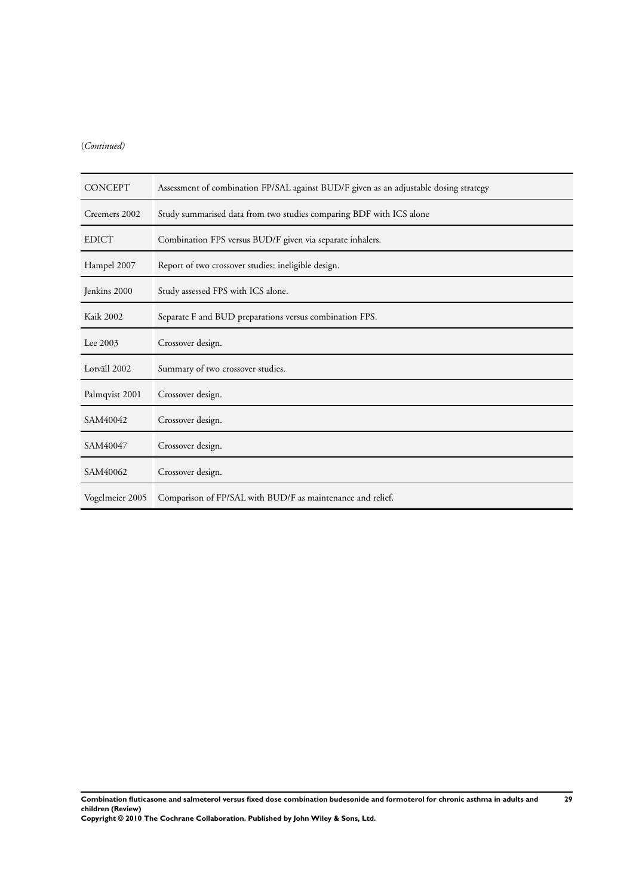# (*Continued)*

| <b>CONCEPT</b>   | Assessment of combination FP/SAL against BUD/F given as an adjustable dosing strategy |
|------------------|---------------------------------------------------------------------------------------|
| Creemers 2002    | Study summarised data from two studies comparing BDF with ICS alone                   |
| <b>EDICT</b>     | Combination FPS versus BUD/F given via separate inhalers.                             |
| Hampel 2007      | Report of two crossover studies: ineligible design.                                   |
| Jenkins 2000     | Study assessed FPS with ICS alone.                                                    |
| <b>Kaik 2002</b> | Separate F and BUD preparations versus combination FPS.                               |
| Lee 2003         | Crossover design.                                                                     |
| Lotväll 2002     | Summary of two crossover studies.                                                     |
| Palmqvist 2001   | Crossover design.                                                                     |
| SAM40042         | Crossover design.                                                                     |
| SAM40047         | Crossover design.                                                                     |
| SAM40062         | Crossover design.                                                                     |
| Vogelmeier 2005  | Comparison of FP/SAL with BUD/F as maintenance and relief.                            |

**Combination fluticasone and salmeterol versus fixed dose combination budesonide and formoterol for chronic asthma in adults and 29 children (Review)**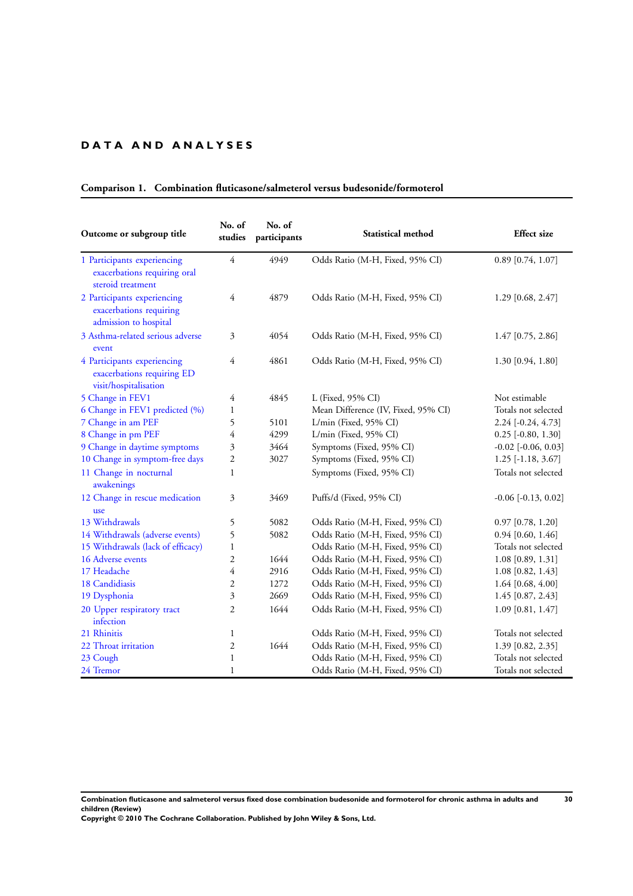# **D A T A A N D A N A L Y S E S**

# **Comparison 1. Combination fluticasone/salmeterol versus budesonide/formoterol**

| Outcome or subgroup title                                                          | No. of<br>studies | No. of<br>participants | Statistical method                  | <b>Effect</b> size           |
|------------------------------------------------------------------------------------|-------------------|------------------------|-------------------------------------|------------------------------|
| 1 Participants experiencing<br>exacerbations requiring oral<br>steroid treatment   | $\overline{4}$    | 4949                   | Odds Ratio (M-H, Fixed, 95% CI)     | $0.89$ [0.74, 1.07]          |
| 2 Participants experiencing<br>exacerbations requiring<br>admission to hospital    | $\overline{4}$    | 4879                   | Odds Ratio (M-H, Fixed, 95% CI)     | $1.29$ [0.68, 2.47]          |
| 3 Asthma-related serious adverse<br>event                                          | 3                 | 4054                   | Odds Ratio (M-H, Fixed, 95% CI)     | 1.47 [0.75, 2.86]            |
| 4 Participants experiencing<br>exacerbations requiring ED<br>visit/hospitalisation | 4                 | 4861                   | Odds Ratio (M-H, Fixed, 95% CI)     | $1.30$ [0.94, 1.80]          |
| 5 Change in FEV1                                                                   | 4                 | 4845                   | L (Fixed, 95% CI)                   | Not estimable                |
| 6 Change in FEV1 predicted (%)                                                     | 1                 |                        | Mean Difference (IV, Fixed, 95% CI) | Totals not selected          |
| 7 Change in am PEF                                                                 | 5                 | 5101                   | L/min (Fixed, 95% CI)               | 2.24 [-0.24, 4.73]           |
| 8 Change in pm PEF                                                                 | 4                 | 4299                   | L/min (Fixed, $95\%$ CI)            | $0.25$ [-0.80, 1.30]         |
| 9 Change in daytime symptoms                                                       | $\mathfrak{Z}$    | 3464                   | Symptoms (Fixed, 95% CI)            | $-0.02$ [ $-0.06$ , $0.03$ ] |
| 10 Change in symptom-free days                                                     | $\overline{2}$    | 3027                   | Symptoms (Fixed, 95% CI)            | $1.25$ [-1.18, 3.67]         |
| 11 Change in nocturnal<br>awakenings                                               | $\mathbf{1}$      |                        | Symptoms (Fixed, 95% CI)            | Totals not selected          |
| 12 Change in rescue medication<br>use                                              | 3                 | 3469                   | Puffs/d (Fixed, 95% CI)             | $-0.06$ $[-0.13, 0.02]$      |
| 13 Withdrawals                                                                     | 5                 | 5082                   | Odds Ratio (M-H, Fixed, 95% CI)     | $0.97$ [0.78, 1.20]          |
| 14 Withdrawals (adverse events)                                                    | 5                 | 5082                   | Odds Ratio (M-H, Fixed, 95% CI)     | $0.94$ [0.60, 1.46]          |
| 15 Withdrawals (lack of efficacy)                                                  | 1                 |                        | Odds Ratio (M-H, Fixed, 95% CI)     | Totals not selected          |
| 16 Adverse events                                                                  | $\mathfrak{2}$    | 1644                   | Odds Ratio (M-H, Fixed, 95% CI)     | 1.08 [0.89, 1.31]            |
| 17 Headache                                                                        | 4                 | 2916                   | Odds Ratio (M-H, Fixed, 95% CI)     | 1.08 [0.82, 1.43]            |
| 18 Candidiasis                                                                     | $\mathfrak{2}$    | 1272                   | Odds Ratio (M-H, Fixed, 95% CI)     | $1.64$ [0.68, 4.00]          |
| 19 Dysphonia                                                                       | $\mathfrak{Z}$    | 2669                   | Odds Ratio (M-H, Fixed, 95% CI)     | 1.45 [0.87, 2.43]            |
| 20 Upper respiratory tract                                                         | $\mathfrak{2}$    | 1644                   | Odds Ratio (M-H, Fixed, 95% CI)     | $1.09$ [0.81, 1.47]          |
| infection                                                                          |                   |                        |                                     |                              |
| 21 Rhinitis                                                                        | 1                 |                        | Odds Ratio (M-H, Fixed, 95% CI)     | Totals not selected          |
| 22 Throat irritation                                                               | $\mathfrak{2}$    | 1644                   | Odds Ratio (M-H, Fixed, 95% CI)     | 1.39 [0.82, 2.35]            |
| 23 Cough                                                                           | 1                 |                        | Odds Ratio (M-H, Fixed, 95% CI)     | Totals not selected          |
| 24 Tremor                                                                          | 1                 |                        | Odds Ratio (M-H, Fixed, 95% CI)     | Totals not selected          |

**Combination fluticasone and salmeterol versus fixed dose combination budesonide and formoterol for chronic asthma in adults and 30 children (Review)**

**Copyright © 2010 The Cochrane Collaboration. Published by John Wiley & Sons, Ltd.**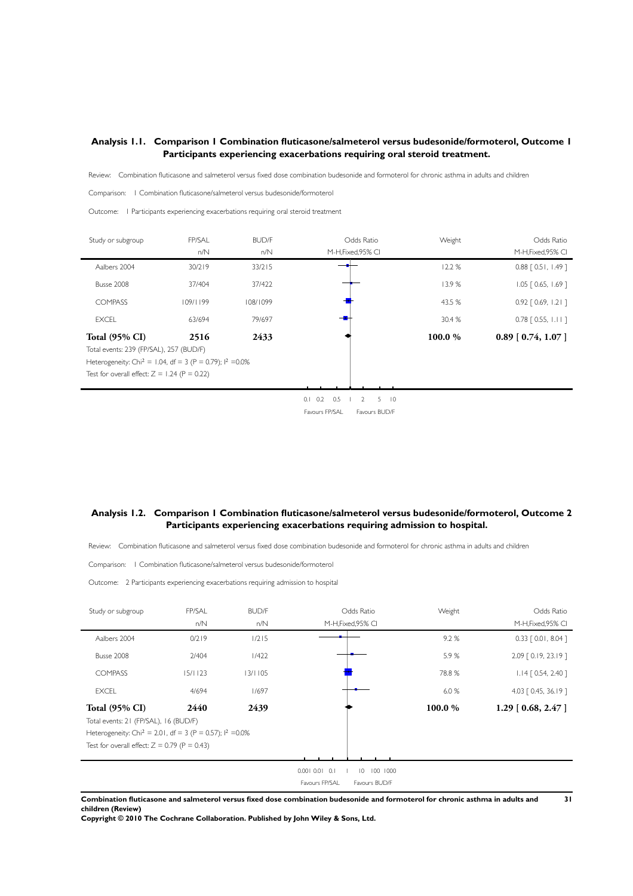# <span id="page-33-0"></span>**Analysis 1.1. Comparison 1 Combination fluticasone/salmeterol versus budesonide/formoterol, Outcome 1 Participants experiencing exacerbations requiring oral steroid treatment.**

Review: Combination fluticasone and salmeterol versus fixed dose combination budesonide and formoterol for chronic asthma in adults and children

Comparison: 1 Combination fluticasone/salmeterol versus budesonide/formoterol

Outcome: I Participants experiencing exacerbations requiring oral steroid treatment

l.

| Study or subgroup                                                      | FP/SAL   | <b>BUD/F</b> | Odds Ratio                                                 | Weight | Odds Ratio               |
|------------------------------------------------------------------------|----------|--------------|------------------------------------------------------------|--------|--------------------------|
|                                                                        | n/N      | n/N          | M-H, Fixed, 95% CI                                         |        | M-H, Fixed, 95% CI       |
| Aalbers 2004                                                           | 30/219   | 33/215       |                                                            | 12.2%  | $0.88$ $[0.51, 1.49]$    |
| <b>Busse 2008</b>                                                      | 37/404   | 37/422       |                                                            | 13.9%  | $1.05$ $[0.65, 1.69]$    |
| <b>COMPASS</b>                                                         | 109/1199 | 108/1099     |                                                            | 43.5 % | $0.92$ $[0.69, 1.21]$    |
| <b>EXCEL</b>                                                           | 63/694   | 79/697       |                                                            | 30.4 % | $0.78$ [ 0.55, 1.11 ]    |
| <b>Total (95% CI)</b>                                                  | 2516     | 2433         |                                                            | 100.0% | $0.89$ [ $0.74$ , 1.07 ] |
| Total events: 239 (FP/SAL), 257 (BUD/F)                                |          |              |                                                            |        |                          |
| Heterogeneity: Chi <sup>2</sup> = 1.04, df = 3 (P = 0.79); $1^2$ =0.0% |          |              |                                                            |        |                          |
| Test for overall effect: $Z = 1.24$ (P = 0.22)                         |          |              |                                                            |        |                          |
|                                                                        |          |              |                                                            |        |                          |
|                                                                        |          |              | 0.2<br>0.5<br>5<br>$\overline{10}$<br>0.1<br>$\mathcal{L}$ |        |                          |

Favours FP/SAL Favours BUD/F

# **Analysis 1.2. Comparison 1 Combination fluticasone/salmeterol versus budesonide/formoterol, Outcome 2 Participants experiencing exacerbations requiring admission to hospital.**

Review: Combination fluticasone and salmeterol versus fixed dose combination budesonide and formoterol for chronic asthma in adults and children

Comparison: 1 Combination fluticasone/salmeterol versus budesonide/formoterol

Outcome: 2 Participants experiencing exacerbations requiring admission to hospital

| Study or subgroup                                                       | FP/SAL  | <b>BUD/F</b> | Odds Ratio                                 | Weight | Odds Ratio                  |
|-------------------------------------------------------------------------|---------|--------------|--------------------------------------------|--------|-----------------------------|
|                                                                         | n/N     | n/N          | M-H, Fixed, 95% CI                         |        | M-H, Fixed, 95% CI          |
| Aalbers 2004                                                            | 0/219   | 1/215        |                                            | 9.2%   | $0.33$ $[0.01, 8.04]$       |
| <b>Busse 2008</b>                                                       | 2/404   | 1/422        |                                            | 5.9%   | 2.09 [0.19, 23.19]          |
| <b>COMPASS</b>                                                          | 15/1123 | 13/1105      |                                            | 78.8%  | $1.14$ $[0.54, 2.40]$       |
| <b>EXCEL</b>                                                            | 4/694   | 1/697        |                                            | 6.0%   | 4.03 [ 0.45, 36.19 ]        |
| <b>Total (95% CI)</b>                                                   | 2440    | 2439         |                                            | 100.0% | $1.29 \mid 0.68, 2.47 \mid$ |
| Total events: 21 (FP/SAL), 16 (BUD/F)                                   |         |              |                                            |        |                             |
| Heterogeneity: Chi <sup>2</sup> = 2.01, df = 3 (P = 0.57); $1^2$ = 0.0% |         |              |                                            |        |                             |
| Test for overall effect: $Z = 0.79$ (P = 0.43)                          |         |              |                                            |        |                             |
|                                                                         |         |              |                                            |        |                             |
|                                                                         |         |              | 0.0010.010.1<br>100 1000<br>$\overline{0}$ |        |                             |
|                                                                         |         |              | Favours FP/SAL<br>Favours BUD/F            |        |                             |

**Combination fluticasone and salmeterol versus fixed dose combination budesonide and formoterol for chronic asthma in adults and 31 children (Review)**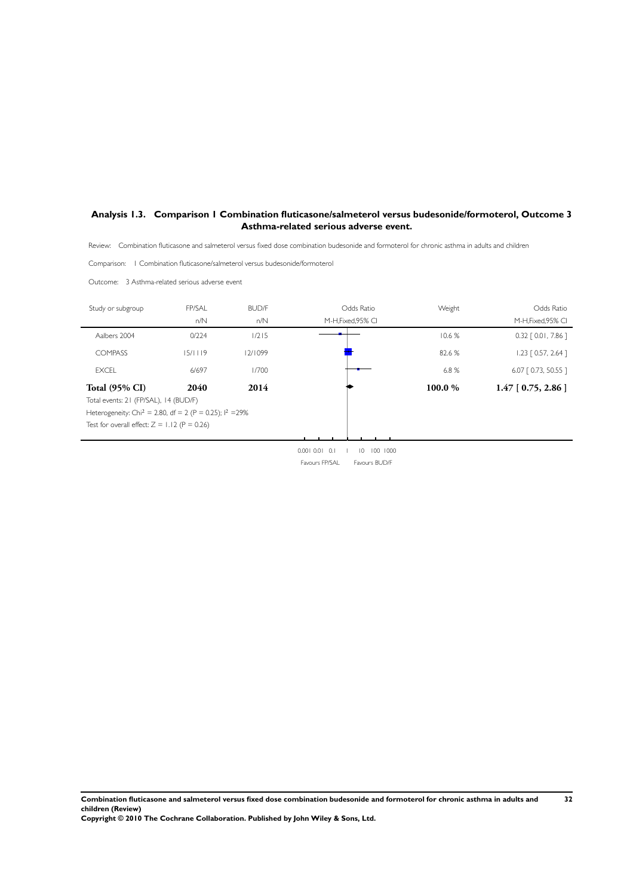# <span id="page-34-0"></span>**Analysis 1.3. Comparison 1 Combination fluticasone/salmeterol versus budesonide/formoterol, Outcome 3 Asthma-related serious adverse event.**

Review: Combination fluticasone and salmeterol versus fixed dose combination budesonide and formoterol for chronic asthma in adults and children

Comparison: 1 Combination fluticasone/salmeterol versus budesonide/formoterol

Outcome: 3 Asthma-related serious adverse event

| Study or subgroup                                                                                                                                                                          | FP/SAL  | <b>BUD/F</b> | Odds Ratio                                                             | Weight  | Odds Ratio               |
|--------------------------------------------------------------------------------------------------------------------------------------------------------------------------------------------|---------|--------------|------------------------------------------------------------------------|---------|--------------------------|
|                                                                                                                                                                                            | n/N     | n/N          | M-H, Fixed, 95% CI                                                     |         | M-H, Fixed, 95% CI       |
| Aalbers 2004                                                                                                                                                                               | 0/224   | 1/215        |                                                                        | 10.6 %  | $0.32$ [ $0.01$ , 7.86 ] |
| <b>COMPASS</b>                                                                                                                                                                             | 15/1119 | 12/1099      |                                                                        | 82.6 %  | $1.23$ [ 0.57, 2.64 ]    |
| <b>EXCEL</b>                                                                                                                                                                               | 6/697   | 1/700        |                                                                        | 6.8%    | 6.07 [ 0.73, 50.55 ]     |
| <b>Total (95% CI)</b><br>Total events: 21 (FP/SAL), 14 (BUD/F)<br>Heterogeneity: Chi <sup>2</sup> = 2.80, df = 2 (P = 0.25); $1^2$ = 29%<br>Test for overall effect: $Z = 1.12$ (P = 0.26) | 2040    | 2014         | $0.001$ $0.01$ $0.1$<br>10 100 1000<br>Favours FP/SAL<br>Favours BUD/F | 100.0 % | $1.47$ [ 0.75, 2.86 ]    |

**Combination fluticasone and salmeterol versus fixed dose combination budesonide and formoterol for chronic asthma in adults and 32 children (Review)**

**Copyright © 2010 The Cochrane Collaboration. Published by John Wiley & Sons, Ltd.**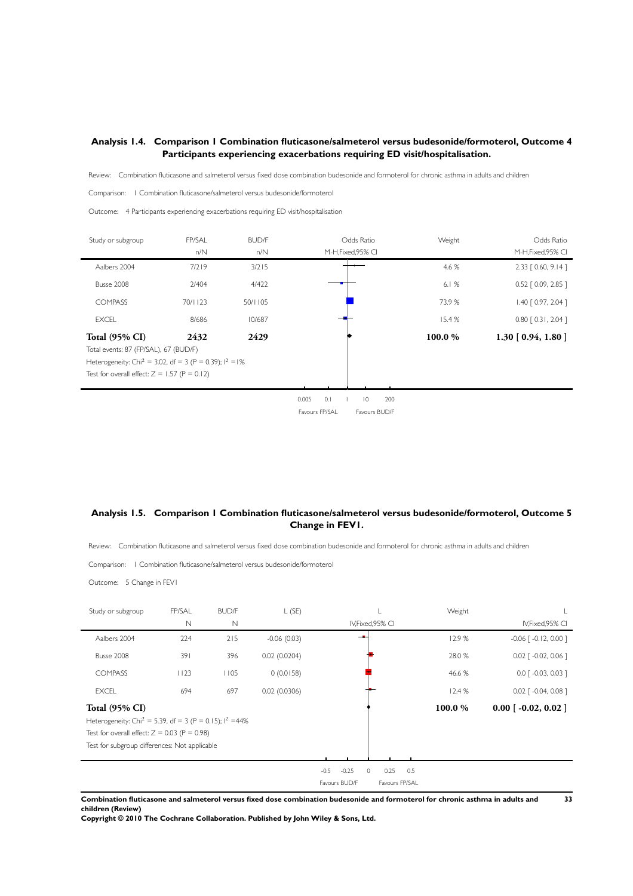# <span id="page-35-0"></span>**Analysis 1.4. Comparison 1 Combination fluticasone/salmeterol versus budesonide/formoterol, Outcome 4 Participants experiencing exacerbations requiring ED visit/hospitalisation.**

Review: Combination fluticasone and salmeterol versus fixed dose combination budesonide and formoterol for chronic asthma in adults and children

Comparison: 1 Combination fluticasone/salmeterol versus budesonide/formoterol

Outcome: 4 Participants experiencing exacerbations requiring ED visit/hospitalisation

| Study or subgroup                                                      | FP/SAL  | <b>BUD/F</b> | Odds Ratio                            | Weight  | Odds Ratio            |
|------------------------------------------------------------------------|---------|--------------|---------------------------------------|---------|-----------------------|
|                                                                        | n/N     | n/N          | M-H, Fixed, 95% CI                    |         | M-H, Fixed, 95% CI    |
| Aalbers 2004                                                           | 7/219   | 3/215        |                                       | 4.6 %   | 2.33 [ 0.60, 9.14 ]   |
| Busse 2008                                                             | 2/404   | 4/422        |                                       | 6.1%    | 0.52 [ 0.09, 2.85 ]   |
| <b>COMPASS</b>                                                         | 70/1123 | 50/1105      |                                       | 73.9%   | 1.40 [ 0.97, 2.04 ]   |
| <b>EXCEL</b>                                                           | 8/686   | 10/687       |                                       | 15.4 %  | $0.80$ $[0.31, 2.04]$ |
| Total (95% CI)                                                         | 2432    | 2429         |                                       | 100.0 % | 1.30 [0.94, 1.80]     |
| Total events: 87 (FP/SAL), 67 (BUD/F)                                  |         |              |                                       |         |                       |
| Heterogeneity: Chi <sup>2</sup> = 3.02, df = 3 (P = 0.39); $1^2 = 1\%$ |         |              |                                       |         |                       |
| Test for overall effect: $Z = 1.57$ (P = 0.12)                         |         |              |                                       |         |                       |
|                                                                        |         |              |                                       |         |                       |
|                                                                        |         |              | 0.1<br>200<br>0.005<br>$\overline{0}$ |         |                       |

Favours FP/SAL Favours BUD/F

# **Analysis 1.5. Comparison 1 Combination fluticasone/salmeterol versus budesonide/formoterol, Outcome 5 Change in FEV1.**

Review: Combination fluticasone and salmeterol versus fixed dose combination budesonide and formoterol for chronic asthma in adults and children

Comparison: 1 Combination fluticasone/salmeterol versus budesonide/formoterol

Outcome: 5 Change in FEV1

| Study or subgroup                                                                                                                                                                                 | FP/SAL      | <b>BUD/F</b> | L(SE)         |                                                                     | Weight  |                                     |
|---------------------------------------------------------------------------------------------------------------------------------------------------------------------------------------------------|-------------|--------------|---------------|---------------------------------------------------------------------|---------|-------------------------------------|
|                                                                                                                                                                                                   | $\mathbb N$ | $\mathbb N$  |               | IV, Fixed, 95% CI                                                   |         | IV, Fixed, 95% CI                   |
| Aalbers 2004                                                                                                                                                                                      | 224         | 215          | $-0.06(0.03)$ |                                                                     | 12.9%   | $-0.06$ $\lceil -0.12, 0.00 \rceil$ |
| Busse 2008                                                                                                                                                                                        | 391         | 396          | 0.02(0.0204)  |                                                                     | 28.0 %  | $0.02$ $\lceil -0.02, 0.06 \rceil$  |
| <b>COMPASS</b>                                                                                                                                                                                    | 1123        | 1105         | 0(0.0158)     |                                                                     | 46.6 %  | $0.0$ $\lceil -0.03, 0.03 \rceil$   |
| <b>EXCEL</b>                                                                                                                                                                                      | 694         | 697          | 0.02(0.0306)  |                                                                     | 12.4%   | $0.02$ $\lceil -0.04, 0.08 \rceil$  |
| <b>Total (95% CI)</b><br>Heterogeneity: Chi <sup>2</sup> = 5.39, df = 3 (P = 0.15); $1^2$ =44%<br>Test for overall effect: $Z = 0.03$ (P = 0.98)<br>Test for subgroup differences: Not applicable |             |              |               |                                                                     | 100.0 % | $0.00$ [ -0.02, 0.02 ]              |
|                                                                                                                                                                                                   |             |              |               | $-0.5$<br>$-0.25$<br>0.25<br>0.5<br>Favours BUD/F<br>Favours FP/SAL |         |                                     |

**Combination fluticasone and salmeterol versus fixed dose combination budesonide and formoterol for chronic asthma in adults and 33 children (Review)**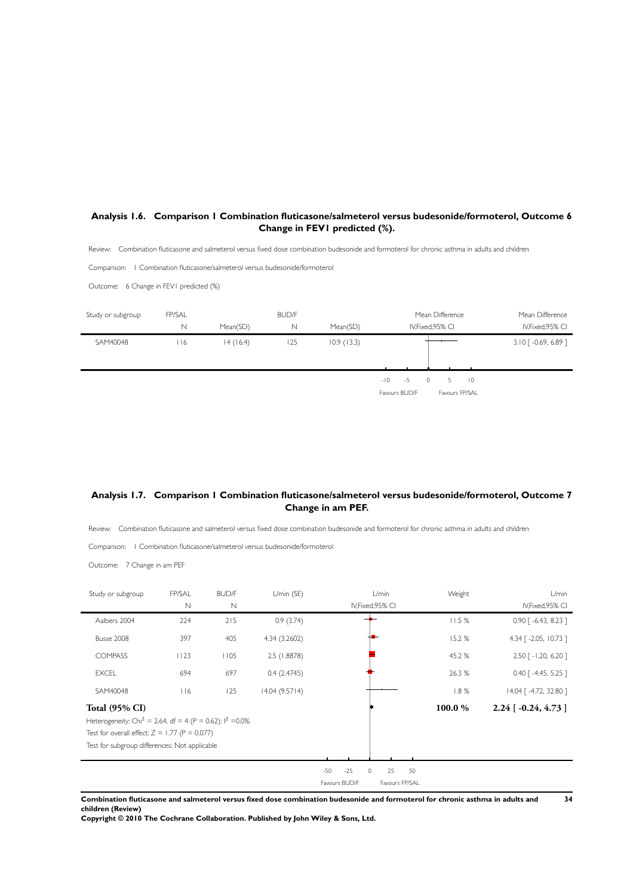# <span id="page-36-0"></span>**Analysis 1.6. Comparison 1 Combination fluticasone/salmeterol versus budesonide/formoterol, Outcome 6 Change in FEV1 predicted (%).**

Review: Combination fluticasone and salmeterol versus fixed dose combination budesonide and formoterol for chronic asthma in adults and children

Comparison: 1 Combination fluticasone/salmeterol versus budesonide/formoterol

Outcome: 6 Change in FEV1 predicted (%)



# **Analysis 1.7. Comparison 1 Combination fluticasone/salmeterol versus budesonide/formoterol, Outcome 7 Change in am PEF.**

Review: Combination fluticasone and salmeterol versus fixed dose combination budesonide and formoterol for chronic asthma in adults and children

Comparison: 1 Combination fluticasone/salmeterol versus budesonide/formoterol

Outcome: 7 Change in am PEF

| Study or subgroup                                                                                                                                                                                    | FP/SAL<br>$\mathbb N$ | <b>BUD/F</b><br>$\mathbb N$ | L/min(SE)     | L/min<br>IV, Fixed, 95% CI                                    | Weight  | L/min<br>IV, Fixed, 95% CI         |
|------------------------------------------------------------------------------------------------------------------------------------------------------------------------------------------------------|-----------------------|-----------------------------|---------------|---------------------------------------------------------------|---------|------------------------------------|
| Aalbers 2004                                                                                                                                                                                         | 224                   | 215                         | 0.9(3.74)     |                                                               | 11.5%   | $0.90$ $[-6.43, 8.23]$             |
| Busse 2008                                                                                                                                                                                           | 397                   | 405                         | 4.34 (3.2602) |                                                               | 15.2%   | 4.34 [ -2.05, 10.73 ]              |
| <b>COMPASS</b>                                                                                                                                                                                       | 1123                  | 1105                        | 2.5 (1.8878)  |                                                               | 45.2 %  | $2.50$ [ -1.20, 6.20 ]             |
| <b>EXCEL</b>                                                                                                                                                                                         | 694                   | 697                         | 0.4(2.4745)   |                                                               | 26.3 %  | $0.40$ $\lceil -4.45, 5.25 \rceil$ |
| SAM40048                                                                                                                                                                                             | 116                   | 125                         | 14.04(9.5714) |                                                               | 1.8%    | 14.04 [ -4.72, 32.80 ]             |
| <b>Total (95% CI)</b><br>Heterogeneity: Chi <sup>2</sup> = 2.64, df = 4 (P = 0.62); $1^2$ = 0.0%<br>Test for overall effect: $Z = 1.77$ (P = 0.077)<br>Test for subgroup differences: Not applicable |                       |                             |               |                                                               | 100.0 % | $2.24$ [ -0.24, 4.73 ]             |
|                                                                                                                                                                                                      |                       |                             |               | 50<br>$-25$<br>25<br>$-50$<br>Favours BUD/F<br>Favours FP/SAL |         |                                    |

**Combination fluticasone and salmeterol versus fixed dose combination budesonide and formoterol for chronic asthma in adults and 34 children (Review)**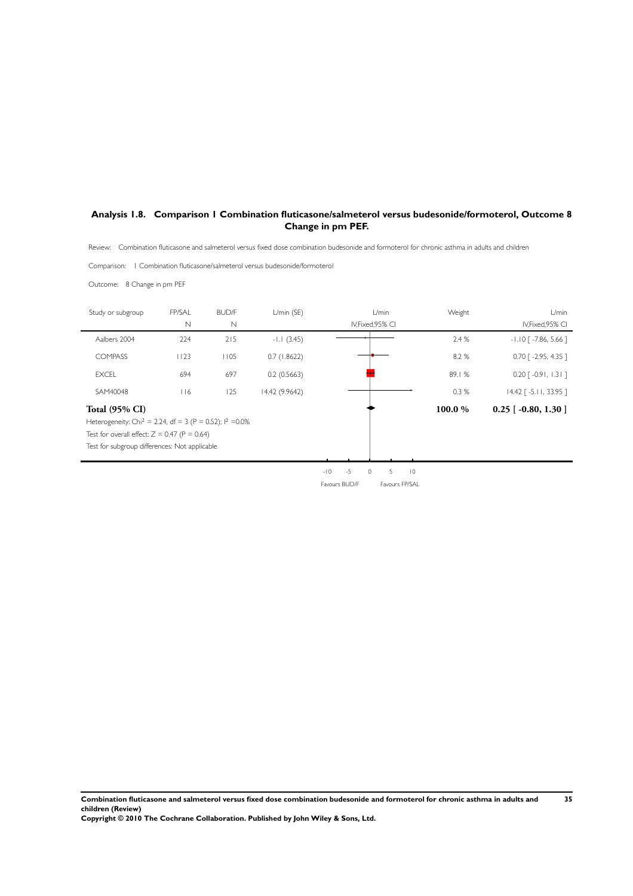# <span id="page-37-0"></span>**Analysis 1.8. Comparison 1 Combination fluticasone/salmeterol versus budesonide/formoterol, Outcome 8 Change in pm PEF.**

Review: Combination fluticasone and salmeterol versus fixed dose combination budesonide and formoterol for chronic asthma in adults and children

Comparison: 1 Combination fluticasone/salmeterol versus budesonide/formoterol

Outcome: 8 Change in pm PEF

| Study or subgroup                                                       | FP/SAL      | <b>BUD/F</b> | L/min(SE)      | L/min             | Weight | L/min                      |  |
|-------------------------------------------------------------------------|-------------|--------------|----------------|-------------------|--------|----------------------------|--|
|                                                                         | $\mathbb N$ | $\mathbb N$  |                | IV, Fixed, 95% CI |        | IV, Fixed, 95% CI          |  |
| Aalbers 2004                                                            | 224         | 215          | $-1.1(3.45)$   |                   | 2.4%   | $-1.10$ [ $-7.86$ , 5.66 ] |  |
| <b>COMPASS</b>                                                          | 1123        | 1105         | $0.7$ (1.8622) |                   | 8.2 %  | $0.70$ [ -2.95, 4.35 ]     |  |
| <b>EXCEL</b>                                                            | 694         | 697          | 0.2(0.5663)    |                   | 89.1%  | $0.20$ [ -0.91, 1.31 ]     |  |
| SAM40048                                                                | 116         | 125          | 14.42 (9.9642) |                   | 0.3%   | 14.42 [ -5.11, 33.95 ]     |  |
| <b>Total (95% CI)</b>                                                   |             |              |                |                   | 100.0% | $0.25$ [ -0.80, 1.30 ]     |  |
| Heterogeneity: Chi <sup>2</sup> = 2.24, df = 3 (P = 0.52); $1^2$ = 0.0% |             |              |                |                   |        |                            |  |
| Test for overall effect: $Z = 0.47$ (P = 0.64)                          |             |              |                |                   |        |                            |  |
| Test for subgroup differences: Not applicable                           |             |              |                |                   |        |                            |  |
|                                                                         |             |              |                |                   |        |                            |  |

 $-10$   $-5$  0 5 10 Favours BUD/F | Favours FP/SAL

**Combination fluticasone and salmeterol versus fixed dose combination budesonide and formoterol for chronic asthma in adults and 35 children (Review)**

**Copyright © 2010 The Cochrane Collaboration. Published by John Wiley & Sons, Ltd.**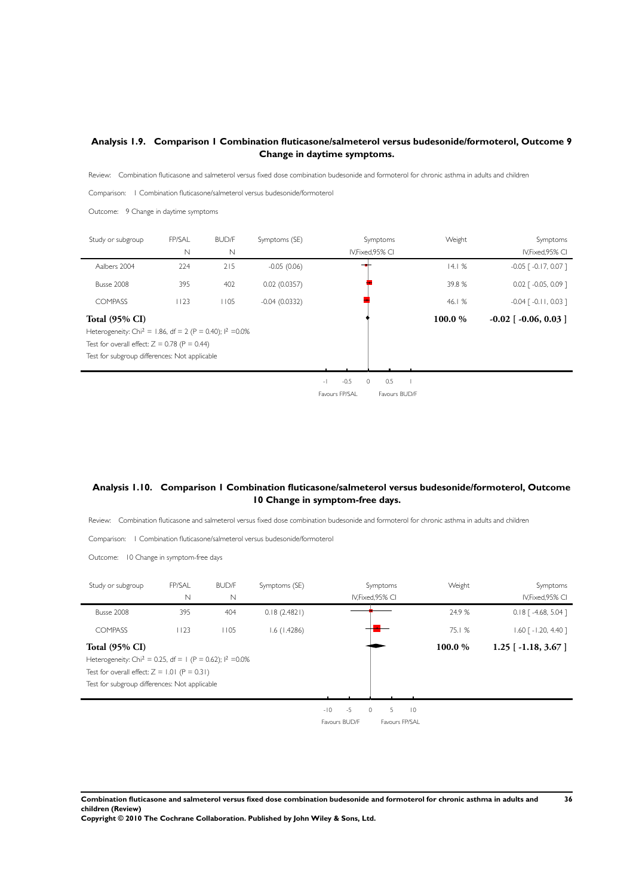# <span id="page-38-0"></span>**Analysis 1.9. Comparison 1 Combination fluticasone/salmeterol versus budesonide/formoterol, Outcome 9 Change in daytime symptoms.**

Review: Combination fluticasone and salmeterol versus fixed dose combination budesonide and formoterol for chronic asthma in adults and children

Comparison: 1 Combination fluticasone/salmeterol versus budesonide/formoterol

Outcome: 9 Change in daytime symptoms

| Study or subgroup                                                       | FP/SAL      | <b>BUD/F</b> | Symptoms (SE)   | Symptoms                          | Weight | Symptoms                            |
|-------------------------------------------------------------------------|-------------|--------------|-----------------|-----------------------------------|--------|-------------------------------------|
|                                                                         | $\mathbb N$ | $\mathbb N$  |                 | IV, Fixed, 95% CI                 |        | IV, Fixed, 95% CI                   |
| Aalbers 2004                                                            | 224         | 215          | $-0.05(0.06)$   |                                   | 14.1%  | $-0.05$ $\lceil -0.17, 0.07 \rceil$ |
| <b>Busse 2008</b>                                                       | 395         | 402          | 0.02(0.0357)    |                                   | 39.8 % | $0.02$ $\lceil -0.05, 0.09 \rceil$  |
| <b>COMPASS</b>                                                          | 1123        | 1105         | $-0.04(0.0332)$ |                                   | 46.1 % | $-0.04$ $\lceil -0.11, 0.03 \rceil$ |
| <b>Total (95% CI)</b>                                                   |             |              |                 |                                   | 100.0% | $-0.02$ [ $-0.06$ , 0.03 ]          |
| Heterogeneity: Chi <sup>2</sup> = 1.86, df = 2 (P = 0.40); $1^2$ = 0.0% |             |              |                 |                                   |        |                                     |
| Test for overall effect: $Z = 0.78$ (P = 0.44)                          |             |              |                 |                                   |        |                                     |
| Test for subgroup differences: Not applicable                           |             |              |                 |                                   |        |                                     |
|                                                                         |             |              |                 |                                   |        |                                     |
|                                                                         |             |              |                 | $-0.5$<br>0.5<br>$\Omega$<br>$-1$ |        |                                     |
|                                                                         |             |              |                 | Favours FP/SAL<br>Favours BUD/F   |        |                                     |
|                                                                         |             |              |                 |                                   |        |                                     |

# **Analysis 1.10. Comparison 1 Combination fluticasone/salmeterol versus budesonide/formoterol, Outcome 10 Change in symptom-free days.**

Review: Combination fluticasone and salmeterol versus fixed dose combination budesonide and formoterol for chronic asthma in adults and children

Comparison: 1 Combination fluticasone/salmeterol versus budesonide/formoterol

Outcome: 10 Change in symptom-free days

| Study or subgroup                                                                                                                                                                                   | FP/SAL<br>N | <b>BUD/F</b><br>$\mathbb N$ | Symptoms (SE) | Symptoms<br>IV, Fixed, 95% CI                                                      | Weight | Symptoms<br>IV, Fixed, 95% CI      |
|-----------------------------------------------------------------------------------------------------------------------------------------------------------------------------------------------------|-------------|-----------------------------|---------------|------------------------------------------------------------------------------------|--------|------------------------------------|
| Busse 2008                                                                                                                                                                                          | 395         | 404                         | 0.18(2.4821)  |                                                                                    | 24.9 % | $0.18$ $[-4.68, 5.04]$             |
| <b>COMPASS</b>                                                                                                                                                                                      | 1123        | 1105                        | 1.6(1.4286)   |                                                                                    | 75.1 % | $1.60$ $\lceil -1.20, 4.40 \rceil$ |
| <b>Total (95% CI)</b><br>Heterogeneity: Chi <sup>2</sup> = 0.25, df = 1 (P = 0.62); $1^2$ = 0.0%<br>Test for overall effect: $Z = 1.01$ (P = 0.31)<br>Test for subgroup differences: Not applicable |             |                             |               |                                                                                    | 100.0% | $1.25$ [ -1.18, 3.67 ]             |
|                                                                                                                                                                                                     |             |                             |               | $-5$<br>5<br>$-10$<br>$\overline{10}$<br>$\cap$<br>Favours BUD/F<br>Favours FP/SAL |        |                                    |

**Combination fluticasone and salmeterol versus fixed dose combination budesonide and formoterol for chronic asthma in adults and 36 children (Review)**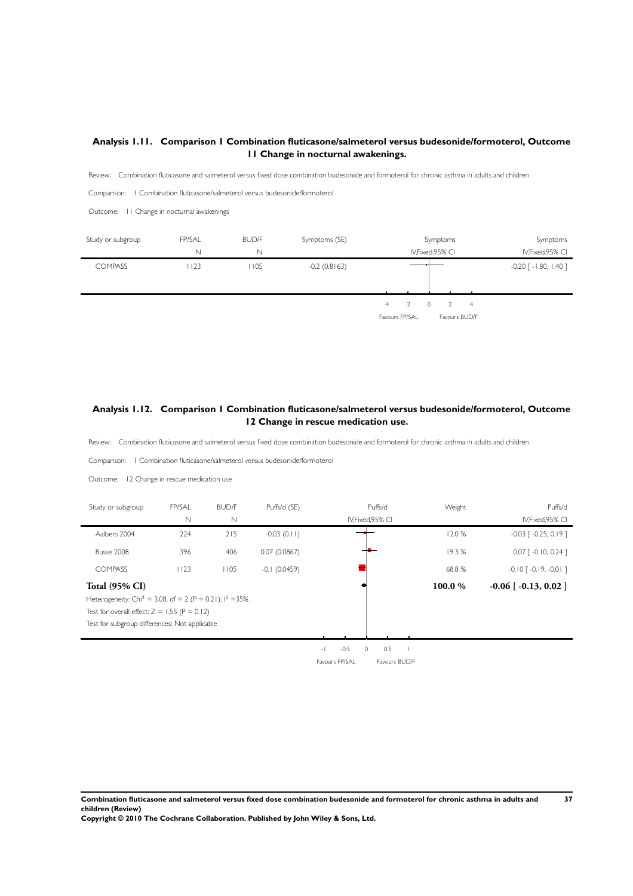# <span id="page-39-0"></span>**Analysis 1.11. Comparison 1 Combination fluticasone/salmeterol versus budesonide/formoterol, Outcome 11 Change in nocturnal awakenings.**

Review: Combination fluticasone and salmeterol versus fixed dose combination budesonide and formoterol for chronic asthma in adults and children

Comparison: 1 Combination fluticasone/salmeterol versus budesonide/formoterol

Outcome: 11 Change in nocturnal awakenings

| Study or subgroup | FP/SAL<br>$\mathsf{N}$ | <b>BUD/F</b><br>N | Symptoms (SE)   | Symptoms<br>IV, Fixed, 95% CI                                                                  | Symptoms<br>IV, Fixed, 95% CI       |
|-------------------|------------------------|-------------------|-----------------|------------------------------------------------------------------------------------------------|-------------------------------------|
| <b>COMPASS</b>    | 1123                   | 1105              | $-0.2$ (0.8163) |                                                                                                | $-0.20$ $\lceil -1.80, 1.40 \rceil$ |
|                   |                        |                   |                 | $-2$<br>$-4$<br>$\circ$<br>$\overline{2}$<br>$\overline{4}$<br>Favours FP/SAL<br>Favours BUD/F |                                     |

# **Analysis 1.12. Comparison 1 Combination fluticasone/salmeterol versus budesonide/formoterol, Outcome 12 Change in rescue medication use.**

| Comparison:   Combination fluticasone/salmeterol versus budesonide/formoterol                                                                                                                      |                                    |                             |                             |                                                               |            |                                                                            |
|----------------------------------------------------------------------------------------------------------------------------------------------------------------------------------------------------|------------------------------------|-----------------------------|-----------------------------|---------------------------------------------------------------|------------|----------------------------------------------------------------------------|
| Outcome: 12 Change in rescue medication use                                                                                                                                                        |                                    |                             |                             |                                                               |            |                                                                            |
| Study or subgroup                                                                                                                                                                                  | FP/SAL<br>$\mathbb N$              | <b>BUD/F</b><br>$\mathbb N$ | Puffs/d (SE)                | Puffs/d<br>IV, Fixed, 95% CI                                  | Weight     | Puffs/d<br>IV, Fixed, 95% CI                                               |
| Aalbers 2004                                                                                                                                                                                       | 224                                | 215                         | $-0.03(0.11)$               |                                                               | 12.0 %     | $-0.03$ $\lceil -0.25, 0.19 \rceil$                                        |
| Busse 2008                                                                                                                                                                                         | 396                                | 406                         | 0.07(0.0867)                |                                                               | 19.3%      | $0.07$ $\lceil -0.10, 0.24 \rceil$                                         |
| <b>COMPASS</b>                                                                                                                                                                                     | 1123                               | 1105                        | $-0.1(0.0459)$              |                                                               | 68.8%      | $-0.10$ $\lceil -0.19, -0.01 \rceil$                                       |
| <b>Total (95% CI)</b><br>Heterogeneity: Chi <sup>2</sup> = 3.08, df = 2 (P = 0.21); $1^2$ = 35%<br>Test for overall effect: $Z = 1.55$ (P = 0.12)<br>Test for subgroup differences: Not applicable |                                    |                             |                             | $-0.5$<br>0.5<br>0<br>$-1$<br>Favours FP/SAL<br>Favours BUD/F | $100.0 \%$ | $-0.06$ [ $-0.13$ , $0.02$ ]                                               |
| Little and a condition of the second                                                                                                                                                               | $\bf{d}$ and $\bf{d}$ and $\bf{d}$ |                             | والمنافي المستنبذة والمستنب | والمتقصد والمستحل ومستنقط والمتقاطر<br>$\overline{1}$ .       |            | المستحدث والمتلوث والمتاريخ والمتحاولة والمتحدث والمستحل والمتألف المتحافي |

Review: Combination fluticasone and salmeterol versus fixed dose combination budesonide and formoterol for chronic asthma in adults and children

**Combination fluticasone and salmeterol versus fixed dose combination budesonide and formoterol for chronic asthma in adults and 37 children (Review)**

**Copyright © 2010 The Cochrane Collaboration. Published by John Wiley & Sons, Ltd.**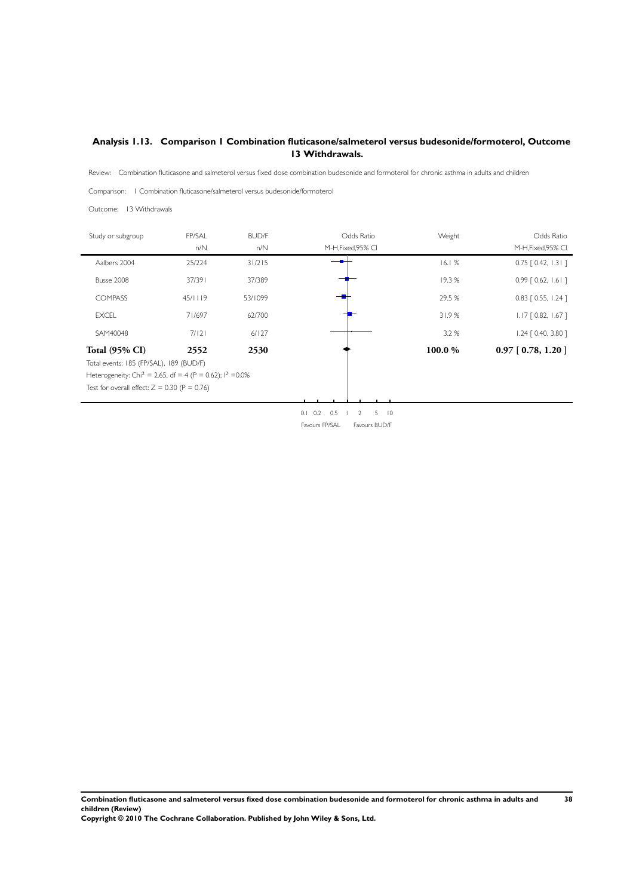# <span id="page-40-0"></span>**Analysis 1.13. Comparison 1 Combination fluticasone/salmeterol versus budesonide/formoterol, Outcome 13 Withdrawals.**

Review: Combination fluticasone and salmeterol versus fixed dose combination budesonide and formoterol for chronic asthma in adults and children

Comparison: 1 Combination fluticasone/salmeterol versus budesonide/formoterol

Outcome: 13 Withdrawals

| Study or subgroup                                                                                                                                                                             | FP/SAL  | <b>BUD/F</b> | Odds Ratio         | Weight  | Odds Ratio            |
|-----------------------------------------------------------------------------------------------------------------------------------------------------------------------------------------------|---------|--------------|--------------------|---------|-----------------------|
|                                                                                                                                                                                               | n/N     | n/N          | M-H, Fixed, 95% CI |         | M-H, Fixed, 95% CI    |
| Aalbers 2004                                                                                                                                                                                  | 25/224  | 31/215       |                    | 16.1%   | $0.75$ $[0.42, 1.31]$ |
| <b>Busse 2008</b>                                                                                                                                                                             | 37/391  | 37/389       |                    | 19.3%   | $0.99$ $[0.62, 1.61]$ |
| <b>COMPASS</b>                                                                                                                                                                                | 45/1119 | 53/1099      |                    | 29.5 %  | $0.83$ [ 0.55, 1.24 ] |
| <b>EXCEL</b>                                                                                                                                                                                  | 71/697  | 62/700       |                    | 31.9%   | $1.17$ $[0.82, 1.67]$ |
| SAM40048                                                                                                                                                                                      | 7/121   | 6/127        |                    | 3.2%    | $1.24$ $[0.40, 3.80]$ |
| <b>Total (95% CI)</b><br>Total events: 185 (FP/SAL), 189 (BUD/F)<br>Heterogeneity: Chi <sup>2</sup> = 2.65, df = 4 (P = 0.62); $1^2$ = 0.0%<br>Test for overall effect: $Z = 0.30$ (P = 0.76) | 2552    | 2530         |                    | 100.0 % | $0.97$ [ 0.78, 1.20 ] |

 $0.1$   $0.2$   $0.5$   $1$   $2$   $5$   $10$ Favours FP/SAL Favours BUD/F

**Combination fluticasone and salmeterol versus fixed dose combination budesonide and formoterol for chronic asthma in adults and 38 children (Review)**

**Copyright © 2010 The Cochrane Collaboration. Published by John Wiley & Sons, Ltd.**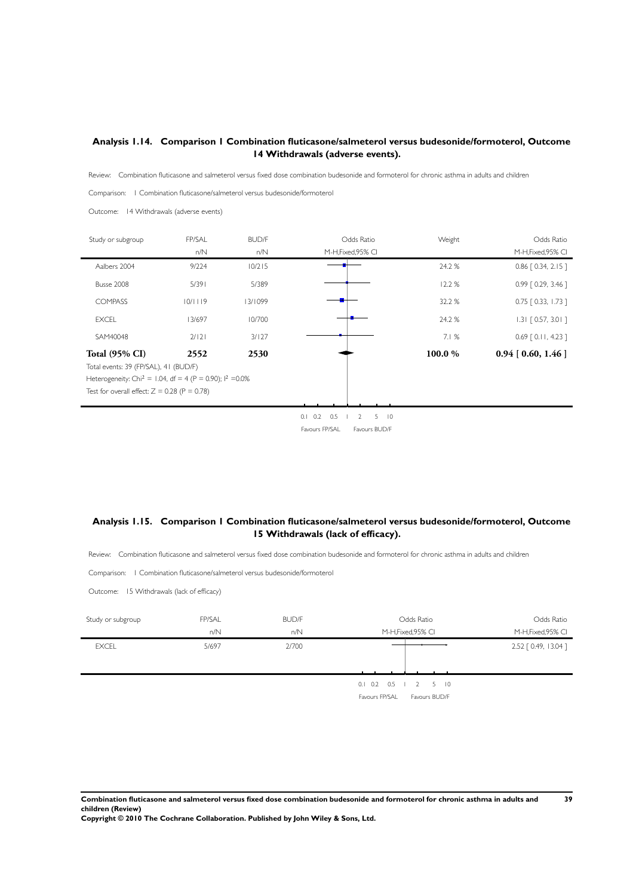# <span id="page-41-0"></span>**Analysis 1.14. Comparison 1 Combination fluticasone/salmeterol versus budesonide/formoterol, Outcome 14 Withdrawals (adverse events).**

Review: Combination fluticasone and salmeterol versus fixed dose combination budesonide and formoterol for chronic asthma in adults and children

Comparison: 1 Combination fluticasone/salmeterol versus budesonide/formoterol

Outcome: 14 Withdrawals (adverse events)

| Study or subgroup                                                      | FP/SAL  | <b>BUD/F</b> | Odds Ratio         | Weight  | Odds Ratio            |
|------------------------------------------------------------------------|---------|--------------|--------------------|---------|-----------------------|
|                                                                        | n/N     | n/N          | M-H, Fixed, 95% CI |         | M-H, Fixed, 95% CI    |
| Aalbers 2004                                                           | 9/224   | 10/215       |                    | 24.2 %  | $0.86$ $[0.34, 2.15]$ |
| <b>Busse 2008</b>                                                      | 5/391   | 5/389        |                    | 12.2%   | $0.99$ $[0.29, 3.46]$ |
| <b>COMPASS</b>                                                         | 10/1119 | 13/1099      |                    | 32.2 %  | $0.75$ $[0.33, 1.73]$ |
| <b>EXCEL</b>                                                           | 13/697  | 10/700       |                    | 24.2 %  | $1.31$ $[0.57, 3.01]$ |
| SAM40048                                                               | 2/121   | 3/127        |                    | 7.1%    | $0.69$ [ 0.11, 4.23 ] |
| <b>Total (95% CI)</b>                                                  | 2552    | 2530         |                    | 100.0 % | $0.94$ [ 0.60, 1.46 ] |
| Total events: 39 (FP/SAL), 41 (BUD/F)                                  |         |              |                    |         |                       |
| Heterogeneity: Chi <sup>2</sup> = 1.04, df = 4 (P = 0.90); $1^2$ =0.0% |         |              |                    |         |                       |
| Test for overall effect: $Z = 0.28$ (P = 0.78)                         |         |              |                    |         |                       |
|                                                                        |         |              |                    |         |                       |

 $0.1 \t0.2 \t0.5 \t1 \t2 \t5 \t10$ Favours FP/SAL Favours BUD/F

# **Analysis 1.15. Comparison 1 Combination fluticasone/salmeterol versus budesonide/formoterol, Outcome 15 Withdrawals (lack of efficacy).**

Review: Combination fluticasone and salmeterol versus fixed dose combination budesonide and formoterol for chronic asthma in adults and children

Comparison: 1 Combination fluticasone/salmeterol versus budesonide/formoterol

Outcome: 15 Withdrawals (lack of efficacy)

| Study or subgroup | FP/SAL<br>n/N | <b>BUD/F</b><br>n/N | Odds Ratio<br>M-H, Fixed, 95% CI                                                       | Odds Ratio<br>M-H, Fixed, 95% CI |
|-------------------|---------------|---------------------|----------------------------------------------------------------------------------------|----------------------------------|
| <b>EXCEL</b>      | 5/697         | 2/700               |                                                                                        | 2.52 [0.49, 13.04]               |
|                   |               |                     | $0.1$ $0.2$ $0.5$<br>$5 \quad 10$<br>$\overline{2}$<br>Favours FP/SAL<br>Favours BUD/F |                                  |

**Combination fluticasone and salmeterol versus fixed dose combination budesonide and formoterol for chronic asthma in adults and 39 children (Review)**

**Copyright © 2010 The Cochrane Collaboration. Published by John Wiley & Sons, Ltd.**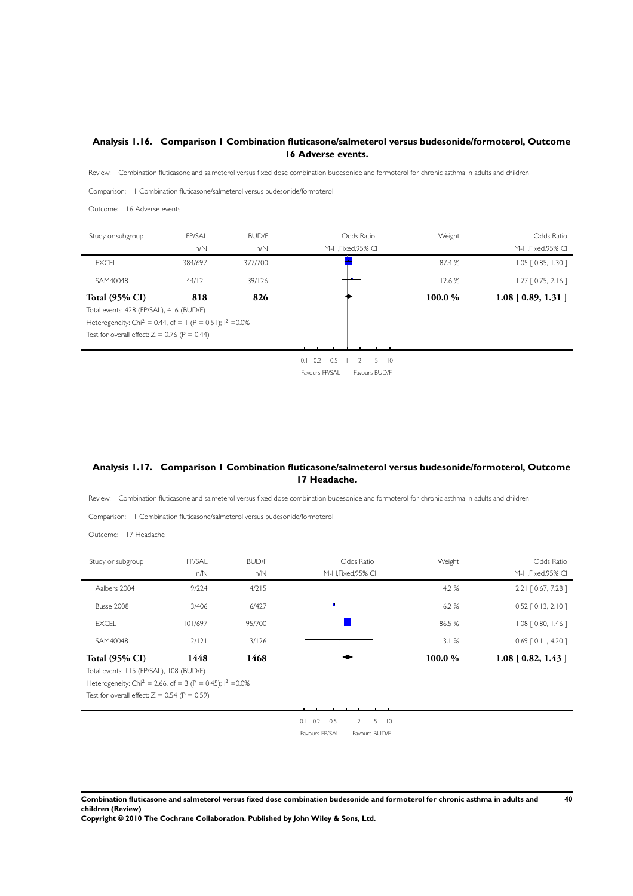# <span id="page-42-0"></span>**Analysis 1.16. Comparison 1 Combination fluticasone/salmeterol versus budesonide/formoterol, Outcome 16 Adverse events.**

Review: Combination fluticasone and salmeterol versus fixed dose combination budesonide and formoterol for chronic asthma in adults and children

Comparison: 1 Combination fluticasone/salmeterol versus budesonide/formoterol

Outcome: 16 Adverse events

l.

| Study or subgroup                                                                                                                                                                            | FP/SAL<br>n/N | <b>BUD/F</b><br>n/N | Odds Ratio<br>M-H, Fixed, 95% CI                                                      | Weight | Odds Ratio<br>M-H, Fixed, 95% CI |
|----------------------------------------------------------------------------------------------------------------------------------------------------------------------------------------------|---------------|---------------------|---------------------------------------------------------------------------------------|--------|----------------------------------|
| <b>EXCEL</b>                                                                                                                                                                                 | 384/697       | 377/700             |                                                                                       | 87.4 % | $1.05$ $[0.85, 1.30]$            |
| SAM40048                                                                                                                                                                                     | 44/121        | 39/126              |                                                                                       | 12.6%  | $1.27$ $[0.75, 2.16]$            |
| <b>Total (95% CI)</b><br>Total events: 428 (FP/SAL), 416 (BUD/F)<br>Heterogeneity: Chi <sup>2</sup> = 0.44, df = 1 (P = 0.51); $1^2$ =0.0%<br>Test for overall effect: $Z = 0.76$ (P = 0.44) | 818           | 826                 |                                                                                       | 100.0% | $1.08$ [ 0.89, 1.31 ]            |
|                                                                                                                                                                                              |               |                     | $0.1$ $0.2$ $0.5$<br>$5 \quad 10$<br>$\mathcal{L}$<br>Favours FP/SAL<br>Favours BUD/F |        |                                  |

# **Analysis 1.17. Comparison 1 Combination fluticasone/salmeterol versus budesonide/formoterol, Outcome 17 Headache.**

Review: Combination fluticasone and salmeterol versus fixed dose combination budesonide and formoterol for chronic asthma in adults and children

Comparison: 1 Combination fluticasone/salmeterol versus budesonide/formoterol

Outcome: 17 Headache

| Study or subgroup                                                                                                                                                                             | FP/SAL  | <b>BUD/F</b> |                   | Odds Ratio                                | Weight | Odds Ratio            |
|-----------------------------------------------------------------------------------------------------------------------------------------------------------------------------------------------|---------|--------------|-------------------|-------------------------------------------|--------|-----------------------|
|                                                                                                                                                                                               | n/N     | n/N          |                   | M-H, Fixed, 95% CI                        |        | M-H, Fixed, 95% CI    |
| Aalbers 2004                                                                                                                                                                                  | 9/224   | 4/215        |                   |                                           | 4.2 %  | 2.21 [ 0.67, 7.28 ]   |
| Busse 2008                                                                                                                                                                                    | 3/406   | 6/427        |                   |                                           | 6.2%   | $0.52$ $[0.13, 2.10]$ |
| <b>EXCEL</b>                                                                                                                                                                                  | 101/697 | 95/700       |                   |                                           | 86.5 % | $1.08$ $[0.80, 1.46]$ |
| SAM40048                                                                                                                                                                                      | 2/121   | 3/126        |                   |                                           | 3.1%   | $0.69$ [ 0.11, 4.20 ] |
| <b>Total (95% CI)</b><br>Total events: 115 (FP/SAL), 108 (BUD/F)<br>Heterogeneity: Chi <sup>2</sup> = 2.66, df = 3 (P = 0.45); $1^2$ = 0.0%<br>Test for overall effect: $Z = 0.54$ (P = 0.59) | 1448    | 1468         |                   |                                           | 100.0% | $1.08$ [ 0.82, 1.43 ] |
|                                                                                                                                                                                               |         |              |                   |                                           |        |                       |
|                                                                                                                                                                                               |         |              | $0.1$ $0.2$ $0.5$ | $5 -$<br>$\overline{10}$<br>$\mathcal{L}$ |        |                       |
|                                                                                                                                                                                               |         |              | Favours FP/SAL    | Favours BUD/F                             |        |                       |

**Combination fluticasone and salmeterol versus fixed dose combination budesonide and formoterol for chronic asthma in adults and 40 children (Review)**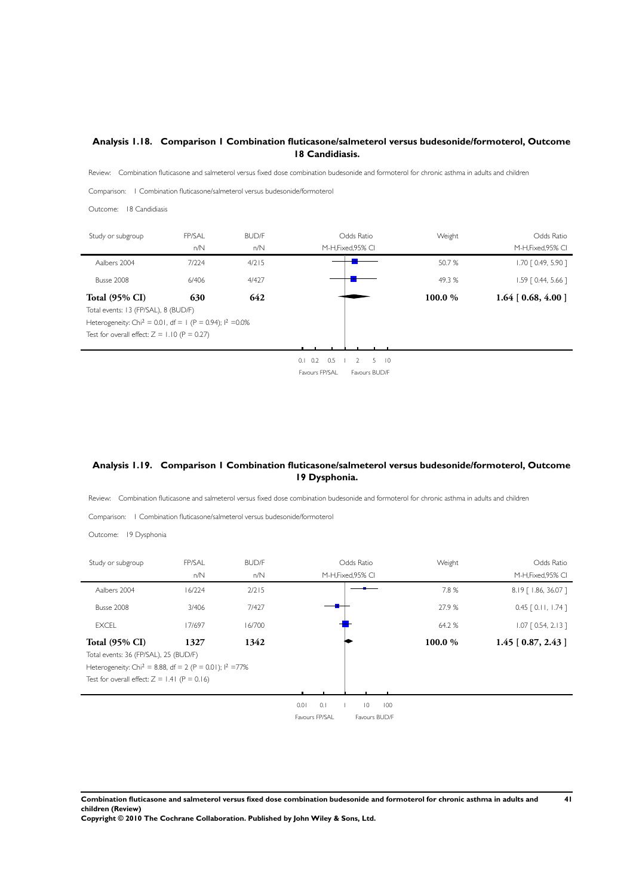# <span id="page-43-0"></span>**Analysis 1.18. Comparison 1 Combination fluticasone/salmeterol versus budesonide/formoterol, Outcome 18 Candidiasis.**

Review: Combination fluticasone and salmeterol versus fixed dose combination budesonide and formoterol for chronic asthma in adults and children

Comparison: 1 Combination fluticasone/salmeterol versus budesonide/formoterol

Comparison: 1 Combination fluticasone/salmeterol versus budesonide/formoterol

Outcome: 18 Candidiasis

| Study or subgroup                                                      | FP/SAL | <b>BUD/F</b> |                   | Odds Ratio                | Weight | Odds Ratio                        |
|------------------------------------------------------------------------|--------|--------------|-------------------|---------------------------|--------|-----------------------------------|
|                                                                        | n/N    | n/N          |                   | M-H, Fixed, 95% CI        |        | M-H, Fixed, 95% CI                |
| Aalbers 2004                                                           | 7/224  | 4/215        |                   |                           | 50.7%  | $1.70$ $[0.49, 5.90]$             |
| Busse 2008                                                             | 6/406  | 4/427        |                   |                           | 49.3 % | $1.59$ $[0.44, 5.66]$             |
| <b>Total (95% CI)</b>                                                  | 630    | 642          |                   |                           | 100.0% | $1.64 \;   \; 0.68, 4.00 \;   \;$ |
| Total events: 13 (FP/SAL), 8 (BUD/F)                                   |        |              |                   |                           |        |                                   |
| Heterogeneity: Chi <sup>2</sup> = 0.01, df = 1 (P = 0.94); $1^2$ =0.0% |        |              |                   |                           |        |                                   |
| Test for overall effect: $Z = 1.10$ (P = 0.27)                         |        |              |                   |                           |        |                                   |
|                                                                        |        |              |                   |                           |        |                                   |
|                                                                        |        |              | $0.1$ $0.2$ $0.5$ | $5 \t10$<br>$\mathcal{L}$ |        |                                   |
|                                                                        |        |              | Favours FP/SAL    | Favours BUD/F             |        |                                   |

# **Analysis 1.19. Comparison 1 Combination fluticasone/salmeterol versus budesonide/formoterol, Outcome 19 Dysphonia.**

Review: Combination fluticasone and salmeterol versus fixed dose combination budesonide and formoterol for chronic asthma in adults and children

| 19 Dysphonia<br>Outcome:                                                                                                                                                                  |               |                     |                                                                  |         |                                  |
|-------------------------------------------------------------------------------------------------------------------------------------------------------------------------------------------|---------------|---------------------|------------------------------------------------------------------|---------|----------------------------------|
| Study or subgroup                                                                                                                                                                         | FP/SAL<br>n/N | <b>BUD/F</b><br>n/N | Odds Ratio<br>M-H, Fixed, 95% CI                                 | Weight  | Odds Ratio<br>M-H, Fixed, 95% CI |
| Aalbers 2004                                                                                                                                                                              | 16/224        | 2/215               |                                                                  | 7.8 %   | 8.19 [ 1.86, 36.07 ]             |
| Busse 2008                                                                                                                                                                                | 3/406         | 7/427               |                                                                  | 27.9 %  | $0.45$ [ 0.11, 1.74 ]            |
| <b>EXCEL</b>                                                                                                                                                                              | 17/697        | 16/700              |                                                                  | 64.2 %  | $1.07$ $[0.54, 2.13]$            |
| <b>Total (95% CI)</b><br>Total events: 36 (FP/SAL), 25 (BUD/F)<br>Heterogeneity: Chi <sup>2</sup> = 8.88, df = 2 (P = 0.01); $1^2$ =77%<br>Test for overall effect: $Z = 1.41$ (P = 0.16) | 1327          | 1342                |                                                                  | 100.0 % | $1.45$ [ 0.87, 2.43 ]            |
|                                                                                                                                                                                           |               |                     | 0.01<br>0.1<br>$\overline{0}$<br>Favours FP/SAL<br>Favours BUD/F | 100     |                                  |

**Combination fluticasone and salmeterol versus fixed dose combination budesonide and formoterol for chronic asthma in adults and 41 children (Review)**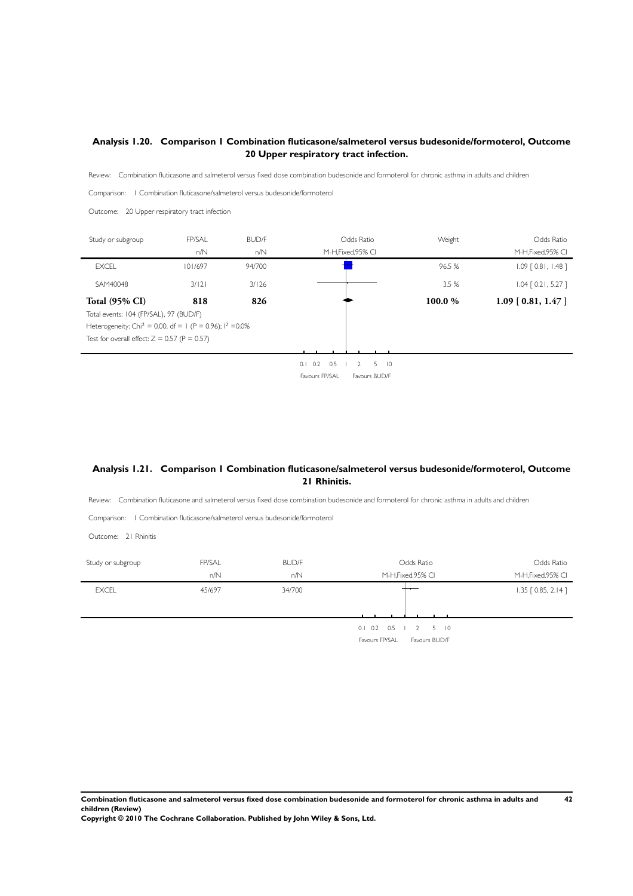# <span id="page-44-0"></span>**Analysis 1.20. Comparison 1 Combination fluticasone/salmeterol versus budesonide/formoterol, Outcome 20 Upper respiratory tract infection.**

Review: Combination fluticasone and salmeterol versus fixed dose combination budesonide and formoterol for chronic asthma in adults and children

Comparison: 1 Combination fluticasone/salmeterol versus budesonide/formoterol

Outcome: 20 Upper respiratory tract infection

÷,

j.

| Study or subgroup                                                       | FP/SAL  | <b>BUD/F</b> | Odds Ratio                                         | Weight | Odds Ratio            |
|-------------------------------------------------------------------------|---------|--------------|----------------------------------------------------|--------|-----------------------|
|                                                                         | n/N     | n/N          | M-H, Fixed, 95% CI                                 |        | M-H, Fixed, 95% CI    |
| <b>EXCEL</b>                                                            | 101/697 | 94/700       |                                                    | 96.5%  | $1.09$ $[0.81, 1.48]$ |
| SAM40048                                                                | 3/121   | 3/126        |                                                    | 3.5%   | $1.04$ $[0.21, 5.27]$ |
| <b>Total (95% CI)</b>                                                   | 818     | 826          |                                                    | 100.0% | $1.09$ [ 0.81, 1.47 ] |
| Total events: 104 (FP/SAL), 97 (BUD/F)                                  |         |              |                                                    |        |                       |
| Heterogeneity: Chi <sup>2</sup> = 0.00, df = 1 (P = 0.96); $1^2$ = 0.0% |         |              |                                                    |        |                       |
| Test for overall effect: $Z = 0.57$ (P = 0.57)                          |         |              |                                                    |        |                       |
|                                                                         |         |              |                                                    |        |                       |
|                                                                         |         |              | $0.1$ $0.2$ $0.5$<br>$5 \quad 10$<br>$\mathcal{L}$ |        |                       |
|                                                                         |         |              | Favours FP/SAL<br>Favours BUD/F                    |        |                       |
|                                                                         |         |              |                                                    |        |                       |

# **Analysis 1.21. Comparison 1 Combination fluticasone/salmeterol versus budesonide/formoterol, Outcome 21 Rhinitis.**

Review: Combination fluticasone and salmeterol versus fixed dose combination budesonide and formoterol for chronic asthma in adults and children

Comparison: 1 Combination fluticasone/salmeterol versus budesonide/formoterol

Outcome: 21 Rhinitis

| Study or subgroup | FP/SAL<br>n/N | <b>BUD/F</b><br>$n/N$ |                                     | Odds Ratio<br>M-H, Fixed, 95% CI             | Odds Ratio<br>M-H, Fixed, 95% CI |
|-------------------|---------------|-----------------------|-------------------------------------|----------------------------------------------|----------------------------------|
| EXCEL             | 45/697        | 34/700                |                                     |                                              | $1.35$ [ 0.85, 2.14 ]            |
|                   |               |                       |                                     |                                              |                                  |
|                   |               |                       | $0.1$ $0.2$ $0.5$<br>Favours FP/SAL | $5 \quad 10$<br>$2^{\circ}$<br>Favours BUD/F |                                  |

**Combination fluticasone and salmeterol versus fixed dose combination budesonide and formoterol for chronic asthma in adults and 42 children (Review)**

**Copyright © 2010 The Cochrane Collaboration. Published by John Wiley & Sons, Ltd.**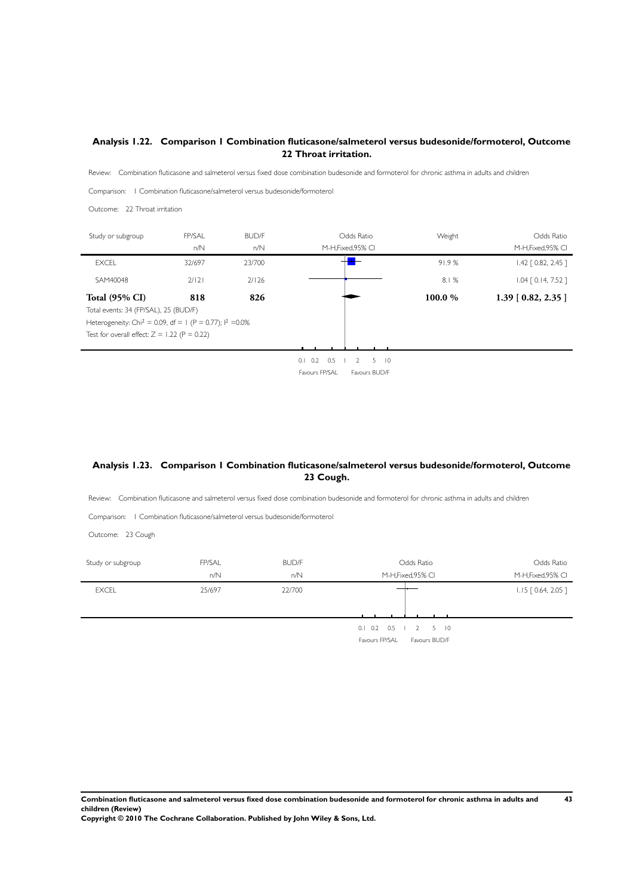# <span id="page-45-0"></span>**Analysis 1.22. Comparison 1 Combination fluticasone/salmeterol versus budesonide/formoterol, Outcome 22 Throat irritation.**

Review: Combination fluticasone and salmeterol versus fixed dose combination budesonide and formoterol for chronic asthma in adults and children

Comparison: 1 Combination fluticasone/salmeterol versus budesonide/formoterol

Outcome: 22 Throat irritation

| Study or subgroup                                                      | FP/SAL | <b>BUD/F</b> | Odds Ratio                                                     | Weight | Odds Ratio                  |
|------------------------------------------------------------------------|--------|--------------|----------------------------------------------------------------|--------|-----------------------------|
|                                                                        | n/N    | n/N          | M-H, Fixed, 95% CI                                             |        | M-H, Fixed, 95% CI          |
| <b>EXCEL</b>                                                           | 32/697 | 23/700       |                                                                | 91.9%  | 1.42 [ 0.82, 2.45 ]         |
| SAM40048                                                               | 2/121  | 2/126        |                                                                | 8.1%   | $1.04$ $[0.14, 7.52]$       |
| <b>Total (95% CI)</b>                                                  | 818    | 826          |                                                                | 100.0% | $1.39 \mid 0.82, 2.35 \mid$ |
| Total events: 34 (FP/SAL), 25 (BUD/F)                                  |        |              |                                                                |        |                             |
| Heterogeneity: Chi <sup>2</sup> = 0.09, df = 1 (P = 0.77); $1^2$ =0.0% |        |              |                                                                |        |                             |
| Test for overall effect: $Z = 1.22$ (P = 0.22)                         |        |              |                                                                |        |                             |
|                                                                        |        |              |                                                                |        |                             |
|                                                                        |        |              | $0.1$ $0.2$ $0.5$<br>$5 -$<br>$\mathcal{L}$<br>$\overline{10}$ |        |                             |
|                                                                        |        |              | Favours FP/SAL<br>Favours BUD/F                                |        |                             |

# **Analysis 1.23. Comparison 1 Combination fluticasone/salmeterol versus budesonide/formoterol, Outcome 23 Cough.**

Review: Combination fluticasone and salmeterol versus fixed dose combination budesonide and formoterol for chronic asthma in adults and children

| Comparison: I Combination fluticasone/salmeterol versus budesonide/formoterol |               |                       |                                     |                                             |                                |
|-------------------------------------------------------------------------------|---------------|-----------------------|-------------------------------------|---------------------------------------------|--------------------------------|
| Outcome: 23 Cough                                                             |               |                       |                                     |                                             |                                |
| Study or subgroup                                                             | FP/SAL<br>n/N | <b>BUD/F</b><br>$n/N$ |                                     | Odds Ratio<br>M-H,Fixed,95% CI              | Odds Ratio<br>M-H,Fixed,95% CI |
| <b>EXCEL</b>                                                                  | 25/697        | 22/700                |                                     |                                             | $1.15$ [ 0.64, 2.05 ]          |
|                                                                               |               |                       | $0.1$ $0.2$ $0.5$<br>Favours FP/SAL | $5 \t10$<br>$\overline{2}$<br>Favours BUD/F |                                |

**Combination fluticasone and salmeterol versus fixed dose combination budesonide and formoterol for chronic asthma in adults and 43 children (Review)**

**Copyright © 2010 The Cochrane Collaboration. Published by John Wiley & Sons, Ltd.**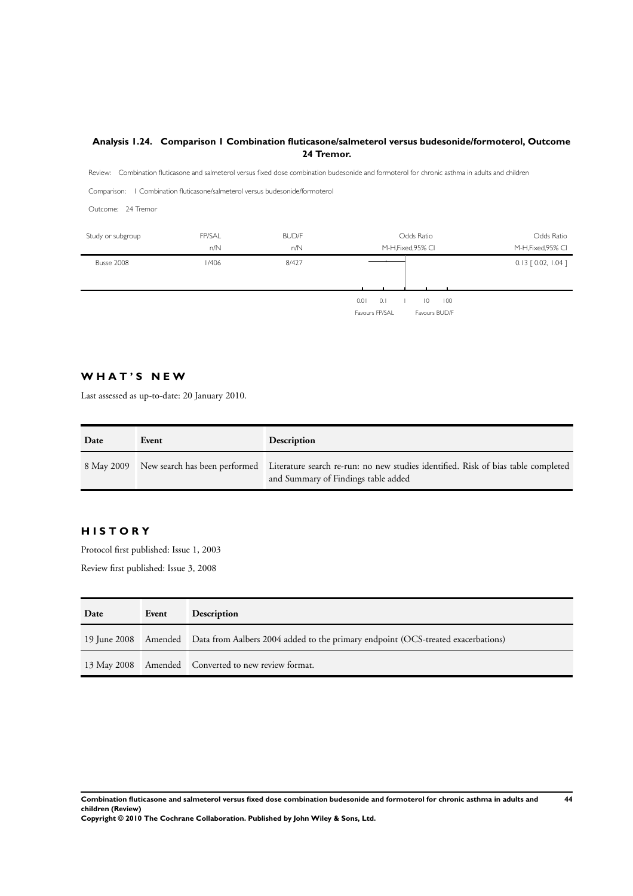# <span id="page-46-0"></span>**Analysis 1.24. Comparison 1 Combination fluticasone/salmeterol versus budesonide/formoterol, Outcome 24 Tremor.**

Review: Combination fluticasone and salmeterol versus fixed dose combination budesonide and formoterol for chronic asthma in adults and children

Comparison: 1 Combination fluticasone/salmeterol versus budesonide/formoterol

Outcome: 24 Tremor

| Study or subgroup | FP/SAL | <b>BUD/F</b><br>n/N | Odds Ratio<br>M-H, Fixed, 95% CI |                       | Odds Ratio<br>M-H, Fixed, 95% CI |
|-------------------|--------|---------------------|----------------------------------|-----------------------|----------------------------------|
|                   | n/N    |                     |                                  |                       |                                  |
| Busse 2008        | 1/406  | 8/427               |                                  |                       | $0.13$ $[0.02, 1.04]$            |
|                   |        |                     |                                  |                       |                                  |
|                   |        |                     | 0.1<br>0.01                      | $\overline{0}$<br>100 |                                  |
|                   |        |                     | Favours FP/SAL                   | Favours BUD/F         |                                  |
|                   |        |                     |                                  |                       |                                  |
|                   |        |                     |                                  |                       |                                  |
|                   |        |                     |                                  |                       |                                  |
| WHAT'S NEW        |        |                     |                                  |                       |                                  |

Last assessed as up-to-date: 20 January 2010.

| Date | Event | Description                                                                                                                                                       |
|------|-------|-------------------------------------------------------------------------------------------------------------------------------------------------------------------|
|      |       | 8 May 2009 New search has been performed Literature search re-run: no new studies identified. Risk of bias table completed<br>and Summary of Findings table added |

# **H I S T O R Y**

Protocol first published: Issue 1, 2003

Review first published: Issue 3, 2008

| Date | Event | <b>Description</b>                                                                                    |
|------|-------|-------------------------------------------------------------------------------------------------------|
|      |       | 19 June 2008 Amended Data from Aalbers 2004 added to the primary endpoint (OCS-treated exacerbations) |
|      |       | 13 May 2008 Amended Converted to new review format.                                                   |

**Combination fluticasone and salmeterol versus fixed dose combination budesonide and formoterol for chronic asthma in adults and 44 children (Review)**

**Copyright © 2010 The Cochrane Collaboration. Published by John Wiley & Sons, Ltd.**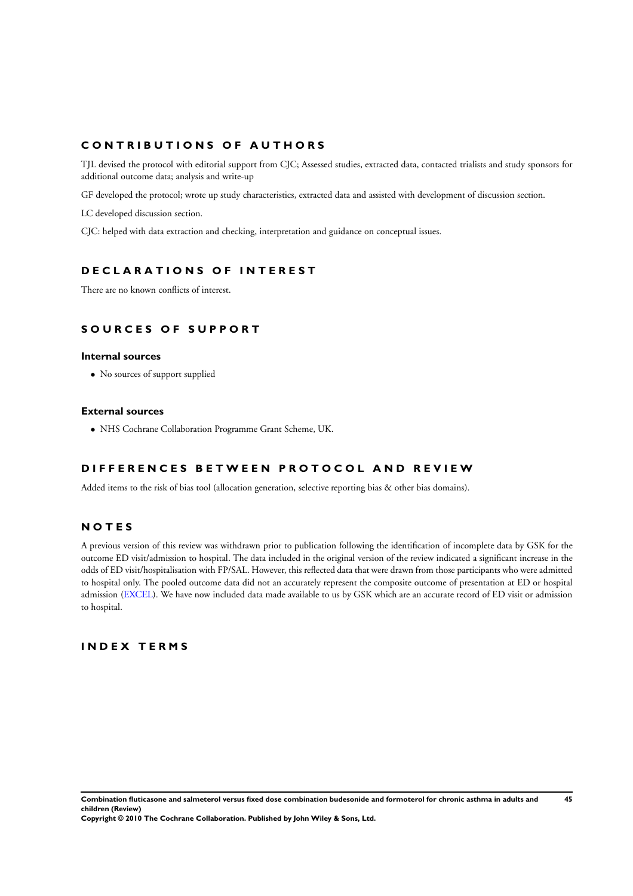# <span id="page-47-0"></span>**C O N T R I B U T I O N S O F A U T H O R S**

TJL devised the protocol with editorial support from CJC; Assessed studies, extracted data, contacted trialists and study sponsors for additional outcome data; analysis and write-up

GF developed the protocol; wrote up study characteristics, extracted data and assisted with development of discussion section.

LC developed discussion section.

CJC: helped with data extraction and checking, interpretation and guidance on conceptual issues.

# **D E C L A R A T I O N S O F I N T E R E S T**

There are no known conflicts of interest.

# **S O U R C E S O F S U P P O R T**

# **Internal sources**

• No sources of support supplied

#### **External sources**

• NHS Cochrane Collaboration Programme Grant Scheme, UK.

# **DIFFERENCES BETWEEN PROTOCOL AND REVIEW**

Added items to the risk of bias tool (allocation generation, selective reporting bias & other bias domains).

# **N O T E S**

A previous version of this review was withdrawn prior to publication following the identification of incomplete data by GSK for the outcome ED visit/admission to hospital. The data included in the original version of the review indicated a significant increase in the odds of ED visit/hospitalisation with FP/SAL. However, this reflected data that were drawn from those participants who were admitted to hospital only. The pooled outcome data did not an accurately represent the composite outcome of presentation at ED or hospital admission [\(EXCEL\)](#page-17-0). We have now included data made available to us by GSK which are an accurate record of ED visit or admission to hospital.

# **I N D E X T E R M S**